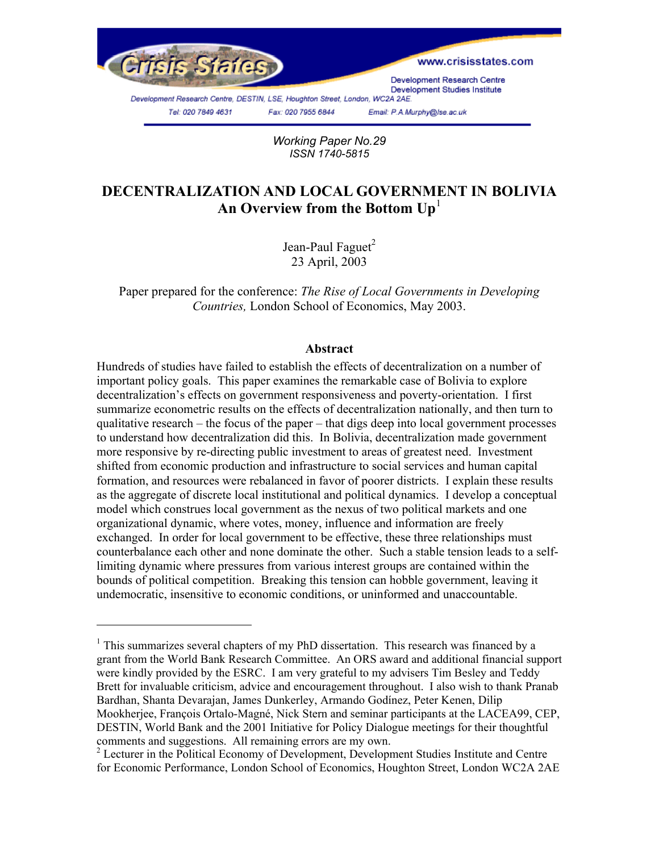

*Working Paper No.29 ISSN 1740-5815* 

## **DECENTRALIZATION AND LOCAL GOVERNMENT IN BOLIVIA An Overview from the Bottom Up**[1](#page-0-0)

Jean-Paul Faguet<sup>2</sup> 23 April, 2003

Paper prepared for the conference: *The Rise of Local Governments in Developing Countries,* London School of Economics, May 2003.

#### **Abstract**

Hundreds of studies have failed to establish the effects of decentralization on a number of important policy goals. This paper examines the remarkable case of Bolivia to explore decentralization's effects on government responsiveness and poverty-orientation. I first summarize econometric results on the effects of decentralization nationally, and then turn to qualitative research – the focus of the paper – that digs deep into local government processes to understand how decentralization did this. In Bolivia, decentralization made government more responsive by re-directing public investment to areas of greatest need. Investment shifted from economic production and infrastructure to social services and human capital formation, and resources were rebalanced in favor of poorer districts. I explain these results as the aggregate of discrete local institutional and political dynamics. I develop a conceptual model which construes local government as the nexus of two political markets and one organizational dynamic, where votes, money, influence and information are freely exchanged. In order for local government to be effective, these three relationships must counterbalance each other and none dominate the other. Such a stable tension leads to a selflimiting dynamic where pressures from various interest groups are contained within the bounds of political competition. Breaking this tension can hobble government, leaving it undemocratic, insensitive to economic conditions, or uninformed and unaccountable.

<span id="page-0-0"></span> $1$  This summarizes several chapters of my PhD dissertation. This research was financed by a grant from the World Bank Research Committee. An ORS award and additional financial support were kindly provided by the ESRC. I am very grateful to my advisers Tim Besley and Teddy Brett for invaluable criticism, advice and encouragement throughout. I also wish to thank Pranab Bardhan, Shanta Devarajan, James Dunkerley, Armando Godínez, Peter Kenen, Dilip Mookherjee, François Ortalo-Magné, Nick Stern and seminar participants at the LACEA99, CEP, DESTIN, World Bank and the 2001 Initiative for Policy Dialogue meetings for their thoughtful comments and suggestions. All remaining errors are my own.

<span id="page-0-1"></span><sup>&</sup>lt;sup>2</sup> Lecturer in the Political Economy of Development, Development Studies Institute and Centre for Economic Performance, London School of Economics, Houghton Street, London WC2A 2AE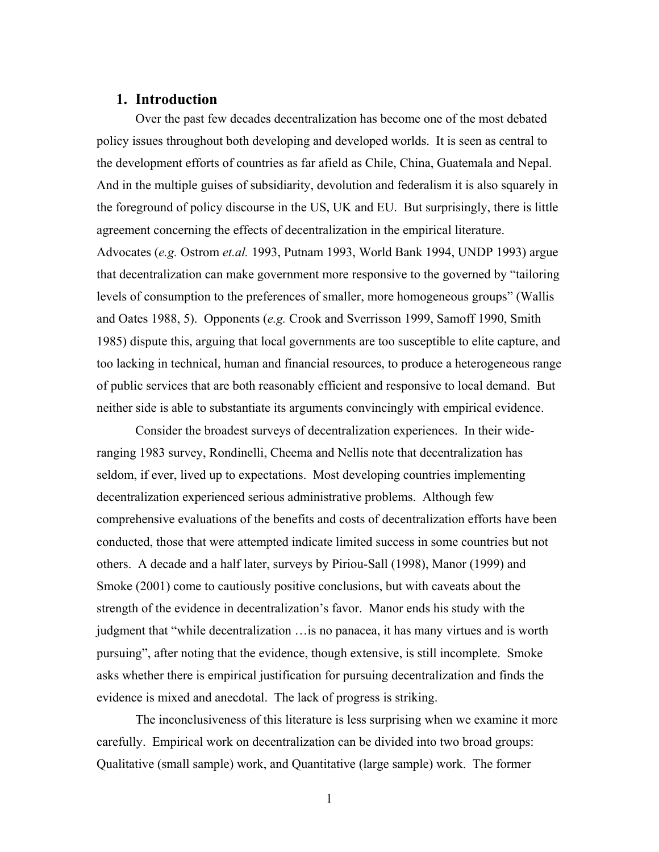## **1. Introduction**

Over the past few decades decentralization has become one of the most debated policy issues throughout both developing and developed worlds. It is seen as central to the development efforts of countries as far afield as Chile, China, Guatemala and Nepal. And in the multiple guises of subsidiarity, devolution and federalism it is also squarely in the foreground of policy discourse in the US, UK and EU. But surprisingly, there is little agreement concerning the effects of decentralization in the empirical literature. Advocates (*e.g.* Ostrom *et.al.* 1993, Putnam 1993, World Bank 1994, UNDP 1993) argue that decentralization can make government more responsive to the governed by "tailoring levels of consumption to the preferences of smaller, more homogeneous groups" (Wallis and Oates 1988, 5). Opponents (*e.g.* Crook and Sverrisson 1999, Samoff 1990, Smith 1985) dispute this, arguing that local governments are too susceptible to elite capture, and too lacking in technical, human and financial resources, to produce a heterogeneous range of public services that are both reasonably efficient and responsive to local demand. But neither side is able to substantiate its arguments convincingly with empirical evidence.

Consider the broadest surveys of decentralization experiences. In their wideranging 1983 survey, Rondinelli, Cheema and Nellis note that decentralization has seldom, if ever, lived up to expectations. Most developing countries implementing decentralization experienced serious administrative problems. Although few comprehensive evaluations of the benefits and costs of decentralization efforts have been conducted, those that were attempted indicate limited success in some countries but not others. A decade and a half later, surveys by Piriou-Sall (1998), Manor (1999) and Smoke (2001) come to cautiously positive conclusions, but with caveats about the strength of the evidence in decentralization's favor. Manor ends his study with the judgment that "while decentralization …is no panacea, it has many virtues and is worth pursuing", after noting that the evidence, though extensive, is still incomplete. Smoke asks whether there is empirical justification for pursuing decentralization and finds the evidence is mixed and anecdotal. The lack of progress is striking.

The inconclusiveness of this literature is less surprising when we examine it more carefully. Empirical work on decentralization can be divided into two broad groups: Qualitative (small sample) work, and Quantitative (large sample) work. The former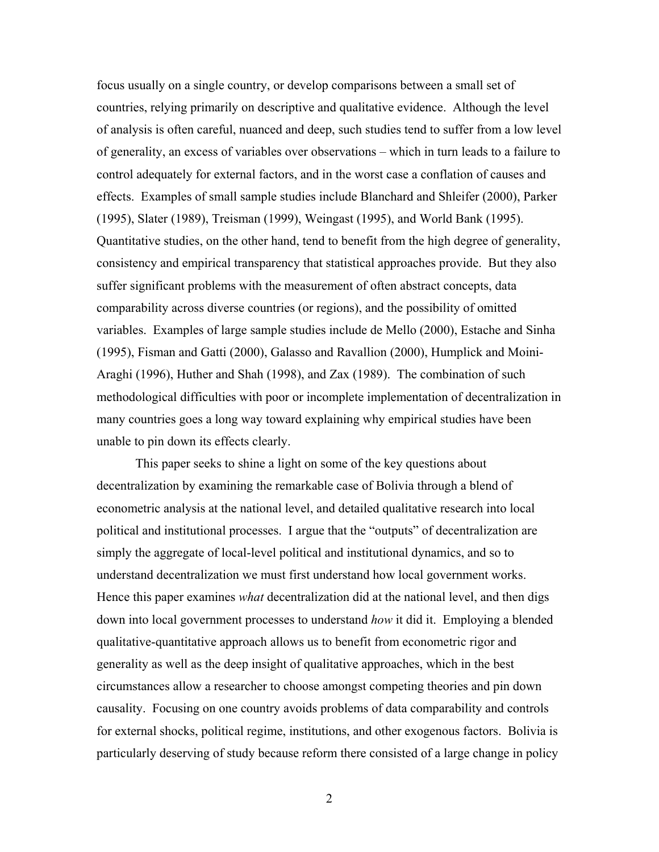focus usually on a single country, or develop comparisons between a small set of countries, relying primarily on descriptive and qualitative evidence. Although the level of analysis is often careful, nuanced and deep, such studies tend to suffer from a low level of generality, an excess of variables over observations – which in turn leads to a failure to control adequately for external factors, and in the worst case a conflation of causes and effects. Examples of small sample studies include Blanchard and Shleifer (2000), Parker (1995), Slater (1989), Treisman (1999), Weingast (1995), and World Bank (1995). Quantitative studies, on the other hand, tend to benefit from the high degree of generality, consistency and empirical transparency that statistical approaches provide. But they also suffer significant problems with the measurement of often abstract concepts, data comparability across diverse countries (or regions), and the possibility of omitted variables. Examples of large sample studies include de Mello (2000), Estache and Sinha (1995), Fisman and Gatti (2000), Galasso and Ravallion (2000), Humplick and Moini-Araghi (1996), Huther and Shah (1998), and Zax (1989). The combination of such methodological difficulties with poor or incomplete implementation of decentralization in many countries goes a long way toward explaining why empirical studies have been unable to pin down its effects clearly.

This paper seeks to shine a light on some of the key questions about decentralization by examining the remarkable case of Bolivia through a blend of econometric analysis at the national level, and detailed qualitative research into local political and institutional processes. I argue that the "outputs" of decentralization are simply the aggregate of local-level political and institutional dynamics, and so to understand decentralization we must first understand how local government works. Hence this paper examines *what* decentralization did at the national level, and then digs down into local government processes to understand *how* it did it. Employing a blended qualitative-quantitative approach allows us to benefit from econometric rigor and generality as well as the deep insight of qualitative approaches, which in the best circumstances allow a researcher to choose amongst competing theories and pin down causality. Focusing on one country avoids problems of data comparability and controls for external shocks, political regime, institutions, and other exogenous factors. Bolivia is particularly deserving of study because reform there consisted of a large change in policy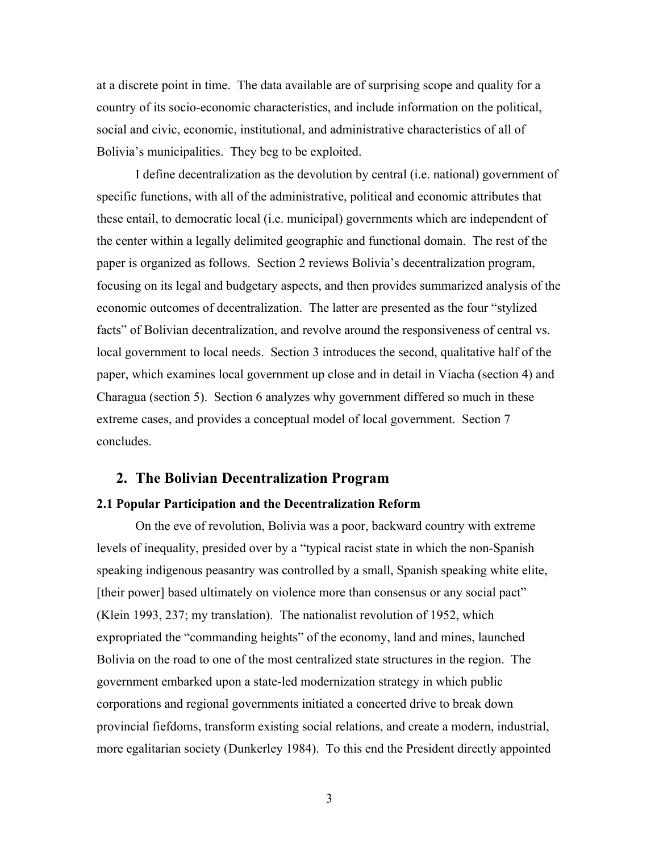at a discrete point in time. The data available are of surprising scope and quality for a country of its socio-economic characteristics, and include information on the political, social and civic, economic, institutional, and administrative characteristics of all of Bolivia's municipalities. They beg to be exploited.

I define decentralization as the devolution by central (i.e. national) government of specific functions, with all of the administrative, political and economic attributes that these entail, to democratic local (i.e. municipal) governments which are independent of the center within a legally delimited geographic and functional domain. The rest of the paper is organized as follows. Section 2 reviews Bolivia's decentralization program, focusing on its legal and budgetary aspects, and then provides summarized analysis of the economic outcomes of decentralization. The latter are presented as the four "stylized facts" of Bolivian decentralization, and revolve around the responsiveness of central vs. local government to local needs. Section 3 introduces the second, qualitative half of the paper, which examines local government up close and in detail in Viacha (section 4) and Charagua (section 5). Section 6 analyzes why government differed so much in these extreme cases, and provides a conceptual model of local government. Section 7 concludes.

## **2. The Bolivian Decentralization Program**

## **2.1 Popular Participation and the Decentralization Reform**

On the eve of revolution, Bolivia was a poor, backward country with extreme levels of inequality, presided over by a "typical racist state in which the non-Spanish speaking indigenous peasantry was controlled by a small, Spanish speaking white elite, [their power] based ultimately on violence more than consensus or any social pact" (Klein 1993, 237; my translation). The nationalist revolution of 1952, which expropriated the "commanding heights" of the economy, land and mines, launched Bolivia on the road to one of the most centralized state structures in the region. The government embarked upon a state-led modernization strategy in which public corporations and regional governments initiated a concerted drive to break down provincial fiefdoms, transform existing social relations, and create a modern, industrial, more egalitarian society (Dunkerley 1984). To this end the President directly appointed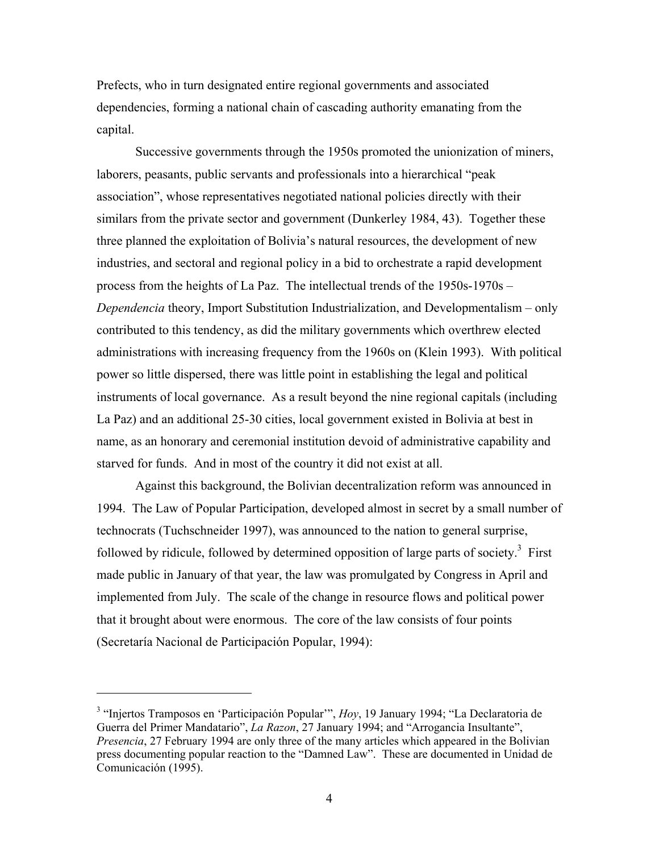Prefects, who in turn designated entire regional governments and associated dependencies, forming a national chain of cascading authority emanating from the capital.

Successive governments through the 1950s promoted the unionization of miners, laborers, peasants, public servants and professionals into a hierarchical "peak association", whose representatives negotiated national policies directly with their similars from the private sector and government (Dunkerley 1984, 43). Together these three planned the exploitation of Bolivia's natural resources, the development of new industries, and sectoral and regional policy in a bid to orchestrate a rapid development process from the heights of La Paz. The intellectual trends of the 1950s-1970s – *Dependencia* theory, Import Substitution Industrialization, and Developmentalism – only contributed to this tendency, as did the military governments which overthrew elected administrations with increasing frequency from the 1960s on (Klein 1993). With political power so little dispersed, there was little point in establishing the legal and political instruments of local governance. As a result beyond the nine regional capitals (including La Paz) and an additional 25-30 cities, local government existed in Bolivia at best in name, as an honorary and ceremonial institution devoid of administrative capability and starved for funds. And in most of the country it did not exist at all.

Against this background, the Bolivian decentralization reform was announced in 1994. The Law of Popular Participation, developed almost in secret by a small number of technocrats (Tuchschneider 1997), was announced to the nation to general surprise, followed by ridicule, followed by determined opposition of large parts of society.<sup>[3](#page-4-0)</sup> First made public in January of that year, the law was promulgated by Congress in April and implemented from July. The scale of the change in resource flows and political power that it brought about were enormous. The core of the law consists of four points (Secretaría Nacional de Participación Popular, 1994):

<span id="page-4-0"></span><sup>3</sup> "Injertos Tramposos en 'Participación Popular'", *Hoy*, 19 January 1994; "La Declaratoria de Guerra del Primer Mandatario", *La Razon*, 27 January 1994; and "Arrogancia Insultante", *Presencia*, 27 February 1994 are only three of the many articles which appeared in the Bolivian press documenting popular reaction to the "Damned Law". These are documented in Unidad de Comunicación (1995).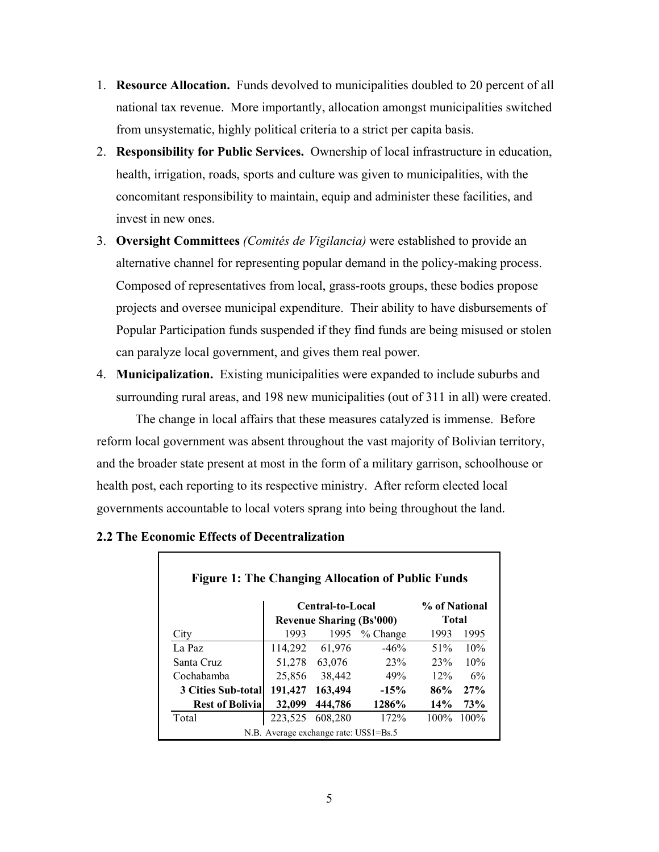- 1. **Resource Allocation.** Funds devolved to municipalities doubled to 20 percent of all national tax revenue. More importantly, allocation amongst municipalities switched from unsystematic, highly political criteria to a strict per capita basis.
- 2. **Responsibility for Public Services.** Ownership of local infrastructure in education, health, irrigation, roads, sports and culture was given to municipalities, with the concomitant responsibility to maintain, equip and administer these facilities, and invest in new ones.
- 3. **Oversight Committees** *(Comités de Vigilancia)* were established to provide an alternative channel for representing popular demand in the policy-making process. Composed of representatives from local, grass-roots groups, these bodies propose projects and oversee municipal expenditure. Their ability to have disbursements of Popular Participation funds suspended if they find funds are being misused or stolen can paralyze local government, and gives them real power.
- 4. **Municipalization.** Existing municipalities were expanded to include suburbs and surrounding rural areas, and 198 new municipalities (out of 311 in all) were created.

The change in local affairs that these measures catalyzed is immense. Before reform local government was absent throughout the vast majority of Bolivian territory, and the broader state present at most in the form of a military garrison, schoolhouse or health post, each reporting to its respective ministry. After reform elected local governments accountable to local voters sprang into being throughout the land.

| <b>Figure 1: The Changing Allocation of Public Funds</b> |                                 |         |          |         |               |  |
|----------------------------------------------------------|---------------------------------|---------|----------|---------|---------------|--|
|                                                          | <b>Central-to-Local</b>         |         |          |         | % of National |  |
|                                                          | <b>Revenue Sharing (Bs'000)</b> |         |          |         | <b>Total</b>  |  |
| City                                                     | 1993                            | 1995    | % Change | 1993    | 1995          |  |
| La Paz                                                   | 114,292                         | 61,976  | $-46%$   | 51%     | 10%           |  |
| Santa Cruz                                               | 51,278                          | 63,076  | 23%      | 23%     | 10%           |  |
| Cochabamba                                               | 25,856                          | 38,442  | 49%      | 12%     | 6%            |  |
| <b>3 Cities Sub-total</b>                                | 191,427                         | 163,494 | $-15%$   | 86%     | 27%           |  |
| <b>Rest of Bolivia</b>                                   | 32,099                          | 444.786 | 1286%    | 14%     | 73%           |  |
| Total                                                    | 223,525                         | 608,280 | 172%     | $100\%$ | 100%          |  |
| N.B. Average exchange rate: US\$1=Bs.5                   |                                 |         |          |         |               |  |

#### **2.2 The Economic Effects of Decentralization**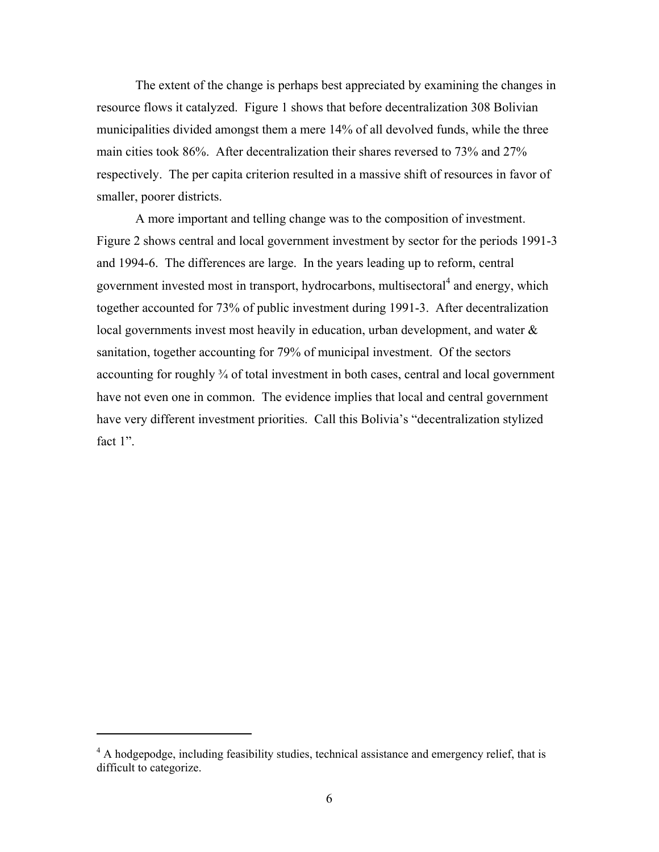The extent of the change is perhaps best appreciated by examining the changes in resource flows it catalyzed. Figure 1 shows that before decentralization 308 Bolivian municipalities divided amongst them a mere 14% of all devolved funds, while the three main cities took 86%. After decentralization their shares reversed to 73% and 27% respectively. The per capita criterion resulted in a massive shift of resources in favor of smaller, poorer districts.

A more important and telling change was to the composition of investment. Figure 2 shows central and local government investment by sector for the periods 1991-3 and 1994-6. The differences are large. In the years leading up to reform, central government invested most in transport, hydrocarbons, multisectoral<sup>[4](#page-6-0)</sup> and energy, which together accounted for 73% of public investment during 1991-3. After decentralization local governments invest most heavily in education, urban development, and water  $\&$ sanitation, together accounting for 79% of municipal investment. Of the sectors accounting for roughly <sup>3</sup>/<sub>4</sub> of total investment in both cases, central and local government have not even one in common. The evidence implies that local and central government have very different investment priorities. Call this Bolivia's "decentralization stylized fact 1".

<span id="page-6-0"></span><sup>&</sup>lt;sup>4</sup> A hodgepodge, including feasibility studies, technical assistance and emergency relief, that is difficult to categorize.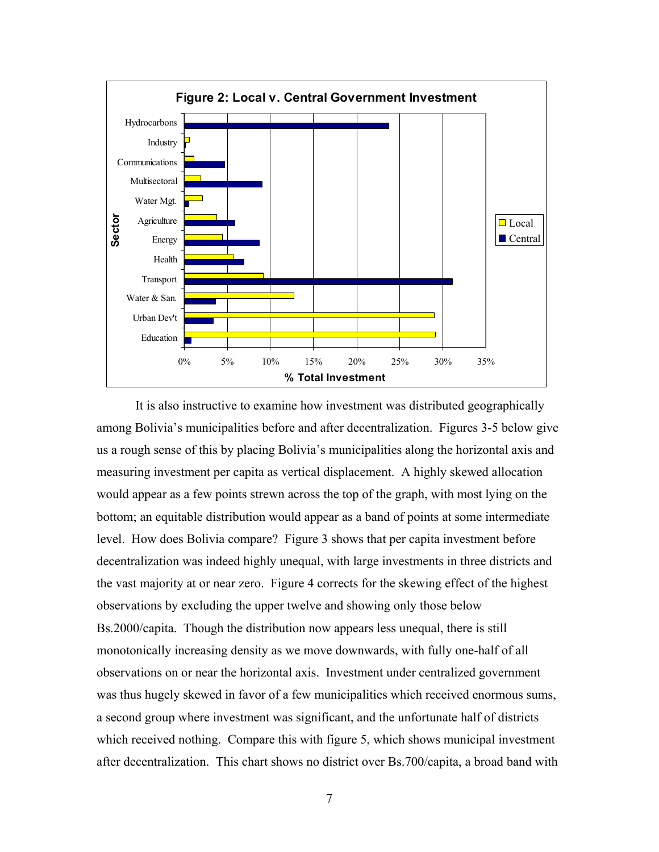

It is also instructive to examine how investment was distributed geographically among Bolivia's municipalities before and after decentralization. Figures 3-5 below give us a rough sense of this by placing Bolivia's municipalities along the horizontal axis and measuring investment per capita as vertical displacement. A highly skewed allocation would appear as a few points strewn across the top of the graph, with most lying on the bottom; an equitable distribution would appear as a band of points at some intermediate level. How does Bolivia compare? Figure 3 shows that per capita investment before decentralization was indeed highly unequal, with large investments in three districts and the vast majority at or near zero. Figure 4 corrects for the skewing effect of the highest observations by excluding the upper twelve and showing only those below Bs.2000/capita. Though the distribution now appears less unequal, there is still monotonically increasing density as we move downwards, with fully one-half of all observations on or near the horizontal axis. Investment under centralized government was thus hugely skewed in favor of a few municipalities which received enormous sums, a second group where investment was significant, and the unfortunate half of districts which received nothing. Compare this with figure 5, which shows municipal investment after decentralization. This chart shows no district over Bs.700/capita, a broad band with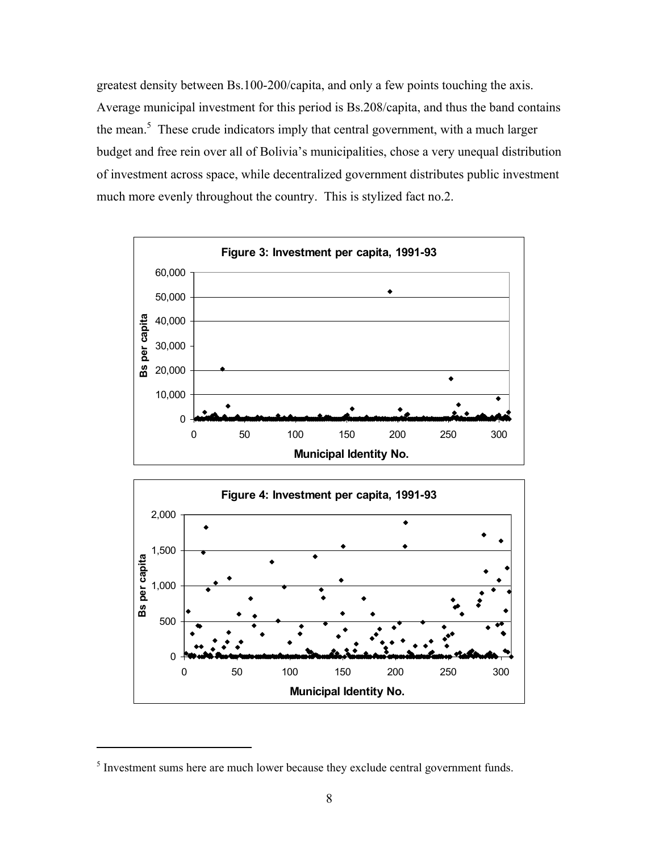greatest density between Bs.100-200/capita, and only a few points touching the axis. Average municipal investment for this period is Bs.208/capita, and thus the band contains the mean.<sup>[5](#page-8-0)</sup> These crude indicators imply that central government, with a much larger budget and free rein over all of Bolivia's municipalities, chose a very unequal distribution of investment across space, while decentralized government distributes public investment much more evenly throughout the country. This is stylized fact no.2.



<span id="page-8-0"></span><sup>&</sup>lt;sup>5</sup> Investment sums here are much lower because they exclude central government funds.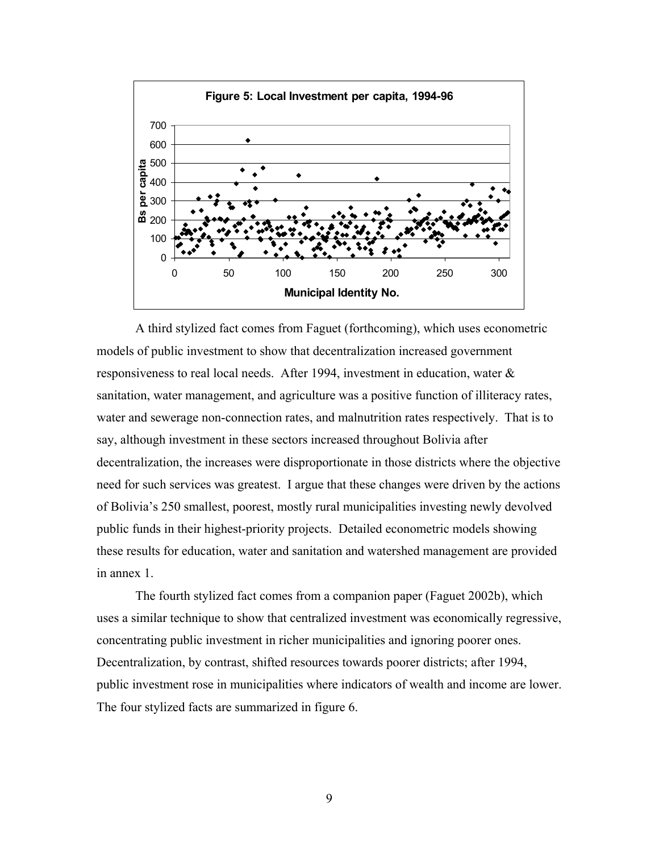

A third stylized fact comes from Faguet (forthcoming), which uses econometric models of public investment to show that decentralization increased government responsiveness to real local needs. After 1994, investment in education, water & sanitation, water management, and agriculture was a positive function of illiteracy rates, water and sewerage non-connection rates, and malnutrition rates respectively. That is to say, although investment in these sectors increased throughout Bolivia after decentralization, the increases were disproportionate in those districts where the objective need for such services was greatest. I argue that these changes were driven by the actions of Bolivia's 250 smallest, poorest, mostly rural municipalities investing newly devolved public funds in their highest-priority projects. Detailed econometric models showing these results for education, water and sanitation and watershed management are provided in annex 1.

The fourth stylized fact comes from a companion paper (Faguet 2002b), which uses a similar technique to show that centralized investment was economically regressive, concentrating public investment in richer municipalities and ignoring poorer ones. Decentralization, by contrast, shifted resources towards poorer districts; after 1994, public investment rose in municipalities where indicators of wealth and income are lower. The four stylized facts are summarized in figure 6.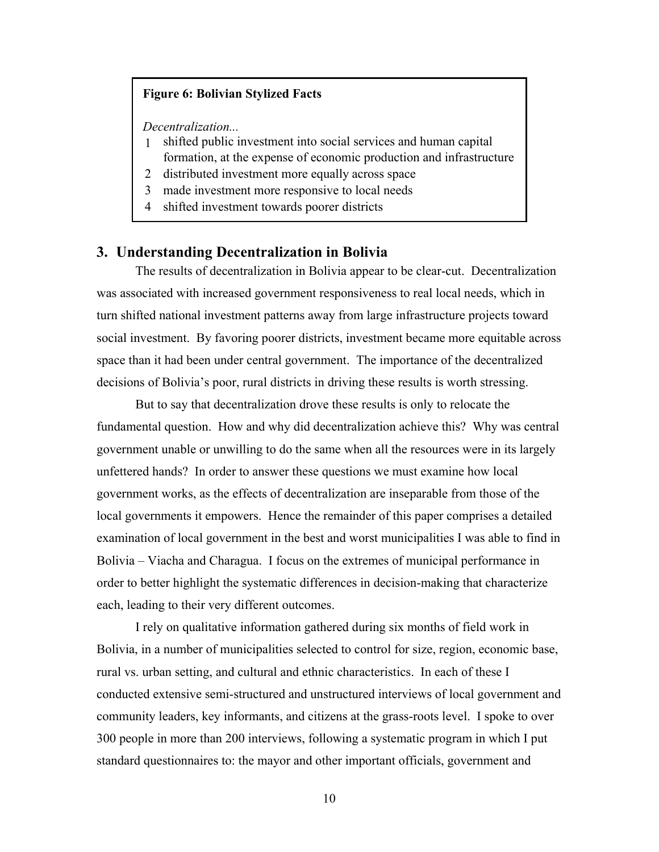## **Figure 6: Bolivian Stylized Facts**

*Decentralization...*

- 1 shifted public investment into social services and human capital formation, at the expense of economic production and infrastructure
- 2 distributed investment more equally across space
- 3 made investment more responsive to local needs
- 4 shifted investment towards poorer districts

## **3. Understanding Decentralization in Bolivia**

The results of decentralization in Bolivia appear to be clear-cut. Decentralization was associated with increased government responsiveness to real local needs, which in turn shifted national investment patterns away from large infrastructure projects toward social investment. By favoring poorer districts, investment became more equitable across space than it had been under central government. The importance of the decentralized decisions of Bolivia's poor, rural districts in driving these results is worth stressing.

But to say that decentralization drove these results is only to relocate the fundamental question. How and why did decentralization achieve this? Why was central government unable or unwilling to do the same when all the resources were in its largely unfettered hands? In order to answer these questions we must examine how local government works, as the effects of decentralization are inseparable from those of the local governments it empowers. Hence the remainder of this paper comprises a detailed examination of local government in the best and worst municipalities I was able to find in Bolivia – Viacha and Charagua. I focus on the extremes of municipal performance in order to better highlight the systematic differences in decision-making that characterize each, leading to their very different outcomes.

I rely on qualitative information gathered during six months of field work in Bolivia, in a number of municipalities selected to control for size, region, economic base, rural vs. urban setting, and cultural and ethnic characteristics. In each of these I conducted extensive semi-structured and unstructured interviews of local government and community leaders, key informants, and citizens at the grass-roots level. I spoke to over 300 people in more than 200 interviews, following a systematic program in which I put standard questionnaires to: the mayor and other important officials, government and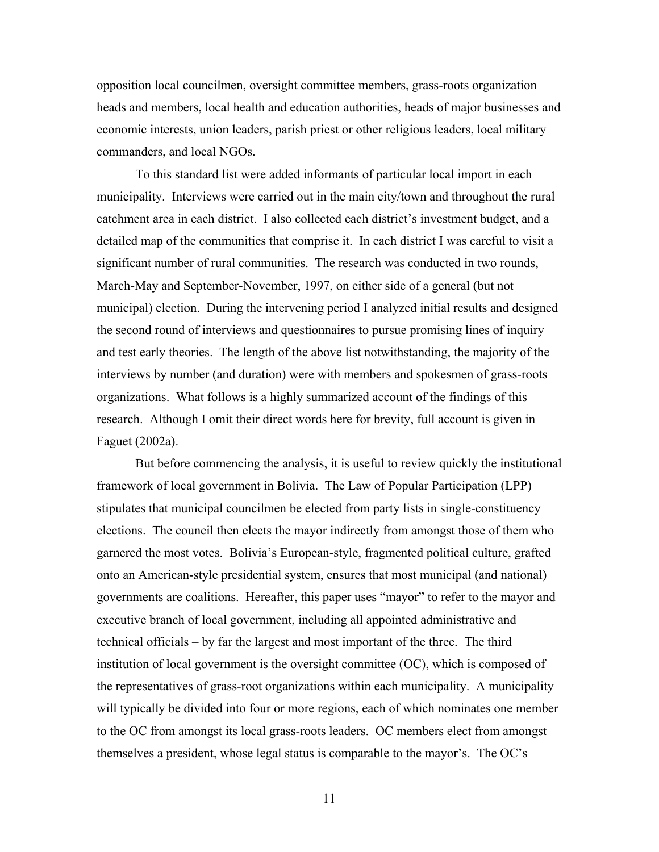opposition local councilmen, oversight committee members, grass-roots organization heads and members, local health and education authorities, heads of major businesses and economic interests, union leaders, parish priest or other religious leaders, local military commanders, and local NGOs.

To this standard list were added informants of particular local import in each municipality. Interviews were carried out in the main city/town and throughout the rural catchment area in each district. I also collected each district's investment budget, and a detailed map of the communities that comprise it. In each district I was careful to visit a significant number of rural communities. The research was conducted in two rounds, March-May and September-November, 1997, on either side of a general (but not municipal) election. During the intervening period I analyzed initial results and designed the second round of interviews and questionnaires to pursue promising lines of inquiry and test early theories. The length of the above list notwithstanding, the majority of the interviews by number (and duration) were with members and spokesmen of grass-roots organizations. What follows is a highly summarized account of the findings of this research. Although I omit their direct words here for brevity, full account is given in Faguet (2002a).

But before commencing the analysis, it is useful to review quickly the institutional framework of local government in Bolivia. The Law of Popular Participation (LPP) stipulates that municipal councilmen be elected from party lists in single-constituency elections. The council then elects the mayor indirectly from amongst those of them who garnered the most votes. Bolivia's European-style, fragmented political culture, grafted onto an American-style presidential system, ensures that most municipal (and national) governments are coalitions. Hereafter, this paper uses "mayor" to refer to the mayor and executive branch of local government, including all appointed administrative and technical officials – by far the largest and most important of the three. The third institution of local government is the oversight committee (OC), which is composed of the representatives of grass-root organizations within each municipality. A municipality will typically be divided into four or more regions, each of which nominates one member to the OC from amongst its local grass-roots leaders. OC members elect from amongst themselves a president, whose legal status is comparable to the mayor's. The OC's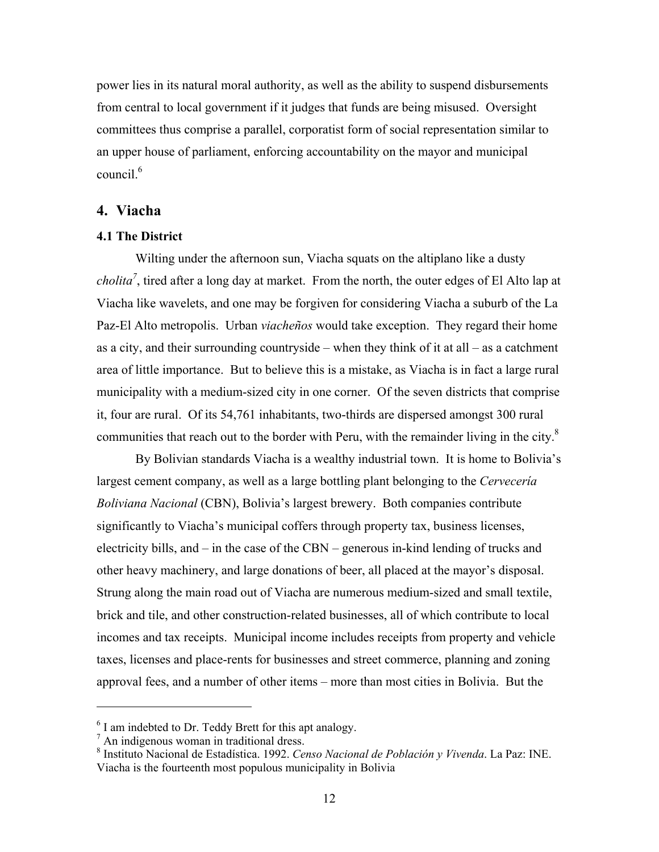power lies in its natural moral authority, as well as the ability to suspend disbursements from central to local government if it judges that funds are being misused. Oversight committees thus comprise a parallel, corporatist form of social representation similar to an upper house of parliament, enforcing accountability on the mayor and municipal council  $^6$ 

## **4. Viacha**

## **4.1 The District**

Wilting under the afternoon sun, Viacha squats on the altiplano like a dusty *cholit[a7](#page-12-1)* , tired after a long day at market. From the north, the outer edges of El Alto lap at Viacha like wavelets, and one may be forgiven for considering Viacha a suburb of the La Paz-El Alto metropolis. Urban *viacheños* would take exception. They regard their home as a city, and their surrounding countryside – when they think of it at all – as a catchment area of little importance. But to believe this is a mistake, as Viacha is in fact a large rural municipality with a medium-sized city in one corner. Of the seven districts that comprise it, four are rural. Of its 54,761 inhabitants, two-thirds are dispersed amongst 300 rural communities that reach out to the border with Peru, with the remainder living in the city.<sup>[8](#page-12-2)</sup>

By Bolivian standards Viacha is a wealthy industrial town. It is home to Bolivia's largest cement company, as well as a large bottling plant belonging to the *Cervecería Boliviana Nacional* (CBN), Bolivia's largest brewery. Both companies contribute significantly to Viacha's municipal coffers through property tax, business licenses, electricity bills, and – in the case of the CBN – generous in-kind lending of trucks and other heavy machinery, and large donations of beer, all placed at the mayor's disposal. Strung along the main road out of Viacha are numerous medium-sized and small textile, brick and tile, and other construction-related businesses, all of which contribute to local incomes and tax receipts. Municipal income includes receipts from property and vehicle taxes, licenses and place-rents for businesses and street commerce, planning and zoning approval fees, and a number of other items – more than most cities in Bolivia. But the

<span id="page-12-0"></span> $^6$  I am indebted to Dr. Teddy Brett for this apt analogy.

<span id="page-12-1"></span> $^7$  An indigenous woman in traditional dress.

<span id="page-12-2"></span><sup>8</sup> Instituto Nacional de Estadística. 1992. *Censo Nacional de Población y Vivenda*. La Paz: INE. Viacha is the fourteenth most populous municipality in Bolivia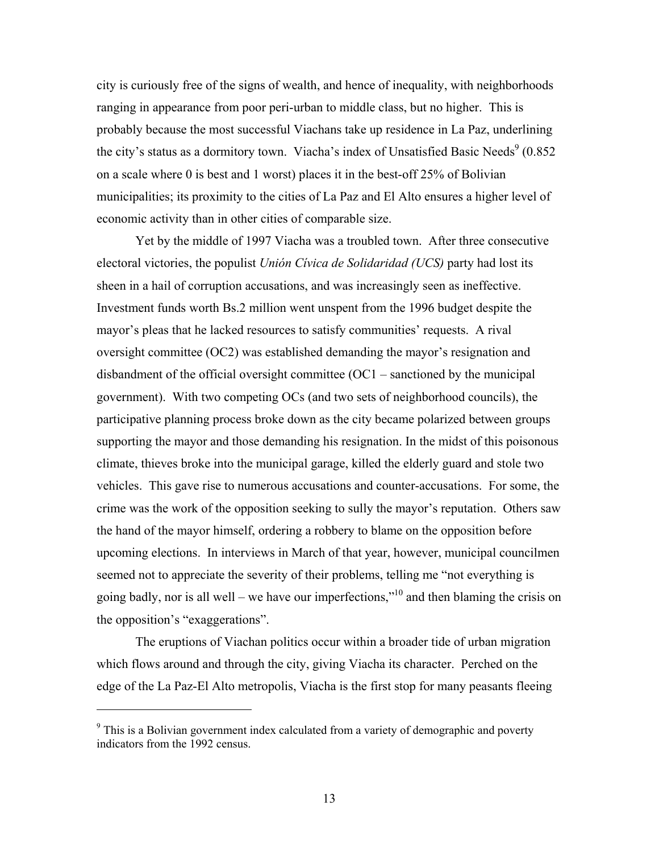city is curiously free of the signs of wealth, and hence of inequality, with neighborhoods ranging in appearance from poor peri-urban to middle class, but no higher. This is probably because the most successful Viachans take up residence in La Paz, underlining the city's status as a dormitory town. Viacha's index of Unsatisfied Basic Needs<sup>[9](#page-13-0)</sup> (0.852) on a scale where 0 is best and 1 worst) places it in the best-off 25% of Bolivian municipalities; its proximity to the cities of La Paz and El Alto ensures a higher level of economic activity than in other cities of comparable size.

Yet by the middle of 1997 Viacha was a troubled town. After three consecutive electoral victories, the populist *Unión Cívica de Solidaridad (UCS)* party had lost its sheen in a hail of corruption accusations, and was increasingly seen as ineffective. Investment funds worth Bs.2 million went unspent from the 1996 budget despite the mayor's pleas that he lacked resources to satisfy communities' requests. A rival oversight committee (OC2) was established demanding the mayor's resignation and disbandment of the official oversight committee  $(OC1 -$  sanctioned by the municipal government). With two competing OCs (and two sets of neighborhood councils), the participative planning process broke down as the city became polarized between groups supporting the mayor and those demanding his resignation. In the midst of this poisonous climate, thieves broke into the municipal garage, killed the elderly guard and stole two vehicles. This gave rise to numerous accusations and counter-accusations. For some, the crime was the work of the opposition seeking to sully the mayor's reputation. Others saw the hand of the mayor himself, ordering a robbery to blame on the opposition before upcoming elections. In interviews in March of that year, however, municipal councilmen seemed not to appreciate the severity of their problems, telling me "not everything is going badly, nor is all well – we have our imperfections,"<sup>10</sup> and then blaming the crisis on the opposition's "exaggerations".

The eruptions of Viachan politics occur within a broader tide of urban migration which flows around and through the city, giving Viacha its character. Perched on the edge of the La Paz-El Alto metropolis, Viacha is the first stop for many peasants fleeing

<span id="page-13-1"></span><span id="page-13-0"></span><sup>&</sup>lt;sup>9</sup> This is a Bolivian government index calculated from a variety of demographic and poverty indicators from the 1992 census.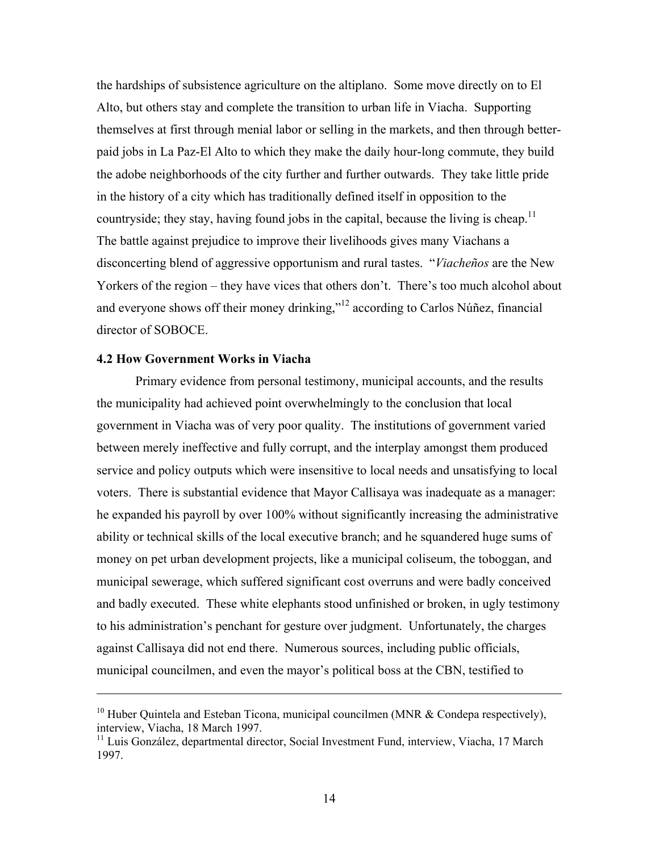the hardships of subsistence agriculture on the altiplano. Some move directly on to El Alto, but others stay and complete the transition to urban life in Viacha. Supporting themselves at first through menial labor or selling in the markets, and then through betterpaid jobs in La Paz-El Alto to which they make the daily hour-long commute, they build the adobe neighborhoods of the city further and further outwards. They take little pride in the history of a city which has traditionally defined itself in opposition to the countryside; they stay, having found jobs in the capital, because the living is cheap.<sup>11</sup> The battle against prejudice to improve their livelihoods gives many Viachans a disconcerting blend of aggressive opportunism and rural tastes. "*Viacheños* are the New Yorkers of the region – they have vices that others don't. There's too much alcohol about and everyone shows off their money drinking,"[12 a](#page-14-1)ccording to Carlos Núñez, financial director of SOBOCE.

#### **4.2 How Government Works in Viacha**

1

Primary evidence from personal testimony, municipal accounts, and the results the municipality had achieved point overwhelmingly to the conclusion that local government in Viacha was of very poor quality. The institutions of government varied between merely ineffective and fully corrupt, and the interplay amongst them produced service and policy outputs which were insensitive to local needs and unsatisfying to local voters. There is substantial evidence that Mayor Callisaya was inadequate as a manager: he expanded his payroll by over 100% without significantly increasing the administrative ability or technical skills of the local executive branch; and he squandered huge sums of money on pet urban development projects, like a municipal coliseum, the toboggan, and municipal sewerage, which suffered significant cost overruns and were badly conceived and badly executed. These white elephants stood unfinished or broken, in ugly testimony to his administration's penchant for gesture over judgment. Unfortunately, the charges against Callisaya did not end there. Numerous sources, including public officials, municipal councilmen, and even the mayor's political boss at the CBN, testified to

<sup>&</sup>lt;sup>10</sup> Huber Quintela and Esteban Ticona, municipal councilmen (MNR  $&$  Condepa respectively), interview, Viacha, 18 March 1997.<br><sup>11</sup> Luis González, departmental director, Social Investment Fund, interview, Viacha, 17 March

<span id="page-14-1"></span><span id="page-14-0"></span><sup>1997.</sup>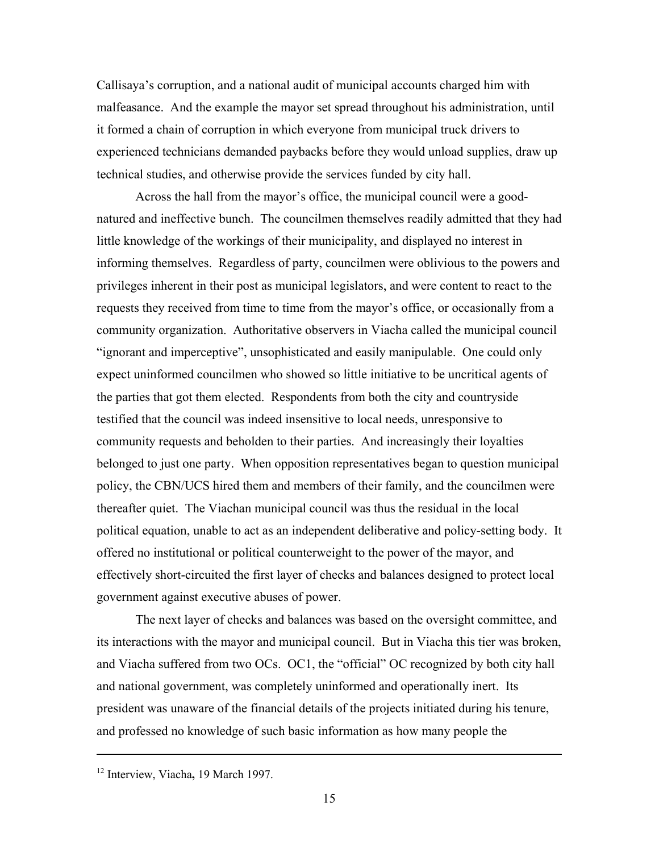Callisaya's corruption, and a national audit of municipal accounts charged him with malfeasance. And the example the mayor set spread throughout his administration, until it formed a chain of corruption in which everyone from municipal truck drivers to experienced technicians demanded paybacks before they would unload supplies, draw up technical studies, and otherwise provide the services funded by city hall.

Across the hall from the mayor's office, the municipal council were a goodnatured and ineffective bunch. The councilmen themselves readily admitted that they had little knowledge of the workings of their municipality, and displayed no interest in informing themselves. Regardless of party, councilmen were oblivious to the powers and privileges inherent in their post as municipal legislators, and were content to react to the requests they received from time to time from the mayor's office, or occasionally from a community organization. Authoritative observers in Viacha called the municipal council "ignorant and imperceptive", unsophisticated and easily manipulable. One could only expect uninformed councilmen who showed so little initiative to be uncritical agents of the parties that got them elected. Respondents from both the city and countryside testified that the council was indeed insensitive to local needs, unresponsive to community requests and beholden to their parties. And increasingly their loyalties belonged to just one party. When opposition representatives began to question municipal policy, the CBN/UCS hired them and members of their family, and the councilmen were thereafter quiet. The Viachan municipal council was thus the residual in the local political equation, unable to act as an independent deliberative and policy-setting body. It offered no institutional or political counterweight to the power of the mayor, and effectively short-circuited the first layer of checks and balances designed to protect local government against executive abuses of power.

The next layer of checks and balances was based on the oversight committee, and its interactions with the mayor and municipal council. But in Viacha this tier was broken, and Viacha suffered from two OCs. OC1, the "official" OC recognized by both city hall and national government, was completely uninformed and operationally inert. Its president was unaware of the financial details of the projects initiated during his tenure, and professed no knowledge of such basic information as how many people the

<sup>12</sup> Interview, Viacha**,** 19 March 1997.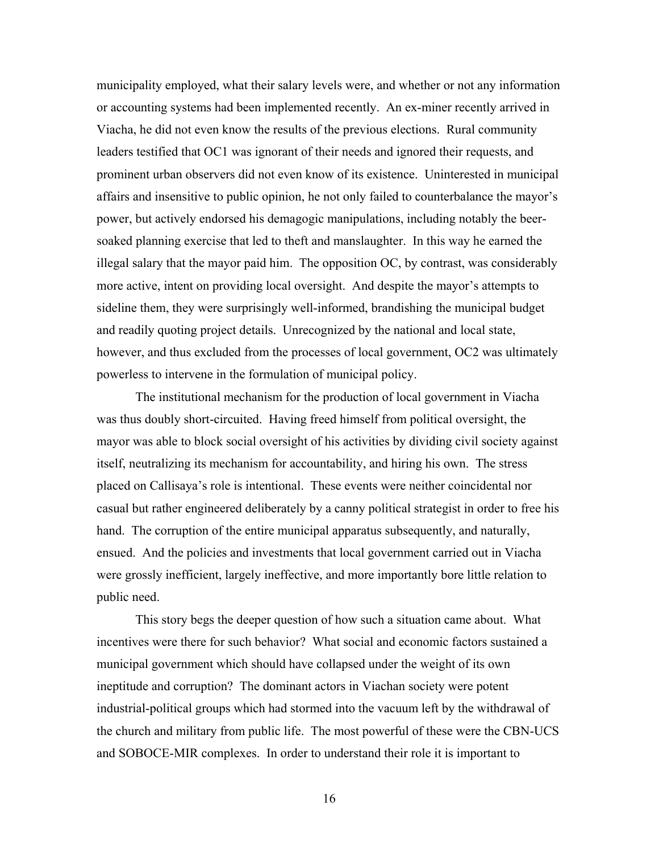municipality employed, what their salary levels were, and whether or not any information or accounting systems had been implemented recently. An ex-miner recently arrived in Viacha, he did not even know the results of the previous elections. Rural community leaders testified that OC1 was ignorant of their needs and ignored their requests, and prominent urban observers did not even know of its existence. Uninterested in municipal affairs and insensitive to public opinion, he not only failed to counterbalance the mayor's power, but actively endorsed his demagogic manipulations, including notably the beersoaked planning exercise that led to theft and manslaughter. In this way he earned the illegal salary that the mayor paid him. The opposition OC, by contrast, was considerably more active, intent on providing local oversight. And despite the mayor's attempts to sideline them, they were surprisingly well-informed, brandishing the municipal budget and readily quoting project details. Unrecognized by the national and local state, however, and thus excluded from the processes of local government, OC2 was ultimately powerless to intervene in the formulation of municipal policy.

The institutional mechanism for the production of local government in Viacha was thus doubly short-circuited. Having freed himself from political oversight, the mayor was able to block social oversight of his activities by dividing civil society against itself, neutralizing its mechanism for accountability, and hiring his own. The stress placed on Callisaya's role is intentional. These events were neither coincidental nor casual but rather engineered deliberately by a canny political strategist in order to free his hand. The corruption of the entire municipal apparatus subsequently, and naturally, ensued. And the policies and investments that local government carried out in Viacha were grossly inefficient, largely ineffective, and more importantly bore little relation to public need.

This story begs the deeper question of how such a situation came about. What incentives were there for such behavior? What social and economic factors sustained a municipal government which should have collapsed under the weight of its own ineptitude and corruption? The dominant actors in Viachan society were potent industrial-political groups which had stormed into the vacuum left by the withdrawal of the church and military from public life. The most powerful of these were the CBN-UCS and SOBOCE-MIR complexes. In order to understand their role it is important to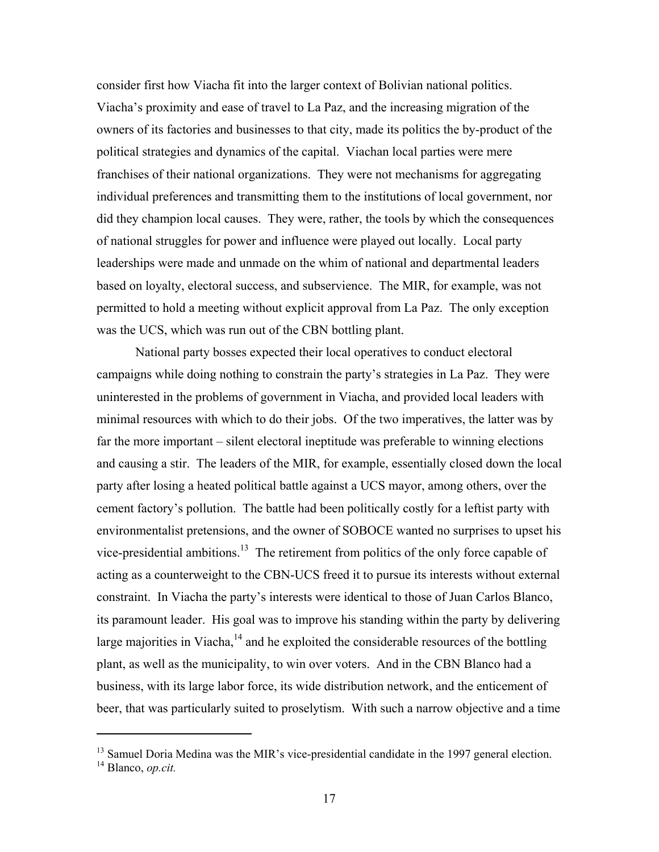consider first how Viacha fit into the larger context of Bolivian national politics. Viacha's proximity and ease of travel to La Paz, and the increasing migration of the owners of its factories and businesses to that city, made its politics the by-product of the political strategies and dynamics of the capital. Viachan local parties were mere franchises of their national organizations. They were not mechanisms for aggregating individual preferences and transmitting them to the institutions of local government, nor did they champion local causes. They were, rather, the tools by which the consequences of national struggles for power and influence were played out locally. Local party leaderships were made and unmade on the whim of national and departmental leaders based on loyalty, electoral success, and subservience. The MIR, for example, was not permitted to hold a meeting without explicit approval from La Paz. The only exception was the UCS, which was run out of the CBN bottling plant.

National party bosses expected their local operatives to conduct electoral campaigns while doing nothing to constrain the party's strategies in La Paz. They were uninterested in the problems of government in Viacha, and provided local leaders with minimal resources with which to do their jobs. Of the two imperatives, the latter was by far the more important – silent electoral ineptitude was preferable to winning elections and causing a stir. The leaders of the MIR, for example, essentially closed down the local party after losing a heated political battle against a UCS mayor, among others, over the cement factory's pollution. The battle had been politically costly for a leftist party with environmentalist pretensions, and the owner of SOBOCE wanted no surprises to upset his vice-presidential ambitions.<sup>13</sup> The retirement from politics of the only force capable of acting as a counterweight to the CBN-UCS freed it to pursue its interests without external constraint. In Viacha the party's interests were identical to those of Juan Carlos Blanco, its paramount leader. His goal was to improve his standing within the party by delivering large majorities in Viacha, $<sup>14</sup>$  and he exploited the considerable resources of the bottling</sup> plant, as well as the municipality, to win over voters. And in the CBN Blanco had a business, with its large labor force, its wide distribution network, and the enticement of beer, that was particularly suited to proselytism. With such a narrow objective and a time

<span id="page-17-0"></span><sup>&</sup>lt;sup>13</sup> Samuel Doria Medina was the MIR's vice-presidential candidate in the 1997 general election.

<span id="page-17-1"></span><sup>14</sup> Blanco, *op.cit.*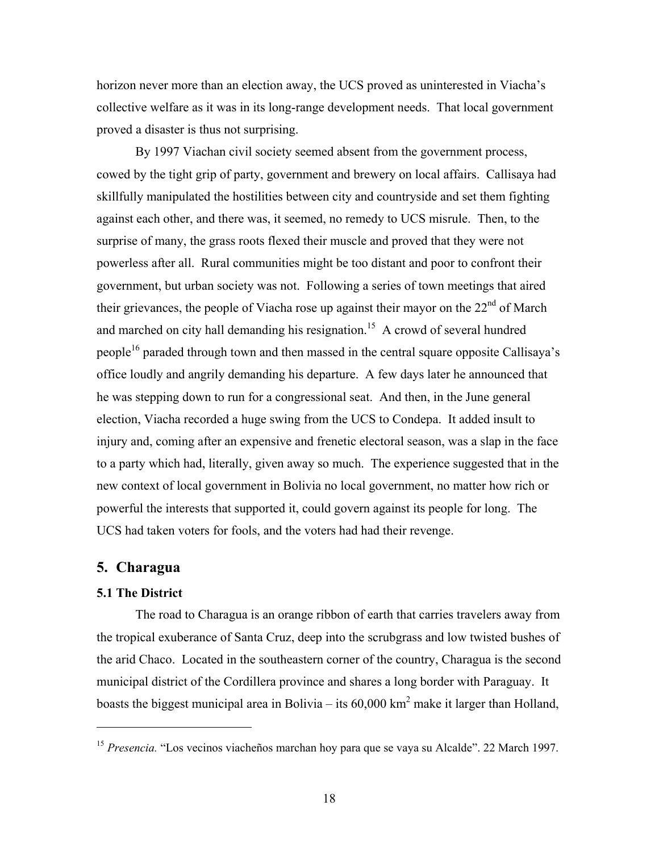horizon never more than an election away, the UCS proved as uninterested in Viacha's collective welfare as it was in its long-range development needs. That local government proved a disaster is thus not surprising.

By 1997 Viachan civil society seemed absent from the government process, cowed by the tight grip of party, government and brewery on local affairs. Callisaya had skillfully manipulated the hostilities between city and countryside and set them fighting against each other, and there was, it seemed, no remedy to UCS misrule. Then, to the surprise of many, the grass roots flexed their muscle and proved that they were not powerless after all. Rural communities might be too distant and poor to confront their government, but urban society was not. Following a series of town meetings that aired their grievances, the people of Viacha rose up against their mayor on the  $22<sup>nd</sup>$  of March and marched on city hall demanding his resignation.<sup>15</sup> A crowd of several hundred people<sup>16</sup> paraded through town and then massed in the central square opposite Callisaya's office loudly and angrily demanding his departure. A few days later he announced that he was stepping down to run for a congressional seat. And then, in the June general election, Viacha recorded a huge swing from the UCS to Condepa. It added insult to injury and, coming after an expensive and frenetic electoral season, was a slap in the face to a party which had, literally, given away so much. The experience suggested that in the new context of local government in Bolivia no local government, no matter how rich or powerful the interests that supported it, could govern against its people for long. The UCS had taken voters for fools, and the voters had had their revenge.

## **5. Charagua**

## **5.1 The District**

 $\overline{a}$ 

The road to Charagua is an orange ribbon of earth that carries travelers away from the tropical exuberance of Santa Cruz, deep into the scrubgrass and low twisted bushes of the arid Chaco. Located in the southeastern corner of the country, Charagua is the second municipal district of the Cordillera province and shares a long border with Paraguay. It boasts the biggest municipal area in Bolivia – its  $60,000 \text{ km}^2$  make it larger than Holland,

<span id="page-18-1"></span><span id="page-18-0"></span><sup>&</sup>lt;sup>15</sup> Presencia. "Los vecinos viacheños marchan hoy para que se vaya su Alcalde". 22 March 1997.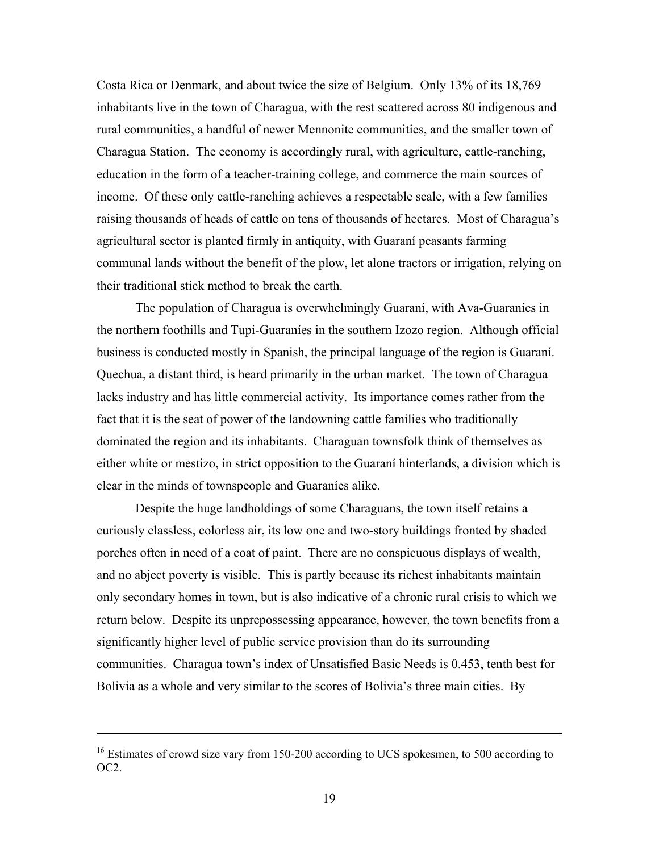Costa Rica or Denmark, and about twice the size of Belgium. Only 13% of its 18,769 inhabitants live in the town of Charagua, with the rest scattered across 80 indigenous and rural communities, a handful of newer Mennonite communities, and the smaller town of Charagua Station. The economy is accordingly rural, with agriculture, cattle-ranching, education in the form of a teacher-training college, and commerce the main sources of income. Of these only cattle-ranching achieves a respectable scale, with a few families raising thousands of heads of cattle on tens of thousands of hectares. Most of Charagua's agricultural sector is planted firmly in antiquity, with Guaraní peasants farming communal lands without the benefit of the plow, let alone tractors or irrigation, relying on their traditional stick method to break the earth.

The population of Charagua is overwhelmingly Guaraní, with Ava-Guaraníes in the northern foothills and Tupi-Guaraníes in the southern Izozo region. Although official business is conducted mostly in Spanish, the principal language of the region is Guaraní. Quechua, a distant third, is heard primarily in the urban market. The town of Charagua lacks industry and has little commercial activity. Its importance comes rather from the fact that it is the seat of power of the landowning cattle families who traditionally dominated the region and its inhabitants. Charaguan townsfolk think of themselves as either white or mestizo, in strict opposition to the Guaraní hinterlands, a division which is clear in the minds of townspeople and Guaraníes alike.

Despite the huge landholdings of some Charaguans, the town itself retains a curiously classless, colorless air, its low one and two-story buildings fronted by shaded porches often in need of a coat of paint. There are no conspicuous displays of wealth, and no abject poverty is visible. This is partly because its richest inhabitants maintain only secondary homes in town, but is also indicative of a chronic rural crisis to which we return below. Despite its unprepossessing appearance, however, the town benefits from a significantly higher level of public service provision than do its surrounding communities. Charagua town's index of Unsatisfied Basic Needs is 0.453, tenth best for Bolivia as a whole and very similar to the scores of Bolivia's three main cities. By

<sup>&</sup>lt;sup>16</sup> Estimates of crowd size vary from 150-200 according to UCS spokesmen, to 500 according to OC2.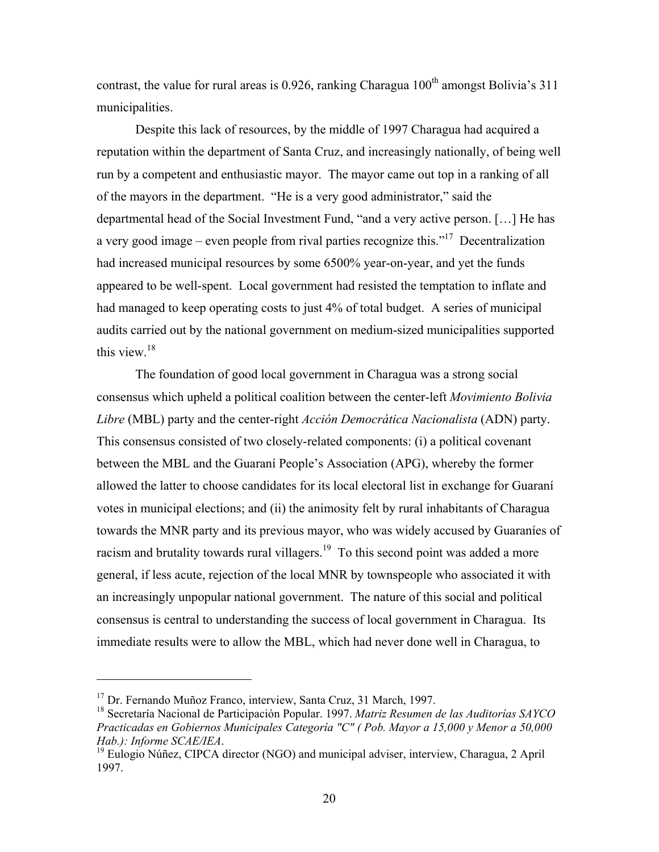contrast, the value for rural areas is  $0.926$ , ranking Charagua  $100<sup>th</sup>$  amongst Bolivia's 311 municipalities.

Despite this lack of resources, by the middle of 1997 Charagua had acquired a reputation within the department of Santa Cruz, and increasingly nationally, of being well run by a competent and enthusiastic mayor. The mayor came out top in a ranking of all of the mayors in the department. "He is a very good administrator," said the departmental head of the Social Investment Fund, "and a very active person. […] He has a very good image – even people from rival parties recognize this."<sup>17</sup> Decentralization had increased municipal resources by some 6500% year-on-year, and yet the funds appeared to be well-spent. Local government had resisted the temptation to inflate and had managed to keep operating costs to just 4% of total budget. A series of municipal audits carried out by the national government on medium-sized municipalities supported this view  $18$ 

The foundation of good local government in Charagua was a strong social consensus which upheld a political coalition between the center-left *Movimiento Bolivia Libre* (MBL) party and the center-right *Acción Democrática Nacionalista* (ADN) party. This consensus consisted of two closely-related components: (i) a political covenant between the MBL and the Guaraní People's Association (APG), whereby the former allowed the latter to choose candidates for its local electoral list in exchange for Guaraní votes in municipal elections; and (ii) the animosity felt by rural inhabitants of Charagua towards the MNR party and its previous mayor, who was widely accused by Guaraníes of racism and brutality towards rural villagers.<sup>19</sup> To this second point was added a more general, if less acute, rejection of the local MNR by townspeople who associated it with an increasingly unpopular national government. The nature of this social and political consensus is central to understanding the success of local government in Charagua. Its immediate results were to allow the MBL, which had never done well in Charagua, to

<span id="page-20-0"></span> $17$  Dr. Fernando Muñoz Franco, interview, Santa Cruz, 31 March, 1997.

<span id="page-20-1"></span><sup>18</sup> Secretaría Nacional de Participación Popular. 1997. *Matriz Resumen de las Auditorías SAYCO Practicadas en Gobiernos Municipales Categoría "C" ( Pob. Mayor a 15,000 y Menor a 50,000 Hab.): Informe SCAE/IEA*.<br><sup>19</sup> Eulogio Núñez, CIPCA director (NGO) and municipal adviser, interview, Charagua, 2 April

<span id="page-20-2"></span><sup>1997.</sup>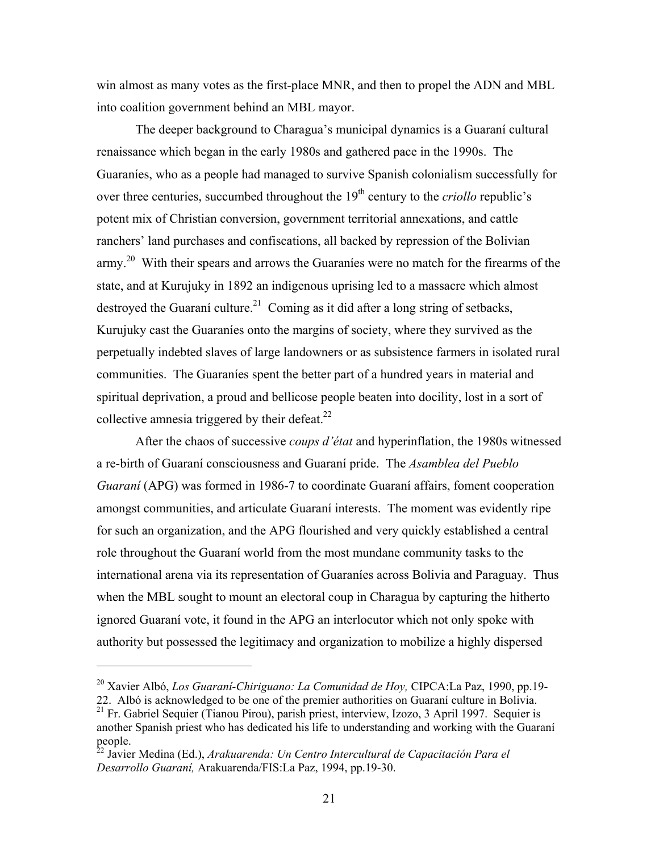win almost as many votes as the first-place MNR, and then to propel the ADN and MBL into coalition government behind an MBL mayor.

The deeper background to Charagua's municipal dynamics is a Guaraní cultural renaissance which began in the early 1980s and gathered pace in the 1990s. The Guaraníes, who as a people had managed to survive Spanish colonialism successfully for over three centuries, succumbed throughout the 19<sup>th</sup> century to the *criollo* republic's potent mix of Christian conversion, government territorial annexations, and cattle ranchers' land purchases and confiscations, all backed by repression of the Bolivian army.<sup>20</sup> With their spears and arrows the Guaranies were no match for the firearms of the state, and at Kurujuky in 1892 an indigenous uprising led to a massacre which almost destroyed the Guaraní culture.<sup>21</sup> Coming as it did after a long string of setbacks, Kurujuky cast the Guaraníes onto the margins of society, where they survived as the perpetually indebted slaves of large landowners or as subsistence farmers in isolated rural communities. The Guaraníes spent the better part of a hundred years in material and spiritual deprivation, a proud and bellicose people beaten into docility, lost in a sort of collective amnesia triggered by their defeat. $^{22}$  $^{22}$  $^{22}$ 

After the chaos of successive *coups d'état* and hyperinflation, the 1980s witnessed a re-birth of Guaraní consciousness and Guaraní pride. The *Asamblea del Pueblo Guaraní* (APG) was formed in 1986-7 to coordinate Guaraní affairs, foment cooperation amongst communities, and articulate Guaraní interests. The moment was evidently ripe for such an organization, and the APG flourished and very quickly established a central role throughout the Guaraní world from the most mundane community tasks to the international arena via its representation of Guaraníes across Bolivia and Paraguay. Thus when the MBL sought to mount an electoral coup in Charagua by capturing the hitherto ignored Guaraní vote, it found in the APG an interlocutor which not only spoke with authority but possessed the legitimacy and organization to mobilize a highly dispersed

<span id="page-21-0"></span><sup>20</sup> Xavier Albó, *Los Guaraní-Chiriguano: La Comunidad de Hoy,* CIPCA:La Paz, 1990, pp.19- 22. Albó is acknowledged to be one of the premier authorities on Guaraní culture in Bolivia.

<span id="page-21-1"></span> $21$  Fr. Gabriel Sequier (Tianou Pirou), parish priest, interview, Izozo, 3 April 1997. Sequier is another Spanish priest who has dedicated his life to understanding and working with the Guaraní people.

<span id="page-21-2"></span><sup>22</sup> Javier Medina (Ed.), *Arakuarenda: Un Centro Intercultural de Capacitación Para el Desarrollo Guaraní,* Arakuarenda/FIS:La Paz, 1994, pp.19-30.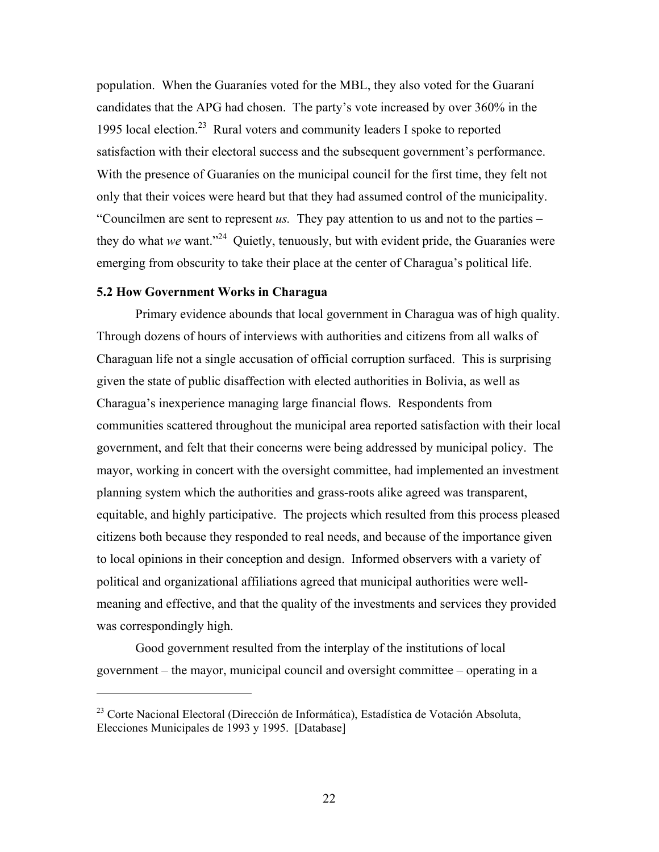population. When the Guaraníes voted for the MBL, they also voted for the Guaraní candidates that the APG had chosen. The party's vote increased by over 360% in the 1995 local election.[23](#page-22-0) Rural voters and community leaders I spoke to reported satisfaction with their electoral success and the subsequent government's performance. With the presence of Guaraníes on the municipal council for the first time, they felt not only that their voices were heard but that they had assumed control of the municipality. "Councilmen are sent to represent *us.* They pay attention to us and not to the parties – they do what *we* want."[24](#page-22-1) Quietly, tenuously, but with evident pride, the Guaraníes were emerging from obscurity to take their place at the center of Charagua's political life.

#### **5.2 How Government Works in Charagua**

 $\overline{a}$ 

Primary evidence abounds that local government in Charagua was of high quality. Through dozens of hours of interviews with authorities and citizens from all walks of Charaguan life not a single accusation of official corruption surfaced. This is surprising given the state of public disaffection with elected authorities in Bolivia, as well as Charagua's inexperience managing large financial flows. Respondents from communities scattered throughout the municipal area reported satisfaction with their local government, and felt that their concerns were being addressed by municipal policy. The mayor, working in concert with the oversight committee, had implemented an investment planning system which the authorities and grass-roots alike agreed was transparent, equitable, and highly participative. The projects which resulted from this process pleased citizens both because they responded to real needs, and because of the importance given to local opinions in their conception and design. Informed observers with a variety of political and organizational affiliations agreed that municipal authorities were wellmeaning and effective, and that the quality of the investments and services they provided was correspondingly high.

Good government resulted from the interplay of the institutions of local government – the mayor, municipal council and oversight committee – operating in a

<span id="page-22-1"></span><span id="page-22-0"></span><sup>&</sup>lt;sup>23</sup> Corte Nacional Electoral (Dirección de Informática), Estadística de Votación Absoluta, Elecciones Municipales de 1993 y 1995. [Database]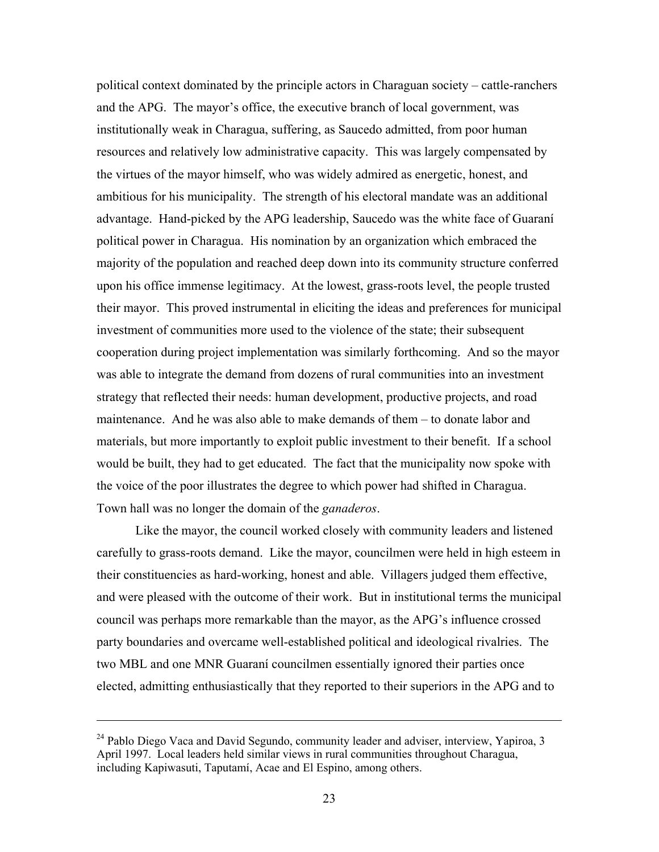political context dominated by the principle actors in Charaguan society – cattle-ranchers and the APG. The mayor's office, the executive branch of local government, was institutionally weak in Charagua, suffering, as Saucedo admitted, from poor human resources and relatively low administrative capacity. This was largely compensated by the virtues of the mayor himself, who was widely admired as energetic, honest, and ambitious for his municipality. The strength of his electoral mandate was an additional advantage. Hand-picked by the APG leadership, Saucedo was the white face of Guaraní political power in Charagua. His nomination by an organization which embraced the majority of the population and reached deep down into its community structure conferred upon his office immense legitimacy. At the lowest, grass-roots level, the people trusted their mayor. This proved instrumental in eliciting the ideas and preferences for municipal investment of communities more used to the violence of the state; their subsequent cooperation during project implementation was similarly forthcoming. And so the mayor was able to integrate the demand from dozens of rural communities into an investment strategy that reflected their needs: human development, productive projects, and road maintenance. And he was also able to make demands of them – to donate labor and materials, but more importantly to exploit public investment to their benefit. If a school would be built, they had to get educated. The fact that the municipality now spoke with the voice of the poor illustrates the degree to which power had shifted in Charagua. Town hall was no longer the domain of the *ganaderos*.

Like the mayor, the council worked closely with community leaders and listened carefully to grass-roots demand. Like the mayor, councilmen were held in high esteem in their constituencies as hard-working, honest and able. Villagers judged them effective, and were pleased with the outcome of their work. But in institutional terms the municipal council was perhaps more remarkable than the mayor, as the APG's influence crossed party boundaries and overcame well-established political and ideological rivalries. The two MBL and one MNR Guaraní councilmen essentially ignored their parties once elected, admitting enthusiastically that they reported to their superiors in the APG and to

 $^{24}$  Pablo Diego Vaca and David Segundo, community leader and adviser, interview, Yapiroa, 3 April 1997. Local leaders held similar views in rural communities throughout Charagua, including Kapiwasuti, Taputamí, Acae and El Espino, among others.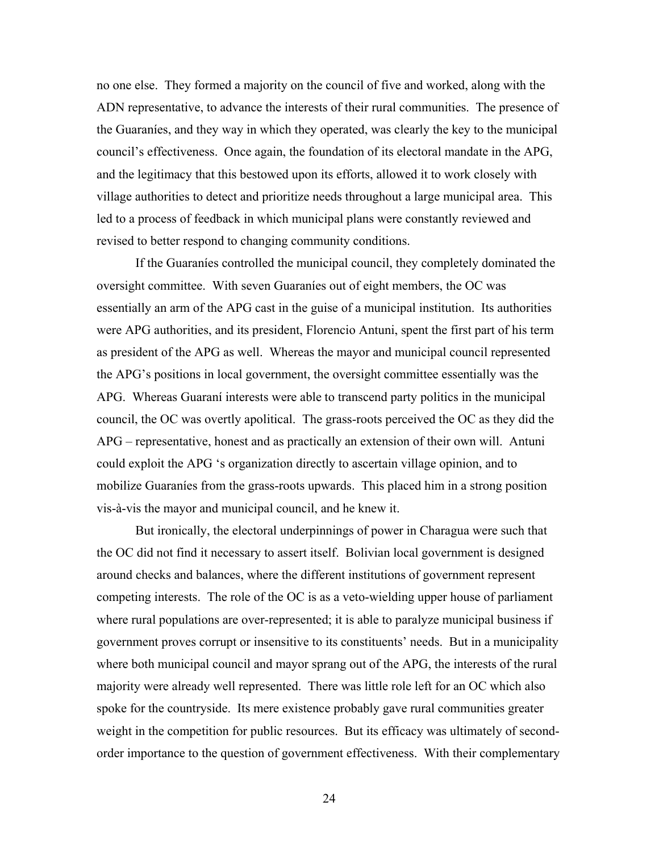no one else. They formed a majority on the council of five and worked, along with the ADN representative, to advance the interests of their rural communities. The presence of the Guaraníes, and they way in which they operated, was clearly the key to the municipal council's effectiveness. Once again, the foundation of its electoral mandate in the APG, and the legitimacy that this bestowed upon its efforts, allowed it to work closely with village authorities to detect and prioritize needs throughout a large municipal area. This led to a process of feedback in which municipal plans were constantly reviewed and revised to better respond to changing community conditions.

If the Guaraníes controlled the municipal council, they completely dominated the oversight committee. With seven Guaraníes out of eight members, the OC was essentially an arm of the APG cast in the guise of a municipal institution. Its authorities were APG authorities, and its president, Florencio Antuni, spent the first part of his term as president of the APG as well. Whereas the mayor and municipal council represented the APG's positions in local government, the oversight committee essentially was the APG. Whereas Guaraní interests were able to transcend party politics in the municipal council, the OC was overtly apolitical. The grass-roots perceived the OC as they did the APG – representative, honest and as practically an extension of their own will. Antuni could exploit the APG 's organization directly to ascertain village opinion, and to mobilize Guaraníes from the grass-roots upwards. This placed him in a strong position vis-à-vis the mayor and municipal council, and he knew it.

But ironically, the electoral underpinnings of power in Charagua were such that the OC did not find it necessary to assert itself. Bolivian local government is designed around checks and balances, where the different institutions of government represent competing interests. The role of the OC is as a veto-wielding upper house of parliament where rural populations are over-represented; it is able to paralyze municipal business if government proves corrupt or insensitive to its constituents' needs. But in a municipality where both municipal council and mayor sprang out of the APG, the interests of the rural majority were already well represented. There was little role left for an OC which also spoke for the countryside. Its mere existence probably gave rural communities greater weight in the competition for public resources. But its efficacy was ultimately of secondorder importance to the question of government effectiveness. With their complementary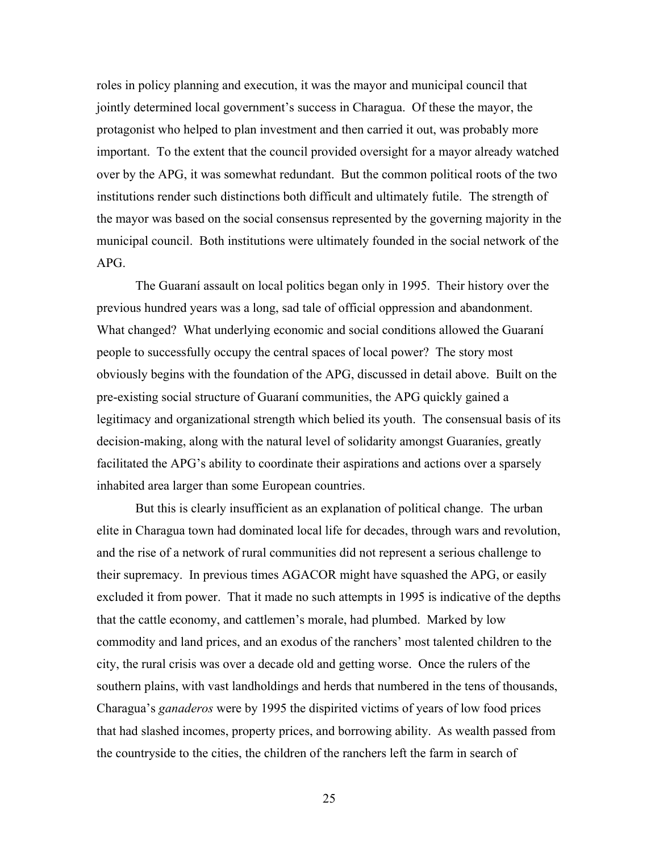roles in policy planning and execution, it was the mayor and municipal council that jointly determined local government's success in Charagua. Of these the mayor, the protagonist who helped to plan investment and then carried it out, was probably more important. To the extent that the council provided oversight for a mayor already watched over by the APG, it was somewhat redundant. But the common political roots of the two institutions render such distinctions both difficult and ultimately futile. The strength of the mayor was based on the social consensus represented by the governing majority in the municipal council. Both institutions were ultimately founded in the social network of the APG.

The Guaraní assault on local politics began only in 1995. Their history over the previous hundred years was a long, sad tale of official oppression and abandonment. What changed? What underlying economic and social conditions allowed the Guaraní people to successfully occupy the central spaces of local power? The story most obviously begins with the foundation of the APG, discussed in detail above. Built on the pre-existing social structure of Guaraní communities, the APG quickly gained a legitimacy and organizational strength which belied its youth. The consensual basis of its decision-making, along with the natural level of solidarity amongst Guaraníes, greatly facilitated the APG's ability to coordinate their aspirations and actions over a sparsely inhabited area larger than some European countries.

But this is clearly insufficient as an explanation of political change. The urban elite in Charagua town had dominated local life for decades, through wars and revolution, and the rise of a network of rural communities did not represent a serious challenge to their supremacy. In previous times AGACOR might have squashed the APG, or easily excluded it from power. That it made no such attempts in 1995 is indicative of the depths that the cattle economy, and cattlemen's morale, had plumbed. Marked by low commodity and land prices, and an exodus of the ranchers' most talented children to the city, the rural crisis was over a decade old and getting worse. Once the rulers of the southern plains, with vast landholdings and herds that numbered in the tens of thousands, Charagua's *ganaderos* were by 1995 the dispirited victims of years of low food prices that had slashed incomes, property prices, and borrowing ability. As wealth passed from the countryside to the cities, the children of the ranchers left the farm in search of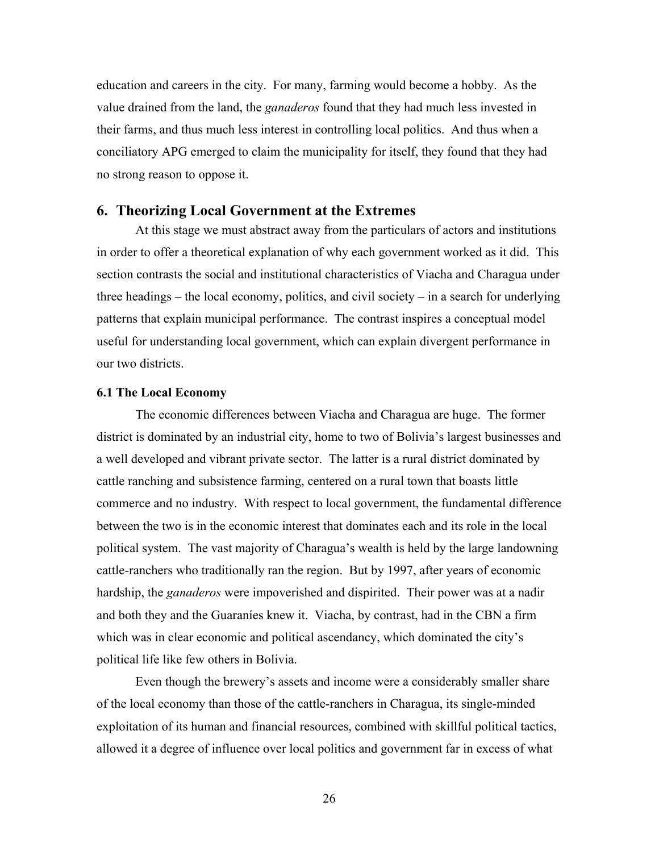education and careers in the city. For many, farming would become a hobby. As the value drained from the land, the *ganaderos* found that they had much less invested in their farms, and thus much less interest in controlling local politics. And thus when a conciliatory APG emerged to claim the municipality for itself, they found that they had no strong reason to oppose it.

## **6. Theorizing Local Government at the Extremes**

At this stage we must abstract away from the particulars of actors and institutions in order to offer a theoretical explanation of why each government worked as it did. This section contrasts the social and institutional characteristics of Viacha and Charagua under three headings – the local economy, politics, and civil society – in a search for underlying patterns that explain municipal performance. The contrast inspires a conceptual model useful for understanding local government, which can explain divergent performance in our two districts.

## **6.1 The Local Economy**

The economic differences between Viacha and Charagua are huge. The former district is dominated by an industrial city, home to two of Bolivia's largest businesses and a well developed and vibrant private sector. The latter is a rural district dominated by cattle ranching and subsistence farming, centered on a rural town that boasts little commerce and no industry. With respect to local government, the fundamental difference between the two is in the economic interest that dominates each and its role in the local political system. The vast majority of Charagua's wealth is held by the large landowning cattle-ranchers who traditionally ran the region. But by 1997, after years of economic hardship, the *ganaderos* were impoverished and dispirited. Their power was at a nadir and both they and the Guaraníes knew it. Viacha, by contrast, had in the CBN a firm which was in clear economic and political ascendancy, which dominated the city's political life like few others in Bolivia.

Even though the brewery's assets and income were a considerably smaller share of the local economy than those of the cattle-ranchers in Charagua, its single-minded exploitation of its human and financial resources, combined with skillful political tactics, allowed it a degree of influence over local politics and government far in excess of what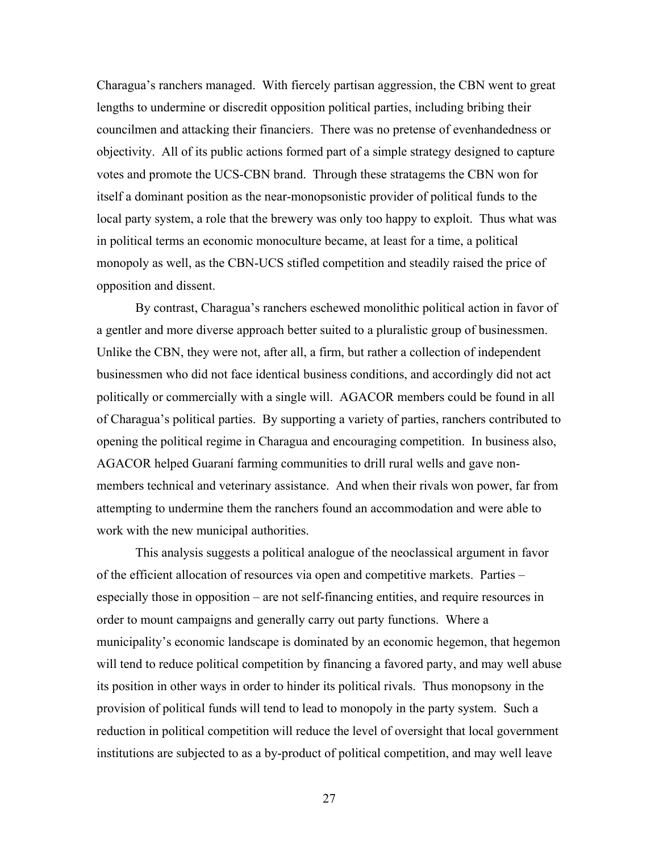Charagua's ranchers managed. With fiercely partisan aggression, the CBN went to great lengths to undermine or discredit opposition political parties, including bribing their councilmen and attacking their financiers. There was no pretense of evenhandedness or objectivity. All of its public actions formed part of a simple strategy designed to capture votes and promote the UCS-CBN brand. Through these stratagems the CBN won for itself a dominant position as the near-monopsonistic provider of political funds to the local party system, a role that the brewery was only too happy to exploit. Thus what was in political terms an economic monoculture became, at least for a time, a political monopoly as well, as the CBN-UCS stifled competition and steadily raised the price of opposition and dissent.

By contrast, Charagua's ranchers eschewed monolithic political action in favor of a gentler and more diverse approach better suited to a pluralistic group of businessmen. Unlike the CBN, they were not, after all, a firm, but rather a collection of independent businessmen who did not face identical business conditions, and accordingly did not act politically or commercially with a single will. AGACOR members could be found in all of Charagua's political parties. By supporting a variety of parties, ranchers contributed to opening the political regime in Charagua and encouraging competition. In business also, AGACOR helped Guaraní farming communities to drill rural wells and gave nonmembers technical and veterinary assistance. And when their rivals won power, far from attempting to undermine them the ranchers found an accommodation and were able to work with the new municipal authorities.

This analysis suggests a political analogue of the neoclassical argument in favor of the efficient allocation of resources via open and competitive markets. Parties – especially those in opposition – are not self-financing entities, and require resources in order to mount campaigns and generally carry out party functions. Where a municipality's economic landscape is dominated by an economic hegemon, that hegemon will tend to reduce political competition by financing a favored party, and may well abuse its position in other ways in order to hinder its political rivals. Thus monopsony in the provision of political funds will tend to lead to monopoly in the party system. Such a reduction in political competition will reduce the level of oversight that local government institutions are subjected to as a by-product of political competition, and may well leave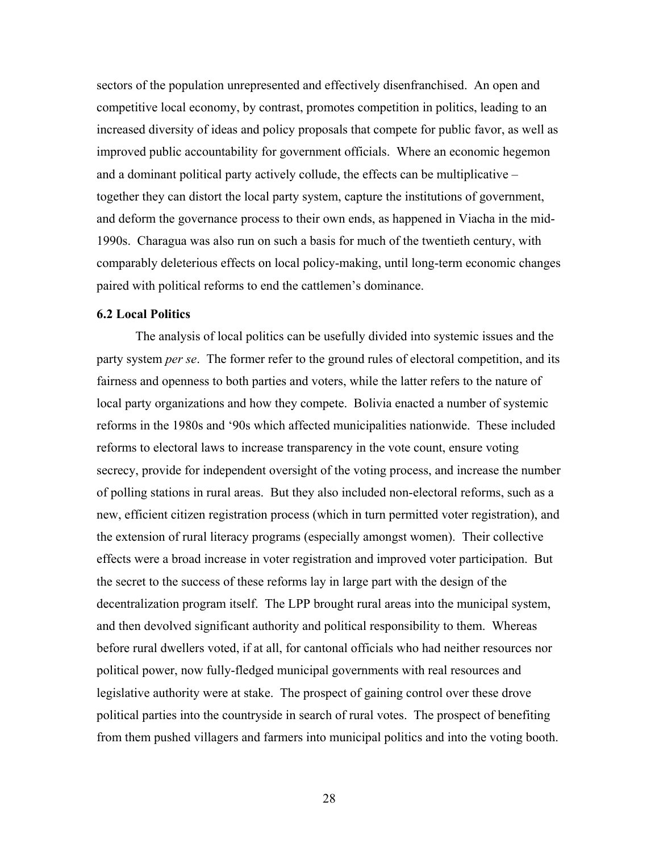sectors of the population unrepresented and effectively disenfranchised. An open and competitive local economy, by contrast, promotes competition in politics, leading to an increased diversity of ideas and policy proposals that compete for public favor, as well as improved public accountability for government officials. Where an economic hegemon and a dominant political party actively collude, the effects can be multiplicative – together they can distort the local party system, capture the institutions of government, and deform the governance process to their own ends, as happened in Viacha in the mid-1990s. Charagua was also run on such a basis for much of the twentieth century, with comparably deleterious effects on local policy-making, until long-term economic changes paired with political reforms to end the cattlemen's dominance.

#### **6.2 Local Politics**

The analysis of local politics can be usefully divided into systemic issues and the party system *per se*. The former refer to the ground rules of electoral competition, and its fairness and openness to both parties and voters, while the latter refers to the nature of local party organizations and how they compete. Bolivia enacted a number of systemic reforms in the 1980s and '90s which affected municipalities nationwide. These included reforms to electoral laws to increase transparency in the vote count, ensure voting secrecy, provide for independent oversight of the voting process, and increase the number of polling stations in rural areas. But they also included non-electoral reforms, such as a new, efficient citizen registration process (which in turn permitted voter registration), and the extension of rural literacy programs (especially amongst women). Their collective effects were a broad increase in voter registration and improved voter participation. But the secret to the success of these reforms lay in large part with the design of the decentralization program itself. The LPP brought rural areas into the municipal system, and then devolved significant authority and political responsibility to them. Whereas before rural dwellers voted, if at all, for cantonal officials who had neither resources nor political power, now fully-fledged municipal governments with real resources and legislative authority were at stake. The prospect of gaining control over these drove political parties into the countryside in search of rural votes. The prospect of benefiting from them pushed villagers and farmers into municipal politics and into the voting booth.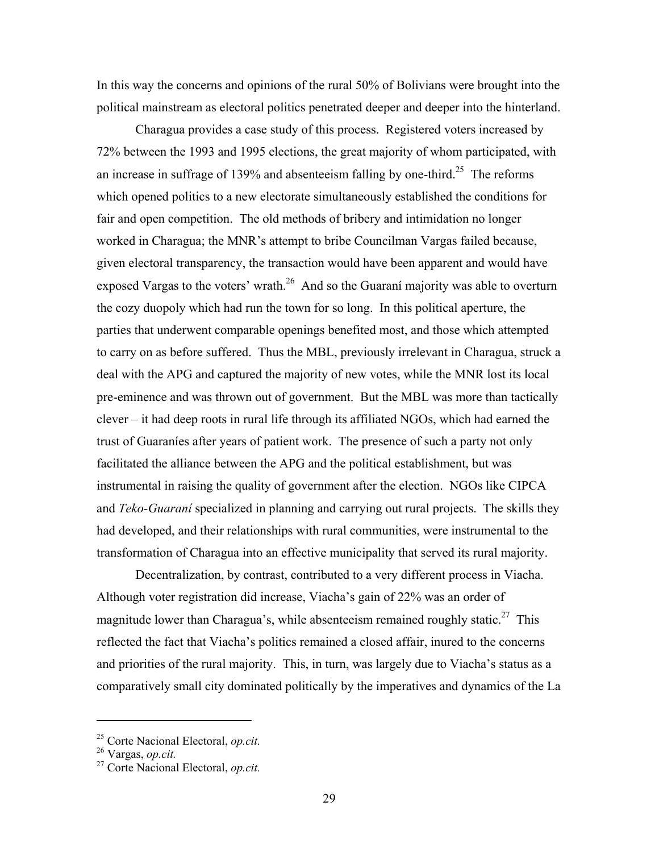In this way the concerns and opinions of the rural 50% of Bolivians were brought into the political mainstream as electoral politics penetrated deeper and deeper into the hinterland.

Charagua provides a case study of this process. Registered voters increased by 72% between the 1993 and 1995 elections, the great majority of whom participated, with an increase in suffrage of 139% and absenteeism falling by one-third.<sup>25</sup> The reforms which opened politics to a new electorate simultaneously established the conditions for fair and open competition. The old methods of bribery and intimidation no longer worked in Charagua; the MNR's attempt to bribe Councilman Vargas failed because, given electoral transparency, the transaction would have been apparent and would have exposed Vargas to the voters' wrath.<sup>26</sup> And so the Guarani majority was able to overturn the cozy duopoly which had run the town for so long. In this political aperture, the parties that underwent comparable openings benefited most, and those which attempted to carry on as before suffered. Thus the MBL, previously irrelevant in Charagua, struck a deal with the APG and captured the majority of new votes, while the MNR lost its local pre-eminence and was thrown out of government. But the MBL was more than tactically clever – it had deep roots in rural life through its affiliated NGOs, which had earned the trust of Guaraníes after years of patient work. The presence of such a party not only facilitated the alliance between the APG and the political establishment, but was instrumental in raising the quality of government after the election. NGOs like CIPCA and *Teko-Guaraní* specialized in planning and carrying out rural projects. The skills they had developed, and their relationships with rural communities, were instrumental to the transformation of Charagua into an effective municipality that served its rural majority.

Decentralization, by contrast, contributed to a very different process in Viacha. Although voter registration did increase, Viacha's gain of 22% was an order of magnitude lower than Charagua's, while absenteeism remained roughly static.<sup>27</sup> This reflected the fact that Viacha's politics remained a closed affair, inured to the concerns and priorities of the rural majority. This, in turn, was largely due to Viacha's status as a comparatively small city dominated politically by the imperatives and dynamics of the La

<span id="page-29-0"></span><sup>25</sup> Corte Nacional Electoral, *op.cit.*

<span id="page-29-1"></span><sup>26</sup> Vargas, *op.cit.*

<span id="page-29-2"></span><sup>27</sup> Corte Nacional Electoral, *op.cit.*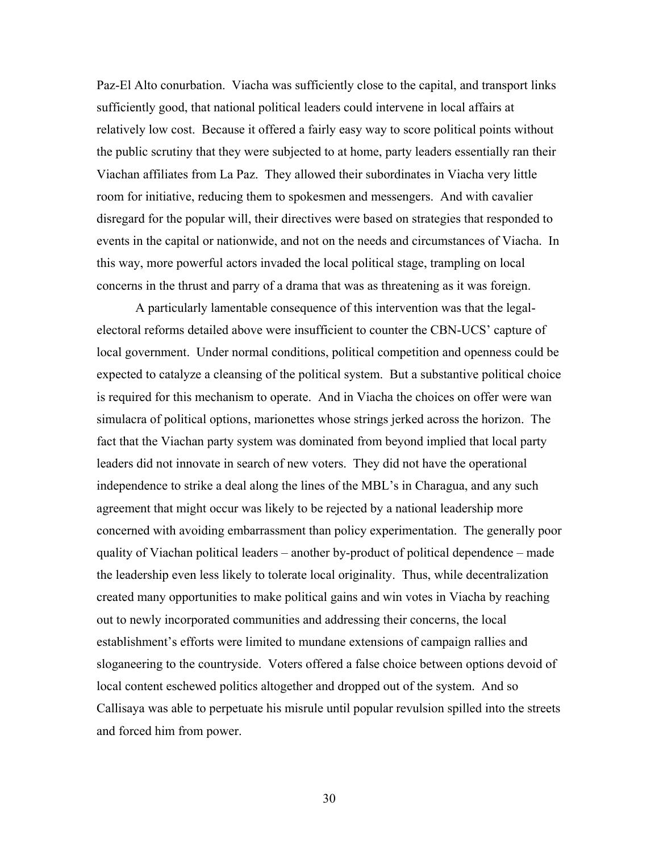Paz-El Alto conurbation. Viacha was sufficiently close to the capital, and transport links sufficiently good, that national political leaders could intervene in local affairs at relatively low cost. Because it offered a fairly easy way to score political points without the public scrutiny that they were subjected to at home, party leaders essentially ran their Viachan affiliates from La Paz. They allowed their subordinates in Viacha very little room for initiative, reducing them to spokesmen and messengers. And with cavalier disregard for the popular will, their directives were based on strategies that responded to events in the capital or nationwide, and not on the needs and circumstances of Viacha. In this way, more powerful actors invaded the local political stage, trampling on local concerns in the thrust and parry of a drama that was as threatening as it was foreign.

A particularly lamentable consequence of this intervention was that the legalelectoral reforms detailed above were insufficient to counter the CBN-UCS' capture of local government. Under normal conditions, political competition and openness could be expected to catalyze a cleansing of the political system. But a substantive political choice is required for this mechanism to operate. And in Viacha the choices on offer were wan simulacra of political options, marionettes whose strings jerked across the horizon. The fact that the Viachan party system was dominated from beyond implied that local party leaders did not innovate in search of new voters. They did not have the operational independence to strike a deal along the lines of the MBL's in Charagua, and any such agreement that might occur was likely to be rejected by a national leadership more concerned with avoiding embarrassment than policy experimentation. The generally poor quality of Viachan political leaders – another by-product of political dependence – made the leadership even less likely to tolerate local originality. Thus, while decentralization created many opportunities to make political gains and win votes in Viacha by reaching out to newly incorporated communities and addressing their concerns, the local establishment's efforts were limited to mundane extensions of campaign rallies and sloganeering to the countryside. Voters offered a false choice between options devoid of local content eschewed politics altogether and dropped out of the system. And so Callisaya was able to perpetuate his misrule until popular revulsion spilled into the streets and forced him from power.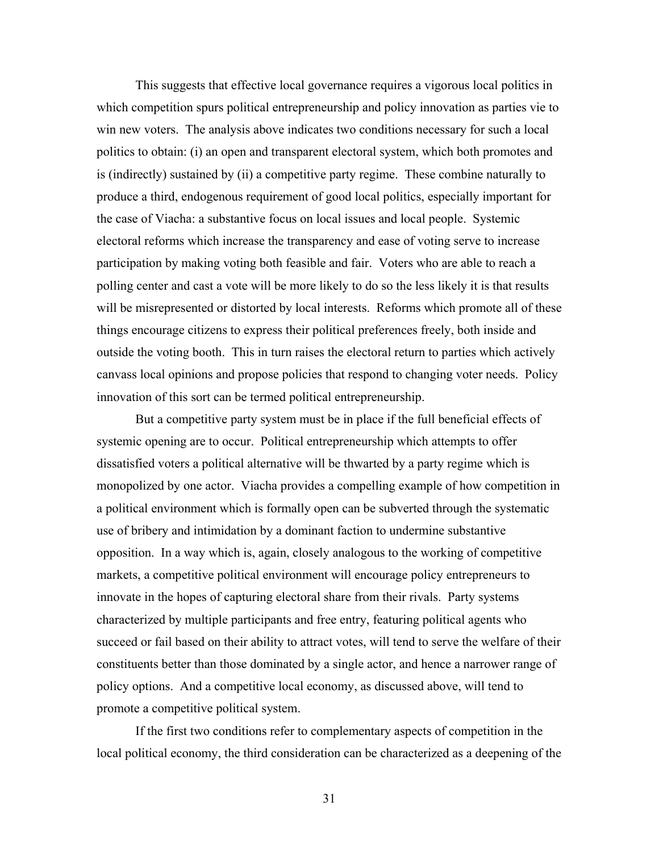This suggests that effective local governance requires a vigorous local politics in which competition spurs political entrepreneurship and policy innovation as parties vie to win new voters. The analysis above indicates two conditions necessary for such a local politics to obtain: (i) an open and transparent electoral system, which both promotes and is (indirectly) sustained by (ii) a competitive party regime. These combine naturally to produce a third, endogenous requirement of good local politics, especially important for the case of Viacha: a substantive focus on local issues and local people. Systemic electoral reforms which increase the transparency and ease of voting serve to increase participation by making voting both feasible and fair. Voters who are able to reach a polling center and cast a vote will be more likely to do so the less likely it is that results will be misrepresented or distorted by local interests. Reforms which promote all of these things encourage citizens to express their political preferences freely, both inside and outside the voting booth. This in turn raises the electoral return to parties which actively canvass local opinions and propose policies that respond to changing voter needs. Policy innovation of this sort can be termed political entrepreneurship.

But a competitive party system must be in place if the full beneficial effects of systemic opening are to occur. Political entrepreneurship which attempts to offer dissatisfied voters a political alternative will be thwarted by a party regime which is monopolized by one actor. Viacha provides a compelling example of how competition in a political environment which is formally open can be subverted through the systematic use of bribery and intimidation by a dominant faction to undermine substantive opposition. In a way which is, again, closely analogous to the working of competitive markets, a competitive political environment will encourage policy entrepreneurs to innovate in the hopes of capturing electoral share from their rivals. Party systems characterized by multiple participants and free entry, featuring political agents who succeed or fail based on their ability to attract votes, will tend to serve the welfare of their constituents better than those dominated by a single actor, and hence a narrower range of policy options. And a competitive local economy, as discussed above, will tend to promote a competitive political system.

If the first two conditions refer to complementary aspects of competition in the local political economy, the third consideration can be characterized as a deepening of the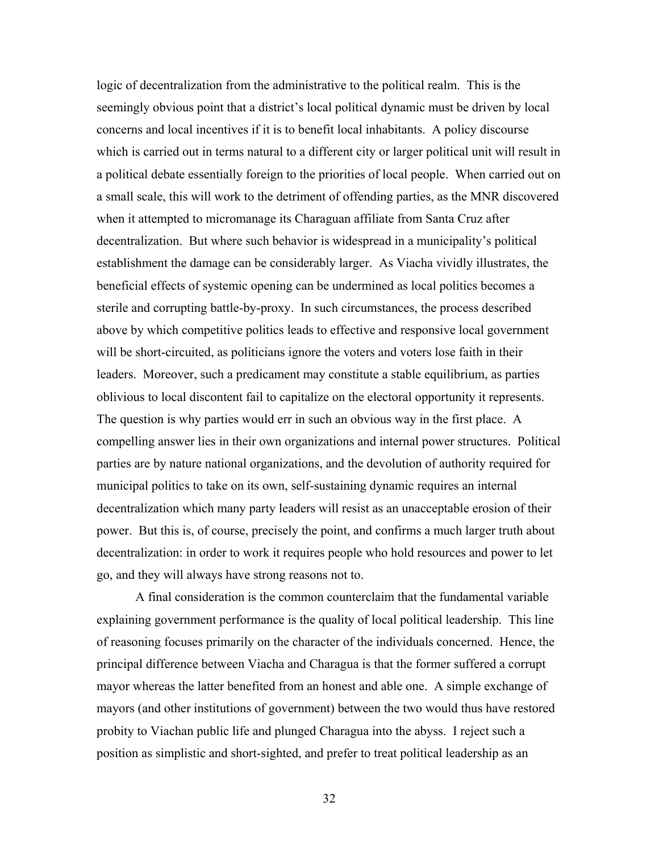logic of decentralization from the administrative to the political realm. This is the seemingly obvious point that a district's local political dynamic must be driven by local concerns and local incentives if it is to benefit local inhabitants. A policy discourse which is carried out in terms natural to a different city or larger political unit will result in a political debate essentially foreign to the priorities of local people. When carried out on a small scale, this will work to the detriment of offending parties, as the MNR discovered when it attempted to micromanage its Charaguan affiliate from Santa Cruz after decentralization. But where such behavior is widespread in a municipality's political establishment the damage can be considerably larger. As Viacha vividly illustrates, the beneficial effects of systemic opening can be undermined as local politics becomes a sterile and corrupting battle-by-proxy. In such circumstances, the process described above by which competitive politics leads to effective and responsive local government will be short-circuited, as politicians ignore the voters and voters lose faith in their leaders. Moreover, such a predicament may constitute a stable equilibrium, as parties oblivious to local discontent fail to capitalize on the electoral opportunity it represents. The question is why parties would err in such an obvious way in the first place. A compelling answer lies in their own organizations and internal power structures. Political parties are by nature national organizations, and the devolution of authority required for municipal politics to take on its own, self-sustaining dynamic requires an internal decentralization which many party leaders will resist as an unacceptable erosion of their power. But this is, of course, precisely the point, and confirms a much larger truth about decentralization: in order to work it requires people who hold resources and power to let go, and they will always have strong reasons not to.

A final consideration is the common counterclaim that the fundamental variable explaining government performance is the quality of local political leadership. This line of reasoning focuses primarily on the character of the individuals concerned. Hence, the principal difference between Viacha and Charagua is that the former suffered a corrupt mayor whereas the latter benefited from an honest and able one. A simple exchange of mayors (and other institutions of government) between the two would thus have restored probity to Viachan public life and plunged Charagua into the abyss. I reject such a position as simplistic and short-sighted, and prefer to treat political leadership as an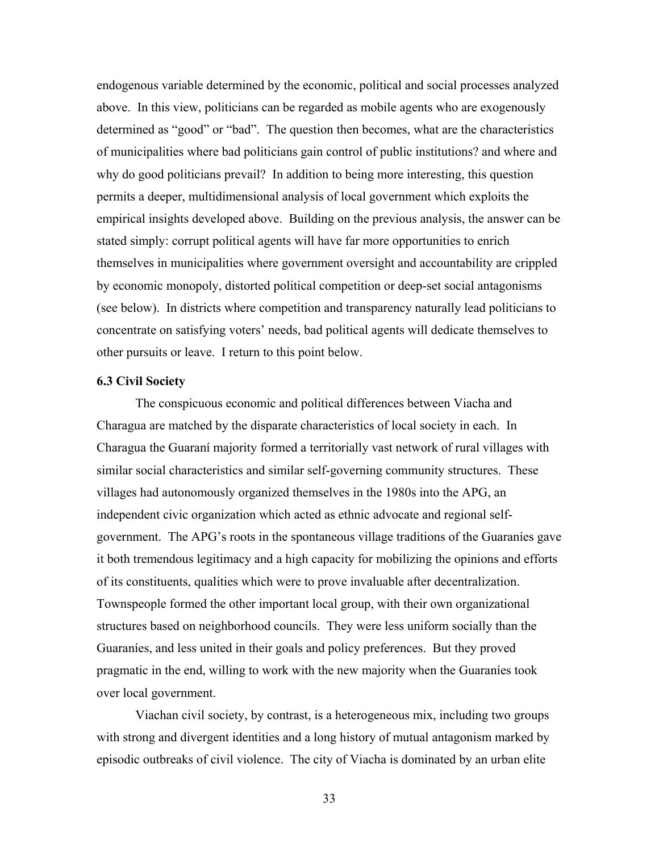endogenous variable determined by the economic, political and social processes analyzed above. In this view, politicians can be regarded as mobile agents who are exogenously determined as "good" or "bad". The question then becomes, what are the characteristics of municipalities where bad politicians gain control of public institutions? and where and why do good politicians prevail? In addition to being more interesting, this question permits a deeper, multidimensional analysis of local government which exploits the empirical insights developed above. Building on the previous analysis, the answer can be stated simply: corrupt political agents will have far more opportunities to enrich themselves in municipalities where government oversight and accountability are crippled by economic monopoly, distorted political competition or deep-set social antagonisms (see below). In districts where competition and transparency naturally lead politicians to concentrate on satisfying voters' needs, bad political agents will dedicate themselves to other pursuits or leave. I return to this point below.

#### **6.3 Civil Society**

The conspicuous economic and political differences between Viacha and Charagua are matched by the disparate characteristics of local society in each. In Charagua the Guaraní majority formed a territorially vast network of rural villages with similar social characteristics and similar self-governing community structures. These villages had autonomously organized themselves in the 1980s into the APG, an independent civic organization which acted as ethnic advocate and regional selfgovernment. The APG's roots in the spontaneous village traditions of the Guaraníes gave it both tremendous legitimacy and a high capacity for mobilizing the opinions and efforts of its constituents, qualities which were to prove invaluable after decentralization. Townspeople formed the other important local group, with their own organizational structures based on neighborhood councils. They were less uniform socially than the Guaraníes, and less united in their goals and policy preferences. But they proved pragmatic in the end, willing to work with the new majority when the Guaraníes took over local government.

Viachan civil society, by contrast, is a heterogeneous mix, including two groups with strong and divergent identities and a long history of mutual antagonism marked by episodic outbreaks of civil violence. The city of Viacha is dominated by an urban elite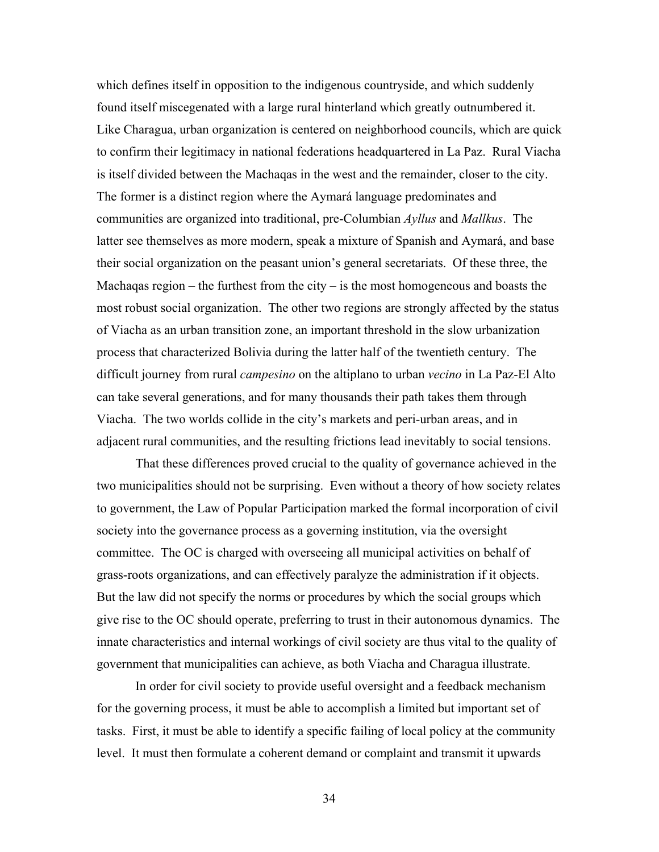which defines itself in opposition to the indigenous countryside, and which suddenly found itself miscegenated with a large rural hinterland which greatly outnumbered it. Like Charagua, urban organization is centered on neighborhood councils, which are quick to confirm their legitimacy in national federations headquartered in La Paz. Rural Viacha is itself divided between the Machaqas in the west and the remainder, closer to the city. The former is a distinct region where the Aymará language predominates and communities are organized into traditional, pre-Columbian *Ayllus* and *Mallkus*. The latter see themselves as more modern, speak a mixture of Spanish and Aymará, and base their social organization on the peasant union's general secretariats. Of these three, the Machaqas region – the furthest from the city – is the most homogeneous and boasts the most robust social organization. The other two regions are strongly affected by the status of Viacha as an urban transition zone, an important threshold in the slow urbanization process that characterized Bolivia during the latter half of the twentieth century. The difficult journey from rural *campesino* on the altiplano to urban *vecino* in La Paz-El Alto can take several generations, and for many thousands their path takes them through Viacha. The two worlds collide in the city's markets and peri-urban areas, and in adjacent rural communities, and the resulting frictions lead inevitably to social tensions.

That these differences proved crucial to the quality of governance achieved in the two municipalities should not be surprising. Even without a theory of how society relates to government, the Law of Popular Participation marked the formal incorporation of civil society into the governance process as a governing institution, via the oversight committee. The OC is charged with overseeing all municipal activities on behalf of grass-roots organizations, and can effectively paralyze the administration if it objects. But the law did not specify the norms or procedures by which the social groups which give rise to the OC should operate, preferring to trust in their autonomous dynamics. The innate characteristics and internal workings of civil society are thus vital to the quality of government that municipalities can achieve, as both Viacha and Charagua illustrate.

In order for civil society to provide useful oversight and a feedback mechanism for the governing process, it must be able to accomplish a limited but important set of tasks. First, it must be able to identify a specific failing of local policy at the community level. It must then formulate a coherent demand or complaint and transmit it upwards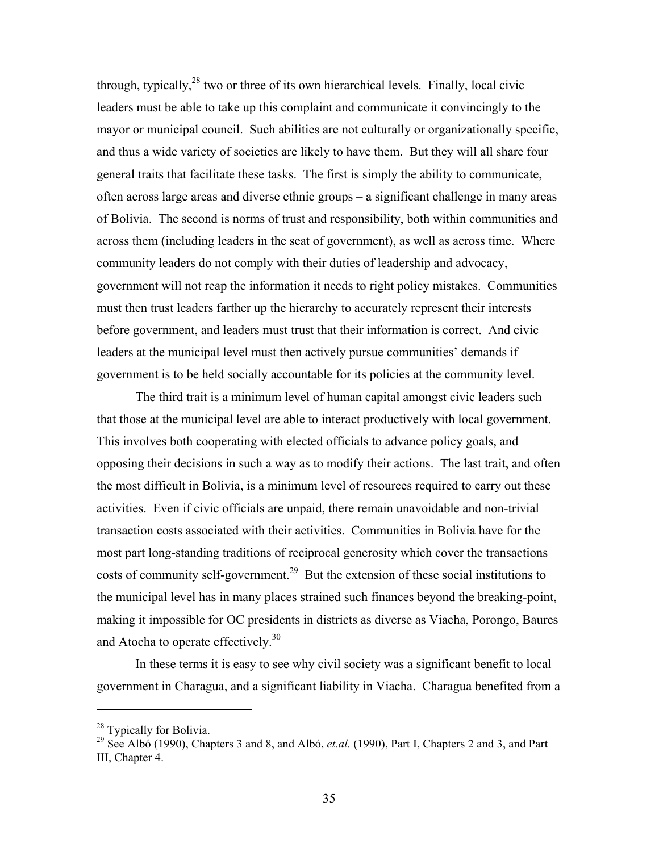through, typically, $28$  two or three of its own hierarchical levels. Finally, local civic leaders must be able to take up this complaint and communicate it convincingly to the mayor or municipal council. Such abilities are not culturally or organizationally specific, and thus a wide variety of societies are likely to have them. But they will all share four general traits that facilitate these tasks. The first is simply the ability to communicate, often across large areas and diverse ethnic groups – a significant challenge in many areas of Bolivia. The second is norms of trust and responsibility, both within communities and across them (including leaders in the seat of government), as well as across time. Where community leaders do not comply with their duties of leadership and advocacy, government will not reap the information it needs to right policy mistakes. Communities must then trust leaders farther up the hierarchy to accurately represent their interests before government, and leaders must trust that their information is correct. And civic leaders at the municipal level must then actively pursue communities' demands if government is to be held socially accountable for its policies at the community level.

The third trait is a minimum level of human capital amongst civic leaders such that those at the municipal level are able to interact productively with local government. This involves both cooperating with elected officials to advance policy goals, and opposing their decisions in such a way as to modify their actions. The last trait, and often the most difficult in Bolivia, is a minimum level of resources required to carry out these activities. Even if civic officials are unpaid, there remain unavoidable and non-trivial transaction costs associated with their activities. Communities in Bolivia have for the most part long-standing traditions of reciprocal generosity which cover the transactions costs of community self-government.<sup>29</sup> But the extension of these social institutions to the municipal level has in many places strained such finances beyond the breaking-point, making it impossible for OC presidents in districts as diverse as Viacha, Porongo, Baures and Atocha to operate effectively.<sup>[30](#page-35-2)</sup>

In these terms it is easy to see why civil society was a significant benefit to local government in Charagua, and a significant liability in Viacha. Charagua benefited from a

<span id="page-35-0"></span><sup>&</sup>lt;sup>28</sup> Typically for Bolivia.

<span id="page-35-2"></span><span id="page-35-1"></span><sup>29</sup> See Albó (1990), Chapters 3 and 8, and Albó, *et.al.* (1990), Part I, Chapters 2 and 3, and Part III, Chapter 4.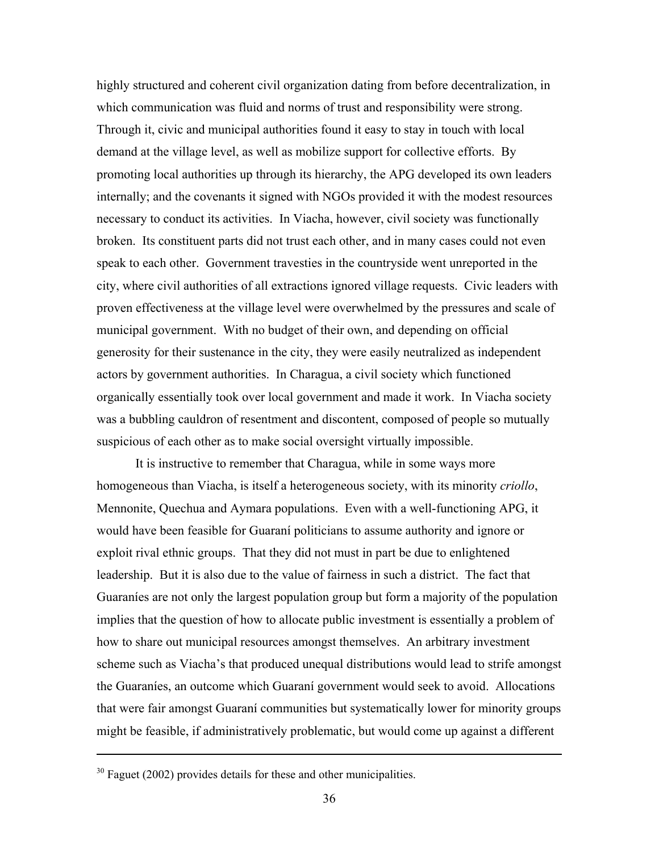highly structured and coherent civil organization dating from before decentralization, in which communication was fluid and norms of trust and responsibility were strong. Through it, civic and municipal authorities found it easy to stay in touch with local demand at the village level, as well as mobilize support for collective efforts. By promoting local authorities up through its hierarchy, the APG developed its own leaders internally; and the covenants it signed with NGOs provided it with the modest resources necessary to conduct its activities. In Viacha, however, civil society was functionally broken. Its constituent parts did not trust each other, and in many cases could not even speak to each other. Government travesties in the countryside went unreported in the city, where civil authorities of all extractions ignored village requests. Civic leaders with proven effectiveness at the village level were overwhelmed by the pressures and scale of municipal government. With no budget of their own, and depending on official generosity for their sustenance in the city, they were easily neutralized as independent actors by government authorities. In Charagua, a civil society which functioned organically essentially took over local government and made it work. In Viacha society was a bubbling cauldron of resentment and discontent, composed of people so mutually suspicious of each other as to make social oversight virtually impossible.

It is instructive to remember that Charagua, while in some ways more homogeneous than Viacha, is itself a heterogeneous society, with its minority *criollo*, Mennonite, Quechua and Aymara populations. Even with a well-functioning APG, it would have been feasible for Guaraní politicians to assume authority and ignore or exploit rival ethnic groups. That they did not must in part be due to enlightened leadership. But it is also due to the value of fairness in such a district. The fact that Guaraníes are not only the largest population group but form a majority of the population implies that the question of how to allocate public investment is essentially a problem of how to share out municipal resources amongst themselves. An arbitrary investment scheme such as Viacha's that produced unequal distributions would lead to strife amongst the Guaraníes, an outcome which Guaraní government would seek to avoid. Allocations that were fair amongst Guaraní communities but systematically lower for minority groups might be feasible, if administratively problematic, but would come up against a different

 $30$  Faguet (2002) provides details for these and other municipalities.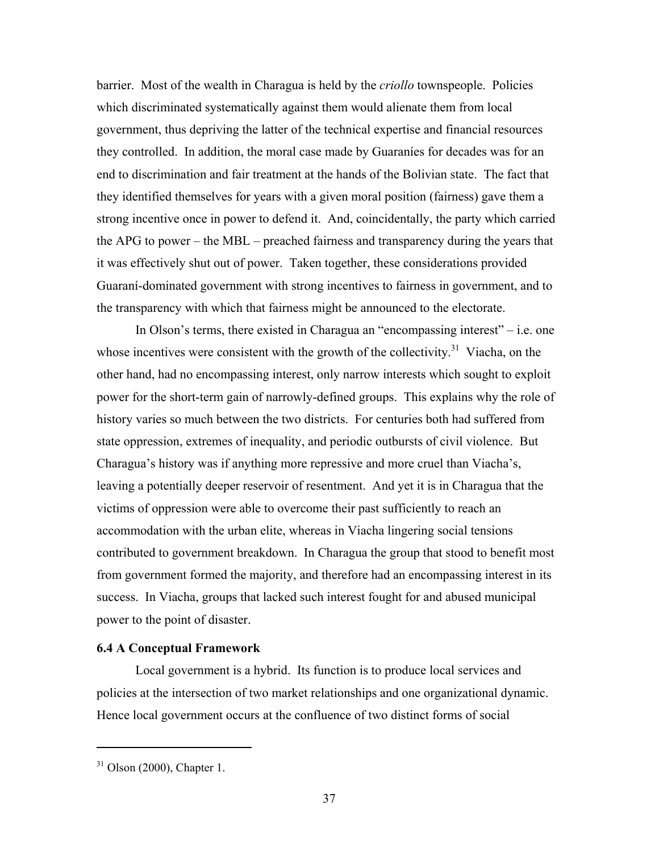barrier. Most of the wealth in Charagua is held by the *criollo* townspeople. Policies which discriminated systematically against them would alienate them from local government, thus depriving the latter of the technical expertise and financial resources they controlled. In addition, the moral case made by Guaraníes for decades was for an end to discrimination and fair treatment at the hands of the Bolivian state. The fact that they identified themselves for years with a given moral position (fairness) gave them a strong incentive once in power to defend it. And, coincidentally, the party which carried the APG to power – the MBL – preached fairness and transparency during the years that it was effectively shut out of power. Taken together, these considerations provided Guaraní-dominated government with strong incentives to fairness in government, and to the transparency with which that fairness might be announced to the electorate.

In Olson's terms, there existed in Charagua an "encompassing interest" – i.e. one whose incentives were consistent with the growth of the collectivity.<sup>31</sup> Viacha, on the other hand, had no encompassing interest, only narrow interests which sought to exploit power for the short-term gain of narrowly-defined groups. This explains why the role of history varies so much between the two districts. For centuries both had suffered from state oppression, extremes of inequality, and periodic outbursts of civil violence. But Charagua's history was if anything more repressive and more cruel than Viacha's, leaving a potentially deeper reservoir of resentment. And yet it is in Charagua that the victims of oppression were able to overcome their past sufficiently to reach an accommodation with the urban elite, whereas in Viacha lingering social tensions contributed to government breakdown. In Charagua the group that stood to benefit most from government formed the majority, and therefore had an encompassing interest in its success. In Viacha, groups that lacked such interest fought for and abused municipal power to the point of disaster.

### **6.4 A Conceptual Framework**

Local government is a hybrid. Its function is to produce local services and policies at the intersection of two market relationships and one organizational dynamic. Hence local government occurs at the confluence of two distinct forms of social

<span id="page-37-0"></span> $31$  Olson (2000), Chapter 1.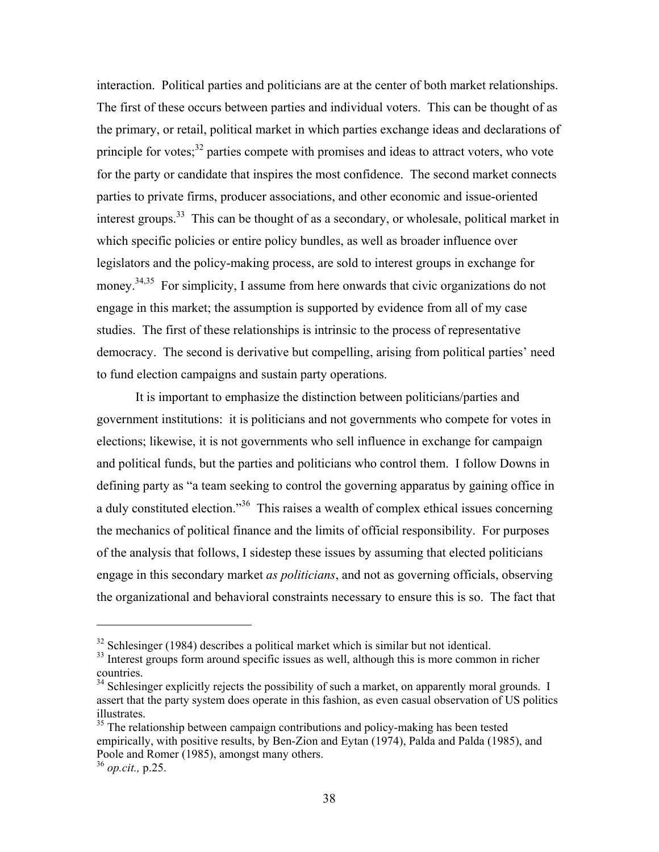interaction. Political parties and politicians are at the center of both market relationships. The first of these occurs between parties and individual voters. This can be thought of as the primary, or retail, political market in which parties exchange ideas and declarations of principle for votes; $32$  parties compete with promises and ideas to attract voters, who vote for the party or candidate that inspires the most confidence. The second market connects parties to private firms, producer associations, and other economic and issue-oriented interest groups.<sup>33</sup> This can be thought of as a secondary, or wholesale, political market in which specific policies or entire policy bundles, as well as broader influence over legislators and the policy-making process, are sold to interest groups in exchange for money.<sup>[34,](#page-38-2)35</sup> For simplicity, I assume from here onwards that civic organizations do not engage in this market; the assumption is supported by evidence from all of my case studies. The first of these relationships is intrinsic to the process of representative democracy. The second is derivative but compelling, arising from political parties' need to fund election campaigns and sustain party operations.

It is important to emphasize the distinction between politicians/parties and government institutions: it is politicians and not governments who compete for votes in elections; likewise, it is not governments who sell influence in exchange for campaign and political funds, but the parties and politicians who control them. I follow Downs in defining party as "a team seeking to control the governing apparatus by gaining office in a duly constituted election."<sup>36</sup> This raises a wealth of complex ethical issues concerning the mechanics of political finance and the limits of official responsibility. For purposes of the analysis that follows, I sidestep these issues by assuming that elected politicians engage in this secondary market *as politicians*, and not as governing officials, observing the organizational and behavioral constraints necessary to ensure this is so. The fact that

<span id="page-38-0"></span> $32$  Schlesinger (1984) describes a political market which is similar but not identical.

<span id="page-38-1"></span><sup>&</sup>lt;sup>33</sup> Interest groups form around specific issues as well, although this is more common in richer countries.

<span id="page-38-2"></span> $34$  Schlesinger explicitly rejects the possibility of such a market, on apparently moral grounds. I assert that the party system does operate in this fashion, as even casual observation of US politics illustrates.

<span id="page-38-3"></span> $35$  The relationship between campaign contributions and policy-making has been tested empirically, with positive results, by Ben-Zion and Eytan (1974), Palda and Palda (1985), and Poole and Romer (1985), amongst many others.

<span id="page-38-4"></span><sup>36</sup> *op.cit.,* p.25.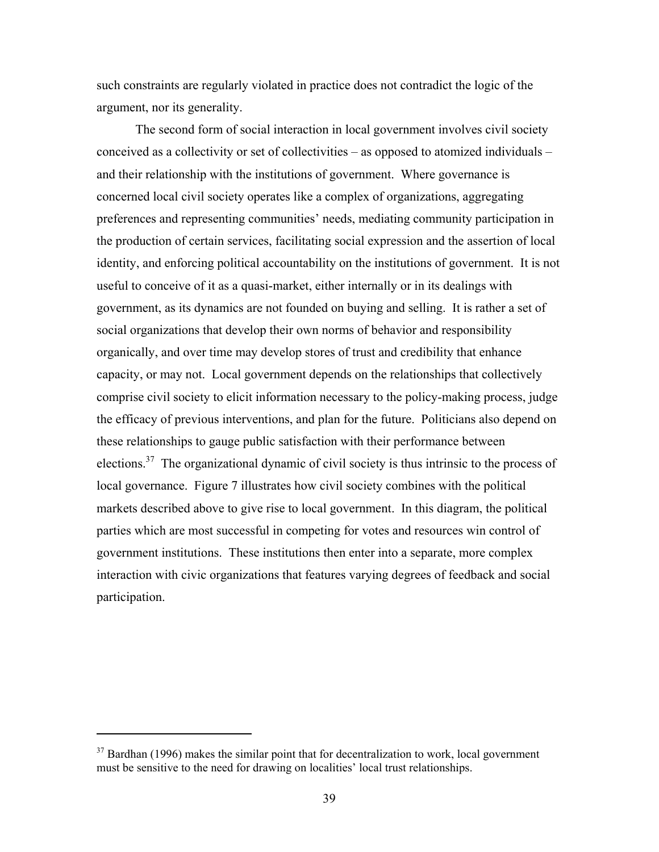such constraints are regularly violated in practice does not contradict the logic of the argument, nor its generality.

The second form of social interaction in local government involves civil society conceived as a collectivity or set of collectivities – as opposed to atomized individuals – and their relationship with the institutions of government. Where governance is concerned local civil society operates like a complex of organizations, aggregating preferences and representing communities' needs, mediating community participation in the production of certain services, facilitating social expression and the assertion of local identity, and enforcing political accountability on the institutions of government. It is not useful to conceive of it as a quasi-market, either internally or in its dealings with government, as its dynamics are not founded on buying and selling. It is rather a set of social organizations that develop their own norms of behavior and responsibility organically, and over time may develop stores of trust and credibility that enhance capacity, or may not. Local government depends on the relationships that collectively comprise civil society to elicit information necessary to the policy-making process, judge the efficacy of previous interventions, and plan for the future. Politicians also depend on these relationships to gauge public satisfaction with their performance between elections.<sup>37</sup> The organizational dynamic of civil society is thus intrinsic to the process of local governance. Figure 7 illustrates how civil society combines with the political markets described above to give rise to local government. In this diagram, the political parties which are most successful in competing for votes and resources win control of government institutions. These institutions then enter into a separate, more complex interaction with civic organizations that features varying degrees of feedback and social participation.

<span id="page-39-0"></span> $37$  Bardhan (1996) makes the similar point that for decentralization to work, local government must be sensitive to the need for drawing on localities' local trust relationships.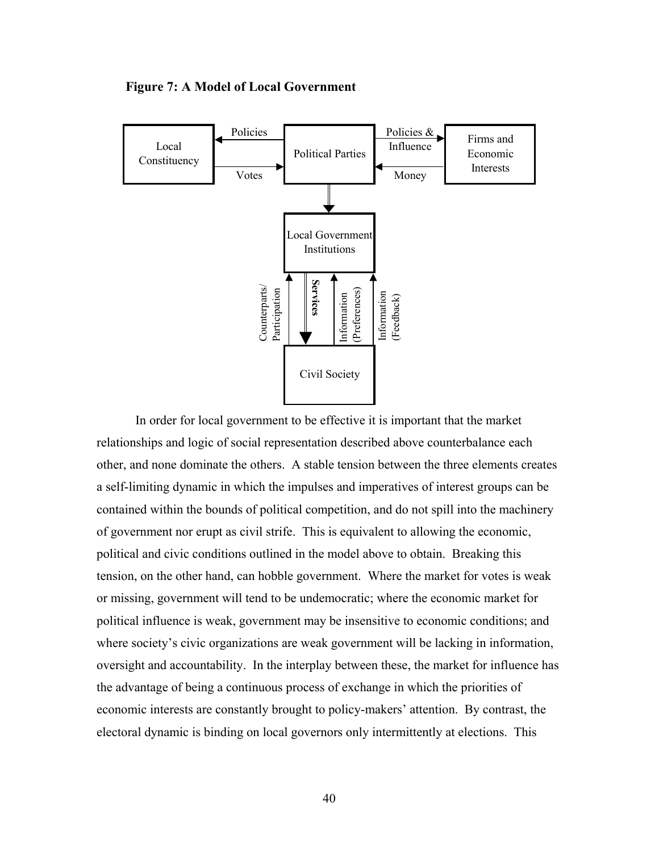



In order for local government to be effective it is important that the market relationships and logic of social representation described above counterbalance each other, and none dominate the others. A stable tension between the three elements creates a self-limiting dynamic in which the impulses and imperatives of interest groups can be contained within the bounds of political competition, and do not spill into the machinery of government nor erupt as civil strife. This is equivalent to allowing the economic, political and civic conditions outlined in the model above to obtain. Breaking this tension, on the other hand, can hobble government. Where the market for votes is weak or missing, government will tend to be undemocratic; where the economic market for political influence is weak, government may be insensitive to economic conditions; and where society's civic organizations are weak government will be lacking in information, oversight and accountability. In the interplay between these, the market for influence has the advantage of being a continuous process of exchange in which the priorities of economic interests are constantly brought to policy-makers' attention. By contrast, the electoral dynamic is binding on local governors only intermittently at elections. This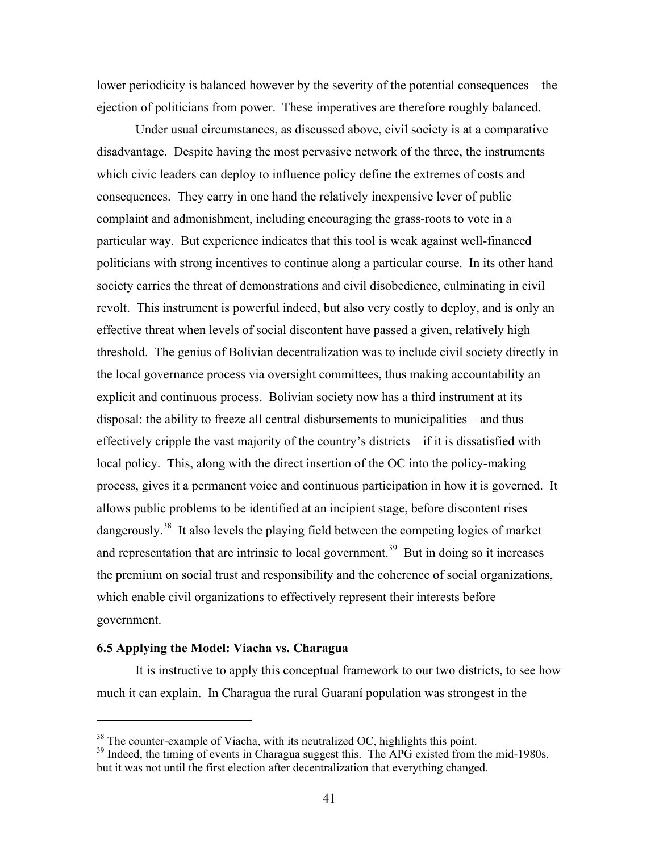lower periodicity is balanced however by the severity of the potential consequences – the ejection of politicians from power. These imperatives are therefore roughly balanced.

Under usual circumstances, as discussed above, civil society is at a comparative disadvantage. Despite having the most pervasive network of the three, the instruments which civic leaders can deploy to influence policy define the extremes of costs and consequences. They carry in one hand the relatively inexpensive lever of public complaint and admonishment, including encouraging the grass-roots to vote in a particular way. But experience indicates that this tool is weak against well-financed politicians with strong incentives to continue along a particular course. In its other hand society carries the threat of demonstrations and civil disobedience, culminating in civil revolt. This instrument is powerful indeed, but also very costly to deploy, and is only an effective threat when levels of social discontent have passed a given, relatively high threshold. The genius of Bolivian decentralization was to include civil society directly in the local governance process via oversight committees, thus making accountability an explicit and continuous process. Bolivian society now has a third instrument at its disposal: the ability to freeze all central disbursements to municipalities – and thus effectively cripple the vast majority of the country's districts – if it is dissatisfied with local policy. This, along with the direct insertion of the OC into the policy-making process, gives it a permanent voice and continuous participation in how it is governed. It allows public problems to be identified at an incipient stage, before discontent rises dangerously.<sup>38</sup> It also levels the playing field between the competing logics of market and representation that are intrinsic to local government.<sup>39</sup> But in doing so it increases the premium on social trust and responsibility and the coherence of social organizations, which enable civil organizations to effectively represent their interests before government.

## **6.5 Applying the Model: Viacha vs. Charagua**

 $\overline{a}$ 

It is instructive to apply this conceptual framework to our two districts, to see how much it can explain. In Charagua the rural Guaraní population was strongest in the

<span id="page-41-0"></span> $38$  The counter-example of Viacha, with its neutralized OC, highlights this point.

<span id="page-41-1"></span><sup>&</sup>lt;sup>39</sup> Indeed, the timing of events in Charagua suggest this. The APG existed from the mid-1980s, but it was not until the first election after decentralization that everything changed.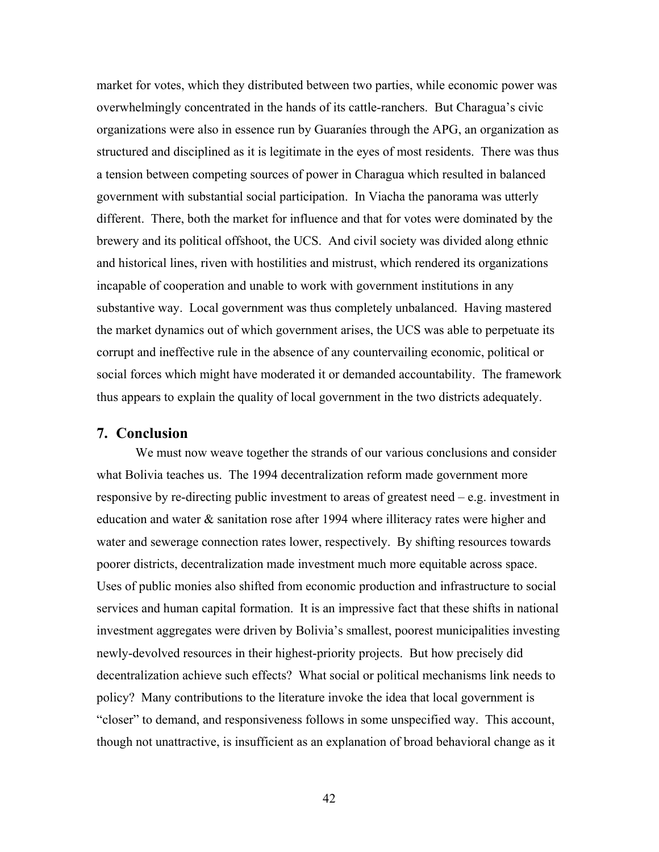market for votes, which they distributed between two parties, while economic power was overwhelmingly concentrated in the hands of its cattle-ranchers. But Charagua's civic organizations were also in essence run by Guaraníes through the APG, an organization as structured and disciplined as it is legitimate in the eyes of most residents. There was thus a tension between competing sources of power in Charagua which resulted in balanced government with substantial social participation. In Viacha the panorama was utterly different. There, both the market for influence and that for votes were dominated by the brewery and its political offshoot, the UCS. And civil society was divided along ethnic and historical lines, riven with hostilities and mistrust, which rendered its organizations incapable of cooperation and unable to work with government institutions in any substantive way. Local government was thus completely unbalanced. Having mastered the market dynamics out of which government arises, the UCS was able to perpetuate its corrupt and ineffective rule in the absence of any countervailing economic, political or social forces which might have moderated it or demanded accountability. The framework thus appears to explain the quality of local government in the two districts adequately.

## **7. Conclusion**

We must now weave together the strands of our various conclusions and consider what Bolivia teaches us. The 1994 decentralization reform made government more responsive by re-directing public investment to areas of greatest need – e.g. investment in education and water & sanitation rose after 1994 where illiteracy rates were higher and water and sewerage connection rates lower, respectively. By shifting resources towards poorer districts, decentralization made investment much more equitable across space. Uses of public monies also shifted from economic production and infrastructure to social services and human capital formation. It is an impressive fact that these shifts in national investment aggregates were driven by Bolivia's smallest, poorest municipalities investing newly-devolved resources in their highest-priority projects. But how precisely did decentralization achieve such effects? What social or political mechanisms link needs to policy? Many contributions to the literature invoke the idea that local government is "closer" to demand, and responsiveness follows in some unspecified way. This account, though not unattractive, is insufficient as an explanation of broad behavioral change as it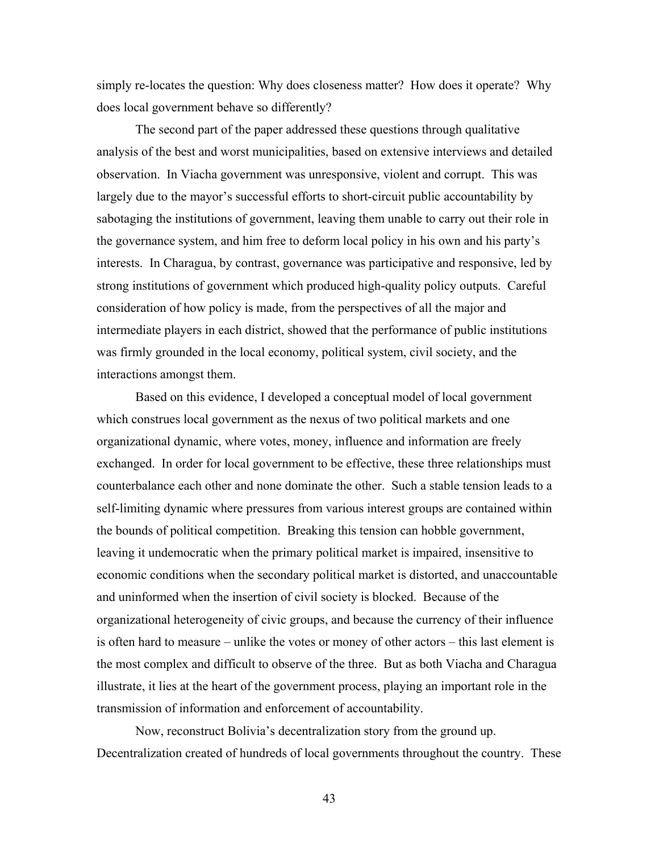simply re-locates the question: Why does closeness matter? How does it operate? Why does local government behave so differently?

The second part of the paper addressed these questions through qualitative analysis of the best and worst municipalities, based on extensive interviews and detailed observation. In Viacha government was unresponsive, violent and corrupt. This was largely due to the mayor's successful efforts to short-circuit public accountability by sabotaging the institutions of government, leaving them unable to carry out their role in the governance system, and him free to deform local policy in his own and his party's interests. In Charagua, by contrast, governance was participative and responsive, led by strong institutions of government which produced high-quality policy outputs. Careful consideration of how policy is made, from the perspectives of all the major and intermediate players in each district, showed that the performance of public institutions was firmly grounded in the local economy, political system, civil society, and the interactions amongst them.

Based on this evidence, I developed a conceptual model of local government which construes local government as the nexus of two political markets and one organizational dynamic, where votes, money, influence and information are freely exchanged. In order for local government to be effective, these three relationships must counterbalance each other and none dominate the other. Such a stable tension leads to a self-limiting dynamic where pressures from various interest groups are contained within the bounds of political competition. Breaking this tension can hobble government, leaving it undemocratic when the primary political market is impaired, insensitive to economic conditions when the secondary political market is distorted, and unaccountable and uninformed when the insertion of civil society is blocked. Because of the organizational heterogeneity of civic groups, and because the currency of their influence is often hard to measure – unlike the votes or money of other actors – this last element is the most complex and difficult to observe of the three. But as both Viacha and Charagua illustrate, it lies at the heart of the government process, playing an important role in the transmission of information and enforcement of accountability.

Now, reconstruct Bolivia's decentralization story from the ground up. Decentralization created of hundreds of local governments throughout the country. These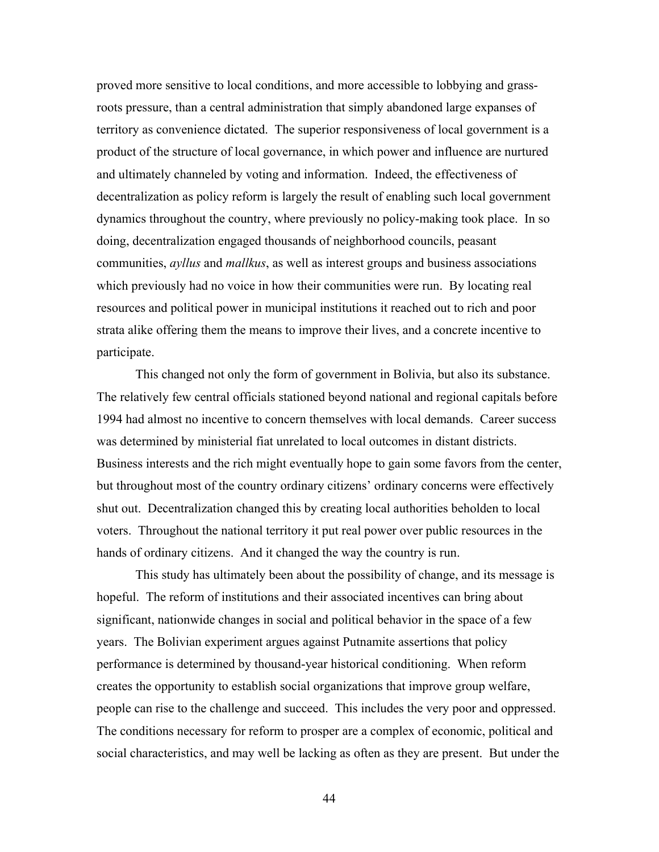proved more sensitive to local conditions, and more accessible to lobbying and grassroots pressure, than a central administration that simply abandoned large expanses of territory as convenience dictated. The superior responsiveness of local government is a product of the structure of local governance, in which power and influence are nurtured and ultimately channeled by voting and information. Indeed, the effectiveness of decentralization as policy reform is largely the result of enabling such local government dynamics throughout the country, where previously no policy-making took place. In so doing, decentralization engaged thousands of neighborhood councils, peasant communities, *ayllus* and *mallkus*, as well as interest groups and business associations which previously had no voice in how their communities were run. By locating real resources and political power in municipal institutions it reached out to rich and poor strata alike offering them the means to improve their lives, and a concrete incentive to participate.

This changed not only the form of government in Bolivia, but also its substance. The relatively few central officials stationed beyond national and regional capitals before 1994 had almost no incentive to concern themselves with local demands. Career success was determined by ministerial fiat unrelated to local outcomes in distant districts. Business interests and the rich might eventually hope to gain some favors from the center, but throughout most of the country ordinary citizens' ordinary concerns were effectively shut out. Decentralization changed this by creating local authorities beholden to local voters. Throughout the national territory it put real power over public resources in the hands of ordinary citizens. And it changed the way the country is run.

This study has ultimately been about the possibility of change, and its message is hopeful. The reform of institutions and their associated incentives can bring about significant, nationwide changes in social and political behavior in the space of a few years. The Bolivian experiment argues against Putnamite assertions that policy performance is determined by thousand-year historical conditioning. When reform creates the opportunity to establish social organizations that improve group welfare, people can rise to the challenge and succeed. This includes the very poor and oppressed. The conditions necessary for reform to prosper are a complex of economic, political and social characteristics, and may well be lacking as often as they are present. But under the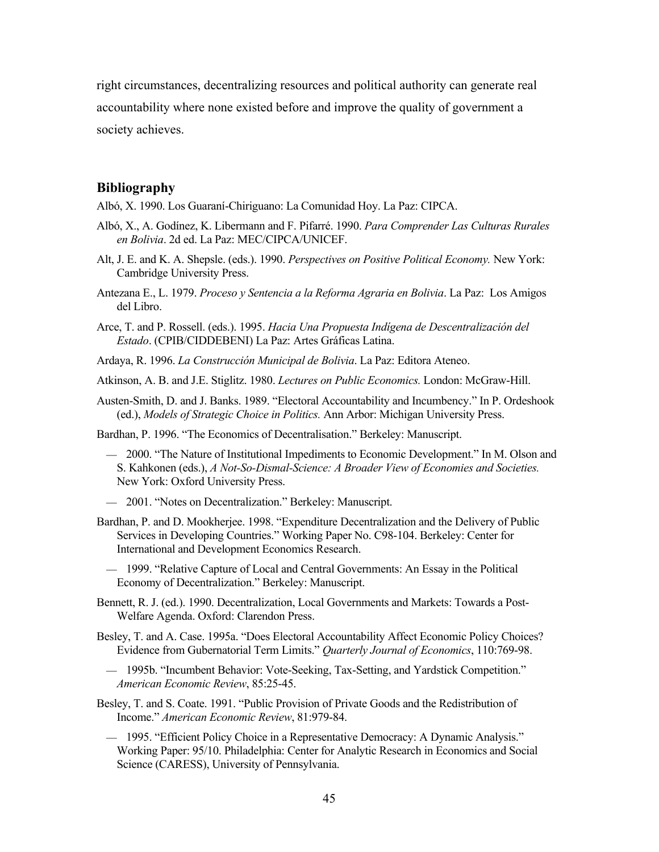right circumstances, decentralizing resources and political authority can generate real accountability where none existed before and improve the quality of government a society achieves.

## **Bibliography**

Albó, X. 1990. Los Guaraní-Chiriguano: La Comunidad Hoy. La Paz: CIPCA.

- Albó, X., A. Godínez, K. Libermann and F. Pifarré. 1990. *Para Comprender Las Culturas Rurales en Bolivia*. 2d ed. La Paz: MEC/CIPCA/UNICEF.
- Alt, J. E. and K. A. Shepsle. (eds.). 1990. *Perspectives on Positive Political Economy.* New York: Cambridge University Press.
- Antezana E., L. 1979. *Proceso y Sentencia a la Reforma Agraria en Bolivia*. La Paz: Los Amigos del Libro.

Arce, T. and P. Rossell. (eds.). 1995. *Hacia Una Propuesta Indígena de Descentralización del Estado*. (CPIB/CIDDEBENI) La Paz: Artes Gráficas Latina.

Ardaya, R. 1996. *La Construcción Municipal de Bolivia*. La Paz: Editora Ateneo.

Atkinson, A. B. and J.E. Stiglitz. 1980. *Lectures on Public Economics.* London: McGraw-Hill.

- Austen-Smith, D. and J. Banks. 1989. "Electoral Accountability and Incumbency." In P. Ordeshook (ed.), *Models of Strategic Choice in Politics.* Ann Arbor: Michigan University Press.
- Bardhan, P. 1996. "The Economics of Decentralisation." Berkeley: Manuscript.
	- 2000. "The Nature of Institutional Impediments to Economic Development." In M. Olson and S. Kahkonen (eds.), *A Not-So-Dismal-Science: A Broader View of Economies and Societies.* New York: Oxford University Press.
	- 2001. "Notes on Decentralization." Berkeley: Manuscript.
- Bardhan, P. and D. Mookherjee. 1998. "Expenditure Decentralization and the Delivery of Public Services in Developing Countries." Working Paper No. C98-104. Berkeley: Center for International and Development Economics Research.
	- 1999. "Relative Capture of Local and Central Governments: An Essay in the Political Economy of Decentralization." Berkeley: Manuscript.
- Bennett, R. J. (ed.). 1990. Decentralization, Local Governments and Markets: Towards a Post-Welfare Agenda. Oxford: Clarendon Press.
- Besley, T. and A. Case. 1995a. "Does Electoral Accountability Affect Economic Policy Choices? Evidence from Gubernatorial Term Limits." *Quarterly Journal of Economics*, 110:769-98.
	- 1995b. "Incumbent Behavior: Vote-Seeking, Tax-Setting, and Yardstick Competition." *American Economic Review*, 85:25-45.
- Besley, T. and S. Coate. 1991. "Public Provision of Private Goods and the Redistribution of Income." *American Economic Review*, 81:979-84.
	- 1995. "Efficient Policy Choice in a Representative Democracy: A Dynamic Analysis." Working Paper: 95/10. Philadelphia: Center for Analytic Research in Economics and Social Science (CARESS), University of Pennsylvania.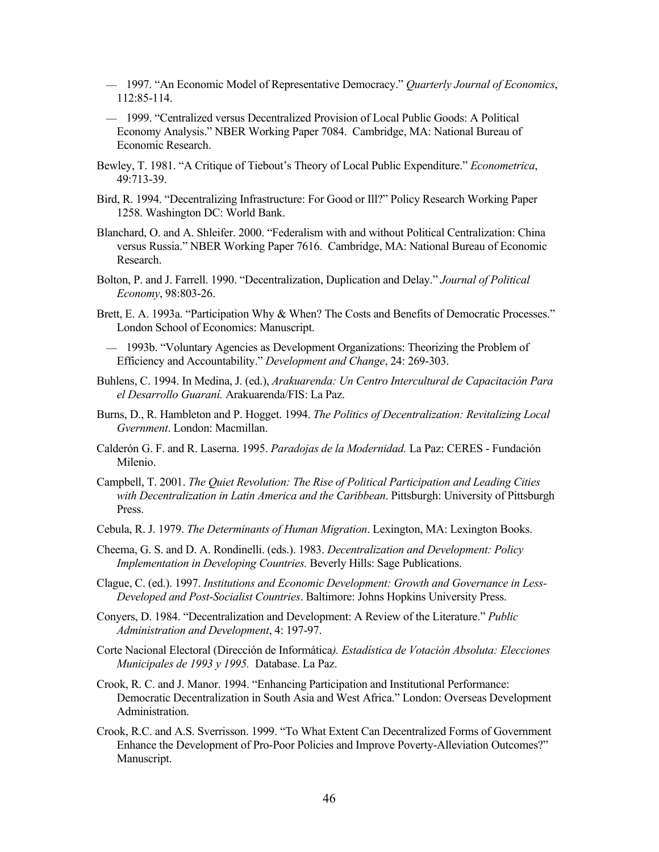- 1997. "An Economic Model of Representative Democracy." *Quarterly Journal of Economics*, 112:85-114.
- 1999. "Centralized versus Decentralized Provision of Local Public Goods: A Political Economy Analysis." NBER Working Paper 7084. Cambridge, MA: National Bureau of Economic Research.
- Bewley, T. 1981. "A Critique of Tiebout's Theory of Local Public Expenditure." *Econometrica*, 49:713-39.
- Bird, R. 1994. "Decentralizing Infrastructure: For Good or Ill?" Policy Research Working Paper 1258. Washington DC: World Bank.
- Blanchard, O. and A. Shleifer. 2000. "Federalism with and without Political Centralization: China versus Russia." NBER Working Paper 7616. Cambridge, MA: National Bureau of Economic Research.
- Bolton, P. and J. Farrell. 1990. "Decentralization, Duplication and Delay." *Journal of Political Economy*, 98:803-26.
- Brett, E. A. 1993a. "Participation Why & When? The Costs and Benefits of Democratic Processes." London School of Economics: Manuscript.

 1993b. "Voluntary Agencies as Development Organizations: Theorizing the Problem of Efficiency and Accountability." *Development and Change*, 24: 269-303.

- Buhlens, C. 1994. In Medina, J. (ed.), *Arakuarenda: Un Centro Intercultural de Capacitación Para el Desarrollo Guaraní.* Arakuarenda/FIS: La Paz.
- Burns, D., R. Hambleton and P. Hogget. 1994. *The Politics of Decentralization: Revitalizing Local Gvernment*. London: Macmillan.
- Calderón G. F. and R. Laserna. 1995. *Paradojas de la Modernidad.* La Paz: CERES Fundación Milenio.
- Campbell, T. 2001. *The Quiet Revolution: The Rise of Political Participation and Leading Cities with Decentralization in Latin America and the Caribbean*. Pittsburgh: University of Pittsburgh Press.
- Cebula, R. J. 1979. *The Determinants of Human Migration*. Lexington, MA: Lexington Books.
- Cheema, G. S. and D. A. Rondinelli. (eds.). 1983. *Decentralization and Development: Policy Implementation in Developing Countries.* Beverly Hills: Sage Publications.
- Clague, C. (ed.). 1997. *Institutions and Economic Development: Growth and Governance in Less-Developed and Post-Socialist Countries*. Baltimore: Johns Hopkins University Press.
- Conyers, D. 1984. "Decentralization and Development: A Review of the Literature." *Public Administration and Development*, 4: 197-97.
- Corte Nacional Electoral (Dirección de Informática*). Estadística de Votación Absoluta: Elecciones Municipales de 1993 y 1995.* Database. La Paz.
- Crook, R. C. and J. Manor. 1994. "Enhancing Participation and Institutional Performance: Democratic Decentralization in South Asia and West Africa." London: Overseas Development Administration.
- Crook, R.C. and A.S. Sverrisson. 1999. "To What Extent Can Decentralized Forms of Government Enhance the Development of Pro-Poor Policies and Improve Poverty-Alleviation Outcomes?" Manuscript.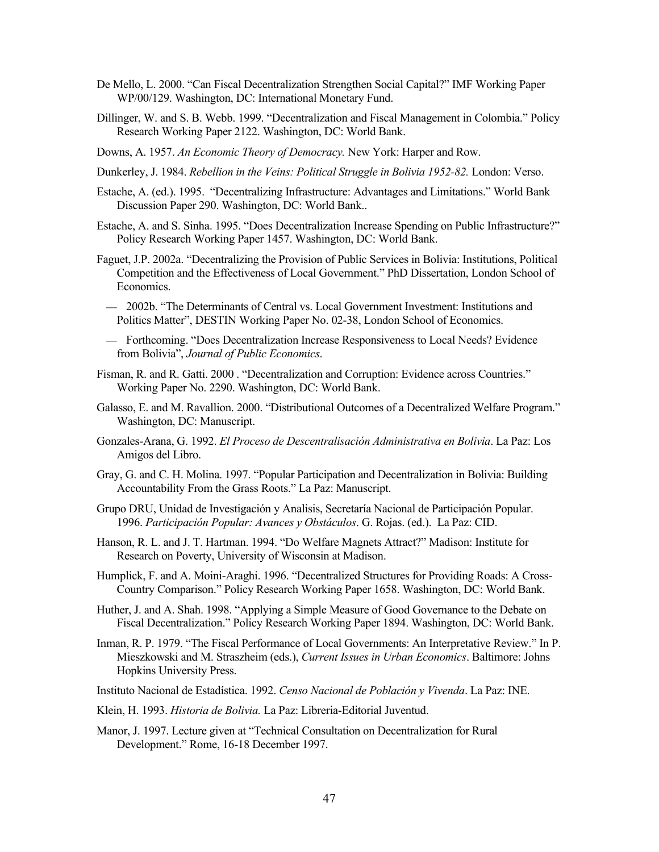- De Mello, L. 2000. "Can Fiscal Decentralization Strengthen Social Capital?" IMF Working Paper WP/00/129. Washington, DC: International Monetary Fund.
- Dillinger, W. and S. B. Webb. 1999. "Decentralization and Fiscal Management in Colombia." Policy Research Working Paper 2122. Washington, DC: World Bank.
- Downs, A. 1957. *An Economic Theory of Democracy.* New York: Harper and Row.
- Dunkerley, J. 1984. *Rebellion in the Veins: Political Struggle in Bolivia 1952-82.* London: Verso.
- Estache, A. (ed.). 1995. "Decentralizing Infrastructure: Advantages and Limitations." World Bank Discussion Paper 290. Washington, DC: World Bank..
- Estache, A. and S. Sinha. 1995. "Does Decentralization Increase Spending on Public Infrastructure?" Policy Research Working Paper 1457. Washington, DC: World Bank.
- Faguet, J.P. 2002a. "Decentralizing the Provision of Public Services in Bolivia: Institutions, Political Competition and the Effectiveness of Local Government." PhD Dissertation, London School of Economics.
	- 2002b. "The Determinants of Central vs. Local Government Investment: Institutions and Politics Matter", DESTIN Working Paper No. 02-38, London School of Economics.
	- Forthcoming. "Does Decentralization Increase Responsiveness to Local Needs? Evidence from Bolivia", *Journal of Public Economics*.
- Fisman, R. and R. Gatti. 2000 . "Decentralization and Corruption: Evidence across Countries." Working Paper No. 2290. Washington, DC: World Bank.
- Galasso, E. and M. Ravallion. 2000. "Distributional Outcomes of a Decentralized Welfare Program." Washington, DC: Manuscript.
- Gonzales-Arana, G. 1992. *El Proceso de Descentralisación Administrativa en Bolivia*. La Paz: Los Amigos del Libro.
- Gray, G. and C. H. Molina. 1997. "Popular Participation and Decentralization in Bolivia: Building Accountability From the Grass Roots." La Paz: Manuscript.
- Grupo DRU, Unidad de Investigación y Analisis, Secretaría Nacional de Participación Popular. 1996. *Participación Popular: Avances y Obstáculos*. G. Rojas. (ed.). La Paz: CID.
- Hanson, R. L. and J. T. Hartman. 1994. "Do Welfare Magnets Attract?" Madison: Institute for Research on Poverty, University of Wisconsin at Madison.
- Humplick, F. and A. Moini-Araghi. 1996. "Decentralized Structures for Providing Roads: A Cross-Country Comparison." Policy Research Working Paper 1658. Washington, DC: World Bank.
- Huther, J. and A. Shah. 1998. "Applying a Simple Measure of Good Governance to the Debate on Fiscal Decentralization." Policy Research Working Paper 1894. Washington, DC: World Bank.
- Inman, R. P. 1979. "The Fiscal Performance of Local Governments: An Interpretative Review." In P. Mieszkowski and M. Straszheim (eds.), *Current Issues in Urban Economics*. Baltimore: Johns Hopkins University Press.
- Instituto Nacional de Estadística. 1992. *Censo Nacional de Población y Vivenda*. La Paz: INE.
- Klein, H. 1993. *Historia de Bolivia.* La Paz: Libreria-Editorial Juventud.
- Manor, J. 1997. Lecture given at "Technical Consultation on Decentralization for Rural Development." Rome, 16-18 December 1997.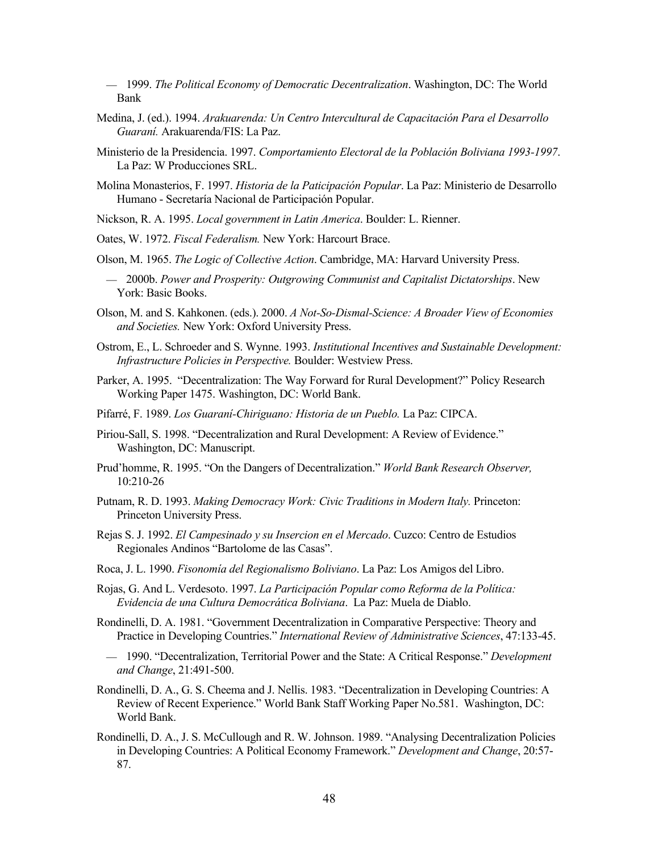1999. *The Political Economy of Democratic Decentralization*. Washington, DC: The World Bank

- Medina, J. (ed.). 1994. *Arakuarenda: Un Centro Intercultural de Capacitación Para el Desarrollo Guaraní.* Arakuarenda/FIS: La Paz.
- Ministerio de la Presidencia. 1997. *Comportamiento Electoral de la Población Boliviana 1993-1997*. La Paz: W Producciones SRL.
- Molina Monasterios, F. 1997. *Historia de la Paticipación Popular*. La Paz: Ministerio de Desarrollo Humano - Secretaría Nacional de Participación Popular.
- Nickson, R. A. 1995. *Local government in Latin America*. Boulder: L. Rienner.
- Oates, W. 1972. *Fiscal Federalism.* New York: Harcourt Brace.
- Olson, M. 1965. *The Logic of Collective Action*. Cambridge, MA: Harvard University Press.
- 2000b. *Power and Prosperity: Outgrowing Communist and Capitalist Dictatorships*. New York: Basic Books.
- Olson, M. and S. Kahkonen. (eds.). 2000. *A Not-So-Dismal-Science: A Broader View of Economies and Societies.* New York: Oxford University Press.
- Ostrom, E., L. Schroeder and S. Wynne. 1993. *Institutional Incentives and Sustainable Development: Infrastructure Policies in Perspective.* Boulder: Westview Press.
- Parker, A. 1995. "Decentralization: The Way Forward for Rural Development?" Policy Research Working Paper 1475. Washington, DC: World Bank.
- Pifarré, F. 1989. *Los Guaraní-Chiriguano: Historia de un Pueblo.* La Paz: CIPCA.
- Piriou-Sall, S. 1998. "Decentralization and Rural Development: A Review of Evidence." Washington, DC: Manuscript.
- Prud'homme, R. 1995. "On the Dangers of Decentralization." *World Bank Research Observer,*  10:210-26
- Putnam, R. D. 1993. *Making Democracy Work: Civic Traditions in Modern Italy.* Princeton: Princeton University Press.
- Rejas S. J. 1992. *El Campesinado y su Insercion en el Mercado*. Cuzco: Centro de Estudios Regionales Andinos "Bartolome de las Casas".
- Roca, J. L. 1990. *Fisonomía del Regionalismo Boliviano*. La Paz: Los Amigos del Libro.
- Rojas, G. And L. Verdesoto. 1997. *La Participación Popular como Reforma de la Política: Evidencia de una Cultura Democrática Boliviana*. La Paz: Muela de Diablo.
- Rondinelli, D. A. 1981. "Government Decentralization in Comparative Perspective: Theory and Practice in Developing Countries." *International Review of Administrative Sciences*, 47:133-45.
	- 1990. "Decentralization, Territorial Power and the State: A Critical Response." *Development and Change*, 21:491-500.
- Rondinelli, D. A., G. S. Cheema and J. Nellis. 1983. "Decentralization in Developing Countries: A Review of Recent Experience." World Bank Staff Working Paper No.581. Washington, DC: World Bank.
- Rondinelli, D. A., J. S. McCullough and R. W. Johnson. 1989. "Analysing Decentralization Policies in Developing Countries: A Political Economy Framework." *Development and Change*, 20:57- 87.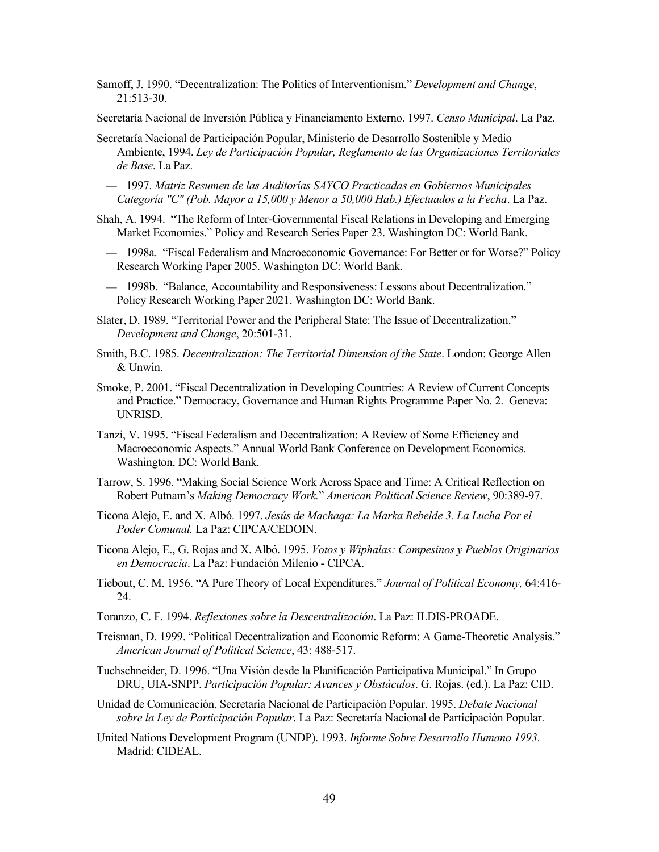Samoff, J. 1990. "Decentralization: The Politics of Interventionism." *Development and Change*, 21:513-30.

Secretaría Nacional de Inversión Pública y Financiamento Externo. 1997. *Censo Municipal*. La Paz.

- Secretaría Nacional de Participación Popular, Ministerio de Desarrollo Sostenible y Medio Ambiente, 1994. *Ley de Participación Popular, Reglamento de las Organizaciones Territoriales de Base*. La Paz.
	- 1997. *Matriz Resumen de las Auditorías SAYCO Practicadas en Gobiernos Municipales Categoría "C" (Pob. Mayor a 15,000 y Menor a 50,000 Hab.) Efectuados a la Fecha*. La Paz.
- Shah, A. 1994. "The Reform of Inter-Governmental Fiscal Relations in Developing and Emerging Market Economies." Policy and Research Series Paper 23. Washington DC: World Bank.
	- 1998a. "Fiscal Federalism and Macroeconomic Governance: For Better or for Worse?" Policy Research Working Paper 2005. Washington DC: World Bank.
- 1998b. "Balance, Accountability and Responsiveness: Lessons about Decentralization." Policy Research Working Paper 2021. Washington DC: World Bank.
- Slater, D. 1989. "Territorial Power and the Peripheral State: The Issue of Decentralization." *Development and Change*, 20:501-31.
- Smith, B.C. 1985. *Decentralization: The Territorial Dimension of the State*. London: George Allen & Unwin.
- Smoke, P. 2001. "Fiscal Decentralization in Developing Countries: A Review of Current Concepts and Practice." Democracy, Governance and Human Rights Programme Paper No. 2. Geneva: UNRISD.
- Tanzi, V. 1995. "Fiscal Federalism and Decentralization: A Review of Some Efficiency and Macroeconomic Aspects." Annual World Bank Conference on Development Economics. Washington, DC: World Bank.
- Tarrow, S. 1996. "Making Social Science Work Across Space and Time: A Critical Reflection on Robert Putnam's *Making Democracy Work.*" *American Political Science Review*, 90:389-97.
- Ticona Alejo, E. and X. Albó. 1997. *Jesús de Machaqa: La Marka Rebelde 3. La Lucha Por el Poder Comunal.* La Paz: CIPCA/CEDOIN.
- Ticona Alejo, E., G. Rojas and X. Albó. 1995. *Votos y Wiphalas: Campesinos y Pueblos Originarios en Democracia*. La Paz: Fundación Milenio - CIPCA.
- Tiebout, C. M. 1956. "A Pure Theory of Local Expenditures." *Journal of Political Economy,* 64:416- 24.
- Toranzo, C. F. 1994. *Reflexiones sobre la Descentralización*. La Paz: ILDIS-PROADE.
- Treisman, D. 1999. "Political Decentralization and Economic Reform: A Game-Theoretic Analysis." *American Journal of Political Science*, 43: 488-517.
- Tuchschneider, D. 1996. "Una Visión desde la Planificación Participativa Municipal." In Grupo DRU, UIA-SNPP. *Participación Popular: Avances y Obstáculos*. G. Rojas. (ed.). La Paz: CID.
- Unidad de Comunicación, Secretaría Nacional de Participación Popular. 1995. *Debate Nacional sobre la Ley de Participación Popular*. La Paz: Secretaría Nacional de Participación Popular.
- United Nations Development Program (UNDP). 1993. *Informe Sobre Desarrollo Humano 1993*. Madrid: CIDEAL.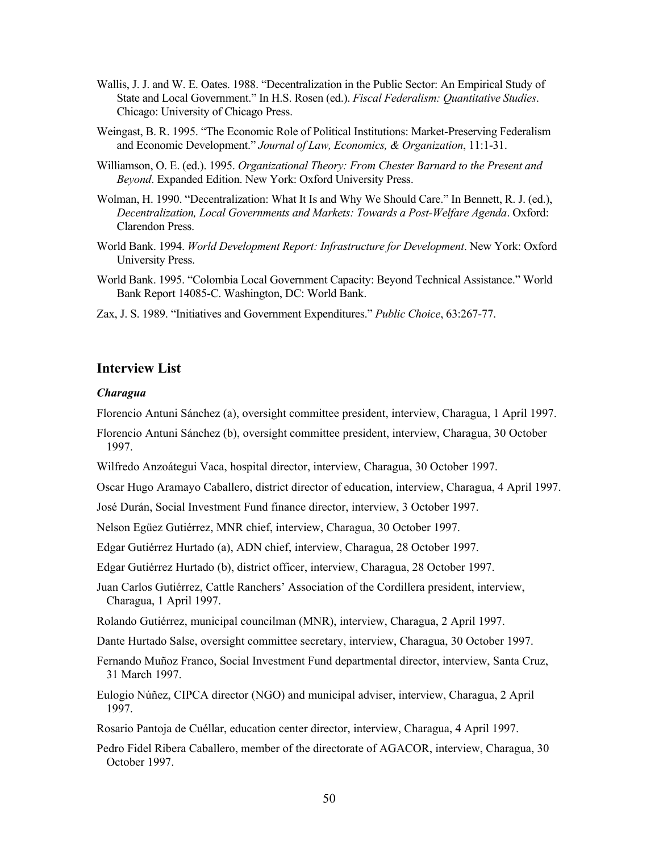- Wallis, J. J. and W. E. Oates. 1988. "Decentralization in the Public Sector: An Empirical Study of State and Local Government." In H.S. Rosen (ed.). *Fiscal Federalism: Quantitative Studies*. Chicago: University of Chicago Press.
- Weingast, B. R. 1995. "The Economic Role of Political Institutions: Market-Preserving Federalism and Economic Development." *Journal of Law, Economics, & Organization*, 11:1-31.
- Williamson, O. E. (ed.). 1995. *Organizational Theory: From Chester Barnard to the Present and Beyond*. Expanded Edition. New York: Oxford University Press.
- Wolman, H. 1990. "Decentralization: What It Is and Why We Should Care." In Bennett, R. J. (ed.), *Decentralization, Local Governments and Markets: Towards a Post-Welfare Agenda*. Oxford: Clarendon Press.
- World Bank. 1994. *World Development Report: Infrastructure for Development*. New York: Oxford University Press.
- World Bank. 1995. "Colombia Local Government Capacity: Beyond Technical Assistance." World Bank Report 14085-C. Washington, DC: World Bank.
- Zax, J. S. 1989. "Initiatives and Government Expenditures." *Public Choice*, 63:267-77.

## **Interview List**

#### *Charagua*

Florencio Antuni Sánchez (a), oversight committee president, interview, Charagua, 1 April 1997.

- Florencio Antuni Sánchez (b), oversight committee president, interview, Charagua, 30 October 1997.
- Wilfredo Anzoátegui Vaca, hospital director, interview, Charagua, 30 October 1997.

Oscar Hugo Aramayo Caballero, district director of education, interview, Charagua, 4 April 1997.

José Durán, Social Investment Fund finance director, interview, 3 October 1997.

Nelson Egüez Gutiérrez, MNR chief, interview, Charagua, 30 October 1997.

Edgar Gutiérrez Hurtado (a), ADN chief, interview, Charagua, 28 October 1997.

Edgar Gutiérrez Hurtado (b), district officer, interview, Charagua, 28 October 1997.

Juan Carlos Gutiérrez, Cattle Ranchers' Association of the Cordillera president, interview, Charagua, 1 April 1997.

Rolando Gutiérrez, municipal councilman (MNR), interview, Charagua, 2 April 1997.

Dante Hurtado Salse, oversight committee secretary, interview, Charagua, 30 October 1997.

Fernando Muñoz Franco, Social Investment Fund departmental director, interview, Santa Cruz, 31 March 1997.

Eulogio Núñez, CIPCA director (NGO) and municipal adviser, interview, Charagua, 2 April 1997.

Rosario Pantoja de Cuéllar, education center director, interview, Charagua, 4 April 1997.

Pedro Fidel Ribera Caballero, member of the directorate of AGACOR, interview, Charagua, 30 October 1997.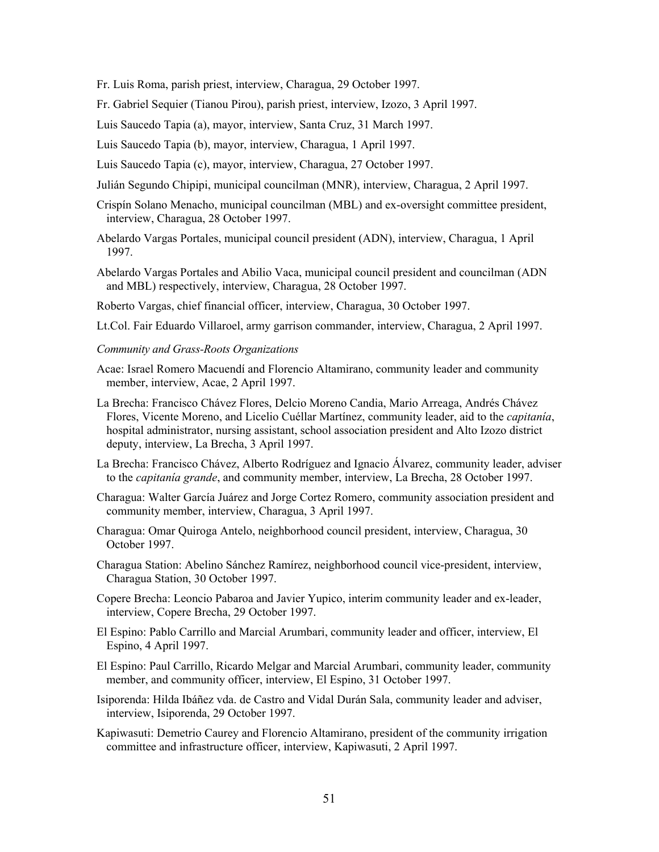Fr. Luis Roma, parish priest, interview, Charagua, 29 October 1997.

Fr. Gabriel Sequier (Tianou Pirou), parish priest, interview, Izozo, 3 April 1997.

Luis Saucedo Tapia (a), mayor, interview, Santa Cruz, 31 March 1997.

Luis Saucedo Tapia (b), mayor, interview, Charagua, 1 April 1997.

Luis Saucedo Tapia (c), mayor, interview, Charagua, 27 October 1997.

Julián Segundo Chipipi, municipal councilman (MNR), interview, Charagua, 2 April 1997.

- Crispín Solano Menacho, municipal councilman (MBL) and ex-oversight committee president, interview, Charagua, 28 October 1997.
- Abelardo Vargas Portales, municipal council president (ADN), interview, Charagua, 1 April 1997.
- Abelardo Vargas Portales and Abilio Vaca, municipal council president and councilman (ADN and MBL) respectively, interview, Charagua, 28 October 1997.

Roberto Vargas, chief financial officer, interview, Charagua, 30 October 1997.

Lt.Col. Fair Eduardo Villaroel, army garrison commander, interview, Charagua, 2 April 1997.

#### *Community and Grass-Roots Organizations*

- Acae: Israel Romero Macuendí and Florencio Altamirano, community leader and community member, interview, Acae, 2 April 1997.
- La Brecha: Francisco Chávez Flores, Delcio Moreno Candia, Mario Arreaga, Andrés Chávez Flores, Vicente Moreno, and Licelio Cuéllar Martínez, community leader, aid to the *capitanía*, hospital administrator, nursing assistant, school association president and Alto Izozo district deputy, interview, La Brecha, 3 April 1997.
- La Brecha: Francisco Chávez, Alberto Rodríguez and Ignacio Álvarez, community leader, adviser to the *capitanía grande*, and community member, interview, La Brecha, 28 October 1997.
- Charagua: Walter García Juárez and Jorge Cortez Romero, community association president and community member, interview, Charagua, 3 April 1997.
- Charagua: Omar Quiroga Antelo, neighborhood council president, interview, Charagua, 30 October 1997.
- Charagua Station: Abelino Sánchez Ramírez, neighborhood council vice-president, interview, Charagua Station, 30 October 1997.
- Copere Brecha: Leoncio Pabaroa and Javier Yupico, interim community leader and ex-leader, interview, Copere Brecha, 29 October 1997.
- El Espino: Pablo Carrillo and Marcial Arumbari, community leader and officer, interview, El Espino, 4 April 1997.
- El Espino: Paul Carrillo, Ricardo Melgar and Marcial Arumbari, community leader, community member, and community officer, interview, El Espino, 31 October 1997.
- Isiporenda: Hilda Ibáñez vda. de Castro and Vidal Durán Sala, community leader and adviser, interview, Isiporenda, 29 October 1997.
- Kapiwasuti: Demetrio Caurey and Florencio Altamirano, president of the community irrigation committee and infrastructure officer, interview, Kapiwasuti, 2 April 1997.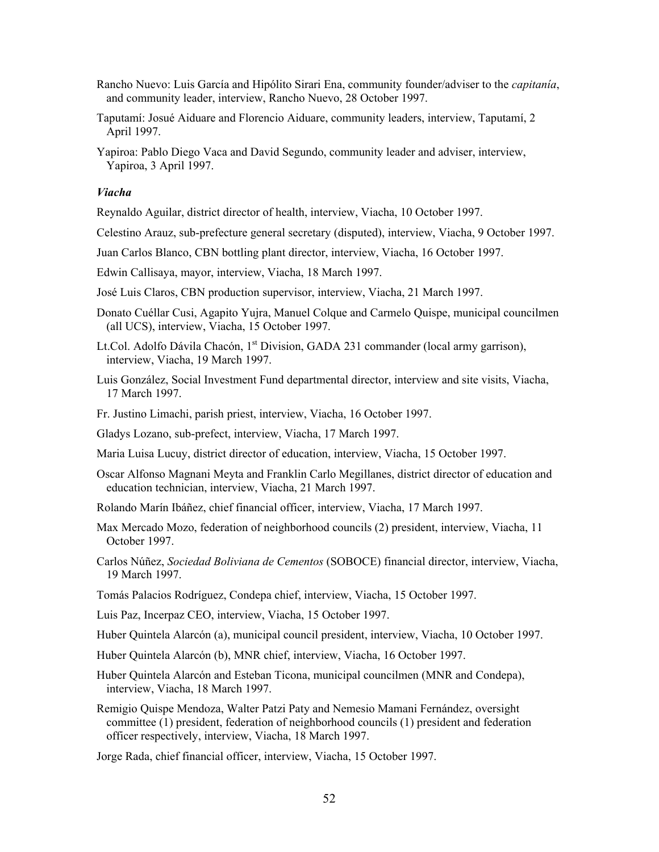- Rancho Nuevo: Luis García and Hipólito Sirari Ena, community founder/adviser to the *capitanía*, and community leader, interview, Rancho Nuevo, 28 October 1997.
- Taputamí: Josué Aiduare and Florencio Aiduare, community leaders, interview, Taputamí, 2 April 1997.
- Yapiroa: Pablo Diego Vaca and David Segundo, community leader and adviser, interview, Yapiroa, 3 April 1997.

#### *Viacha*

Reynaldo Aguilar, district director of health, interview, Viacha, 10 October 1997.

- Celestino Arauz, sub-prefecture general secretary (disputed), interview, Viacha, 9 October 1997.
- Juan Carlos Blanco, CBN bottling plant director, interview, Viacha, 16 October 1997.

Edwin Callisaya, mayor, interview, Viacha, 18 March 1997.

- José Luis Claros, CBN production supervisor, interview, Viacha, 21 March 1997.
- Donato Cuéllar Cusi, Agapito Yujra, Manuel Colque and Carmelo Quispe, municipal councilmen (all UCS), interview, Viacha, 15 October 1997.
- Lt.Col. Adolfo Dávila Chacón,  $1<sup>st</sup> Division, GADA 231 commander (local army garrison),$ interview, Viacha, 19 March 1997.
- Luis González, Social Investment Fund departmental director, interview and site visits, Viacha, 17 March 1997.
- Fr. Justino Limachi, parish priest, interview, Viacha, 16 October 1997.
- Gladys Lozano, sub-prefect, interview, Viacha, 17 March 1997.
- Maria Luisa Lucuy, district director of education, interview, Viacha, 15 October 1997.
- Oscar Alfonso Magnani Meyta and Franklin Carlo Megillanes, district director of education and education technician, interview, Viacha, 21 March 1997.
- Rolando Marín Ibáñez, chief financial officer, interview, Viacha, 17 March 1997.
- Max Mercado Mozo, federation of neighborhood councils (2) president, interview, Viacha, 11 October 1997.
- Carlos Núñez, *Sociedad Boliviana de Cementos* (SOBOCE) financial director, interview, Viacha, 19 March 1997.
- Tomás Palacios Rodríguez, Condepa chief, interview, Viacha, 15 October 1997.
- Luis Paz, Incerpaz CEO, interview, Viacha, 15 October 1997.
- Huber Quintela Alarcón (a), municipal council president, interview, Viacha, 10 October 1997.
- Huber Quintela Alarcón (b), MNR chief, interview, Viacha, 16 October 1997.
- Huber Quintela Alarcón and Esteban Ticona, municipal councilmen (MNR and Condepa), interview, Viacha, 18 March 1997.
- Remigio Quispe Mendoza, Walter Patzi Paty and Nemesio Mamani Fernández, oversight committee (1) president, federation of neighborhood councils (1) president and federation officer respectively, interview, Viacha, 18 March 1997.
- Jorge Rada, chief financial officer, interview, Viacha, 15 October 1997.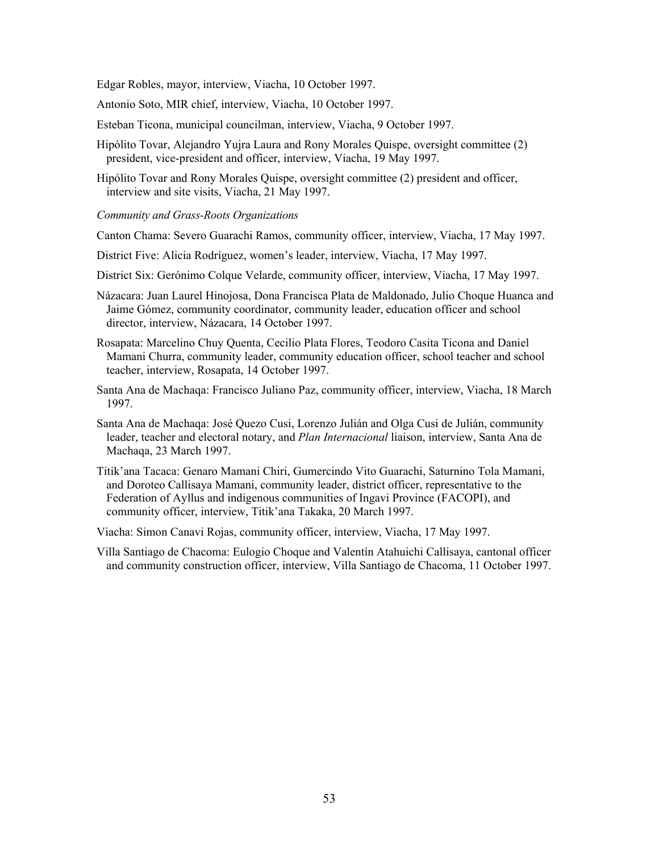Edgar Robles, mayor, interview, Viacha, 10 October 1997.

Antonio Soto, MIR chief, interview, Viacha, 10 October 1997.

Esteban Ticona, municipal councilman, interview, Viacha, 9 October 1997.

- Hipólito Tovar, Alejandro Yujra Laura and Rony Morales Quispe, oversight committee (2) president, vice-president and officer, interview, Viacha, 19 May 1997.
- Hipólito Tovar and Rony Morales Quispe, oversight committee (2) president and officer, interview and site visits, Viacha, 21 May 1997.

*Community and Grass-Roots Organizations* 

Canton Chama: Severo Guarachi Ramos, community officer, interview, Viacha, 17 May 1997.

- District Five: Alicia Rodríguez, women's leader, interview, Viacha, 17 May 1997.
- District Six: Gerónimo Colque Velarde, community officer, interview, Viacha, 17 May 1997.
- Názacara: Juan Laurel Hinojosa, Dona Francisca Plata de Maldonado, Julio Choque Huanca and Jaime Gómez, community coordinator, community leader, education officer and school director, interview, Názacara, 14 October 1997.
- Rosapata: Marcelino Chuy Quenta, Cecilio Plata Flores, Teodoro Casita Ticona and Daniel Mamani Churra, community leader, community education officer, school teacher and school teacher, interview, Rosapata, 14 October 1997.
- Santa Ana de Machaqa: Francisco Juliano Paz, community officer, interview, Viacha, 18 March 1997.
- Santa Ana de Machaqa: José Quezo Cusi, Lorenzo Julián and Olga Cusi de Julián, community leader, teacher and electoral notary, and *Plan Internacional* liaison, interview, Santa Ana de Machaqa, 23 March 1997.
- Titik'ana Tacaca: Genaro Mamani Chiri, Gumercindo Vito Guarachi, Saturnino Tola Mamani, and Doroteo Callisaya Mamani, community leader, district officer, representative to the Federation of Ayllus and indigenous communities of Ingavi Province (FACOPI), and community officer, interview, Titik'ana Takaka, 20 March 1997.

Viacha: Simon Canavi Rojas, community officer, interview, Viacha, 17 May 1997.

Villa Santiago de Chacoma: Eulogio Choque and Valentín Atahuichi Callisaya, cantonal officer and community construction officer, interview, Villa Santiago de Chacoma, 11 October 1997.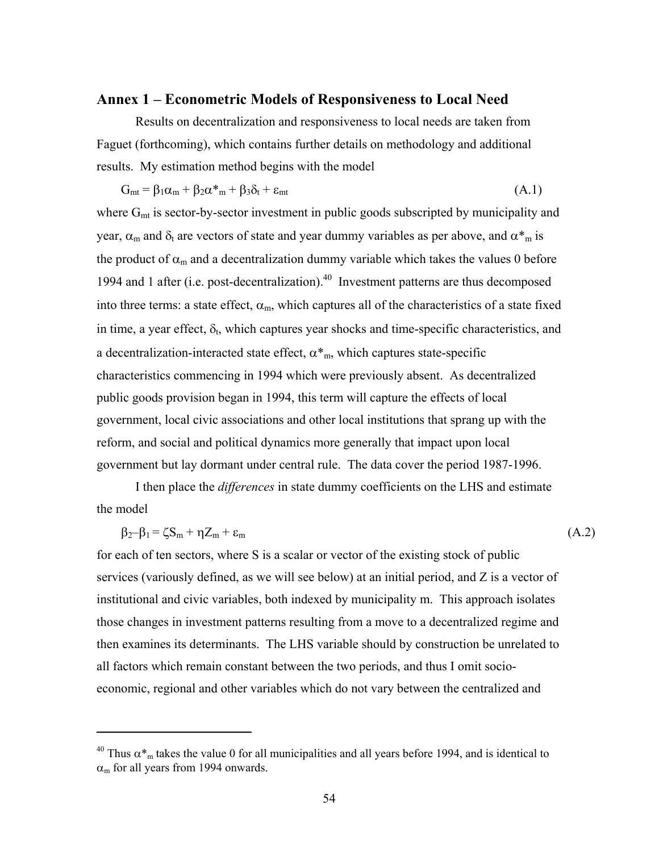## **Annex 1 – Econometric Models of Responsiveness to Local Need**

Results on decentralization and responsiveness to local needs are taken from Faguet (forthcoming), which contains further details on methodology and additional results. My estimation method begins with the model

$$
G_{mt} = \beta_1 \alpha_m + \beta_2 \alpha^*_{m} + \beta_3 \delta_t + \varepsilon_{mt}
$$
\n(A.1)

where G<sub>mt</sub> is sector-by-sector investment in public goods subscripted by municipality and year,  $\alpha_m$  and  $\delta_t$  are vectors of state and year dummy variables as per above, and  $\alpha_{m}^{*}$  is the product of  $\alpha_m$  and a decentralization dummy variable which takes the values 0 before 1994 and 1 after (i.e. post-decentralization).<sup>40</sup> Investment patterns are thus decomposed into three terms: a state effect,  $\alpha_m$ , which captures all of the characteristics of a state fixed in time, a year effect,  $\delta_t$ , which captures year shocks and time-specific characteristics, and a decentralization-interacted state effect,  $\alpha_{m}^{*}$ , which captures state-specific characteristics commencing in 1994 which were previously absent. As decentralized public goods provision began in 1994, this term will capture the effects of local government, local civic associations and other local institutions that sprang up with the reform, and social and political dynamics more generally that impact upon local government but lay dormant under central rule. The data cover the period 1987-1996.

I then place the *differences* in state dummy coefficients on the LHS and estimate the model

$$
\beta_2 - \beta_1 = \zeta S_m + \eta Z_m + \varepsilon_m \tag{A.2}
$$

for each of ten sectors, where S is a scalar or vector of the existing stock of public services (variously defined, as we will see below) at an initial period, and Z is a vector of institutional and civic variables, both indexed by municipality m. This approach isolates those changes in investment patterns resulting from a move to a decentralized regime and then examines its determinants. The LHS variable should by construction be unrelated to all factors which remain constant between the two periods, and thus I omit socioeconomic, regional and other variables which do not vary between the centralized and

<span id="page-54-0"></span><sup>&</sup>lt;sup>40</sup> Thus  $\alpha^*$ <sub>m</sub> takes the value 0 for all municipalities and all years before 1994, and is identical to  $\alpha_m$  for all years from 1994 onwards.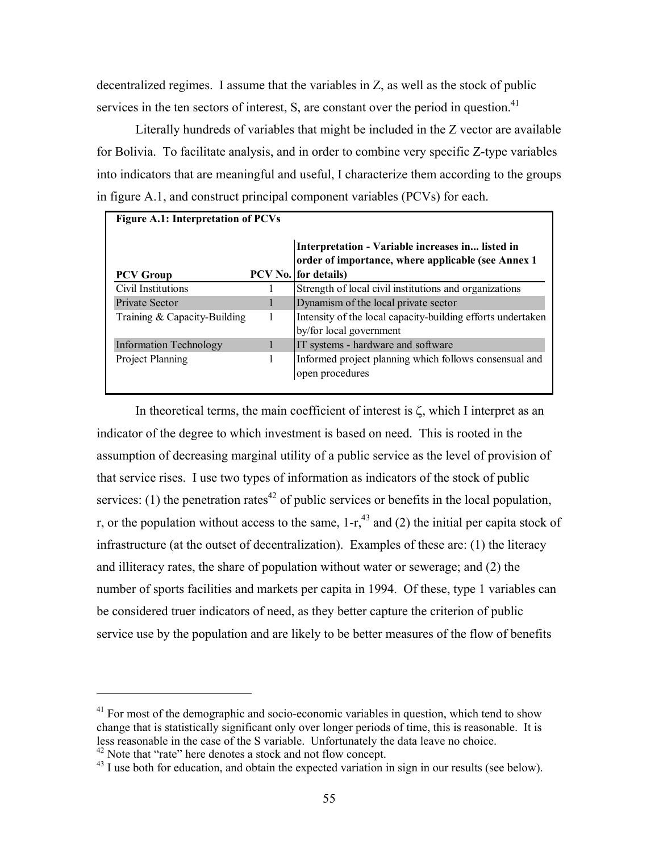decentralized regimes. I assume that the variables in Z, as well as the stock of public services in the ten sectors of interest, S, are constant over the period in question.<sup>[41](#page-55-0)</sup>

Literally hundreds of variables that might be included in the Z vector are available for Bolivia. To facilitate analysis, and in order to combine very specific Z-type variables into indicators that are meaningful and useful, I characterize them according to the groups in figure A.1, and construct principal component variables (PCVs) for each.

| <b>Figure A.1: Interpretation of PCVs</b> |   |                                                                                                        |  |
|-------------------------------------------|---|--------------------------------------------------------------------------------------------------------|--|
|                                           |   | Interpretation - Variable increases in listed in<br>order of importance, where applicable (see Annex 1 |  |
| <b>PCV Group</b>                          |   | <b>PCV No. for details)</b>                                                                            |  |
| Civil Institutions                        |   | Strength of local civil institutions and organizations                                                 |  |
| <b>Private Sector</b>                     |   | Dynamism of the local private sector                                                                   |  |
| Training & Capacity-Building              | 1 | Intensity of the local capacity-building efforts undertaken                                            |  |
|                                           |   | by/for local government                                                                                |  |
| <b>Information Technology</b>             |   | IT systems - hardware and software                                                                     |  |
| Project Planning                          |   | Informed project planning which follows consensual and<br>open procedures                              |  |

In theoretical terms, the main coefficient of interest is  $\zeta$ , which I interpret as an indicator of the degree to which investment is based on need. This is rooted in the assumption of decreasing marginal utility of a public service as the level of provision of that service rises. I use two types of information as indicators of the stock of public services: (1) the penetration rates<sup>42</sup> of public services or benefits in the local population, r, or the population without access to the same,  $1-r<sup>43</sup>$  and (2) the initial per capita stock of infrastructure (at the outset of decentralization). Examples of these are: (1) the literacy and illiteracy rates, the share of population without water or sewerage; and (2) the number of sports facilities and markets per capita in 1994. Of these, type 1 variables can be considered truer indicators of need, as they better capture the criterion of public service use by the population and are likely to be better measures of the flow of benefits

<span id="page-55-0"></span> $41$  For most of the demographic and socio-economic variables in question, which tend to show change that is statistically significant only over longer periods of time, this is reasonable. It is less reasonable in the case of the S variable. Unfortunately the data leave no choice.

<span id="page-55-1"></span> $42$  Note that "rate" here denotes a stock and not flow concept.

<span id="page-55-2"></span><sup>&</sup>lt;sup>43</sup> I use both for education, and obtain the expected variation in sign in our results (see below).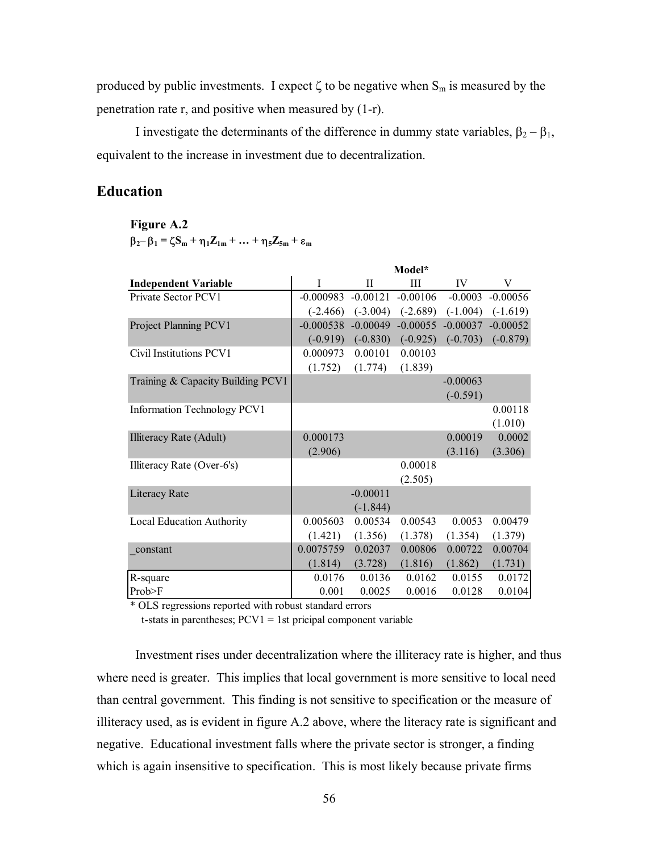produced by public investments. I expect  $\zeta$  to be negative when  $S_m$  is measured by the penetration rate r, and positive when measured by (1-r).

I investigate the determinants of the difference in dummy state variables,  $β_2 - β_1$ , equivalent to the increase in investment due to decentralization.

## **Education**

#### **Figure A.2**

β**2–** β**1 =** ζ**Sm +** η**1Z1m + … +** η**5Z5m +** ε**<sup>m</sup>**

|                                   | Model*      |              |            |            |            |
|-----------------------------------|-------------|--------------|------------|------------|------------|
| <b>Independent Variable</b>       | I           | $\mathbf{I}$ | Ш          | IV         | V          |
| Private Sector PCV1               | $-0.000983$ | $-0.00121$   | $-0.00106$ | $-0.0003$  | $-0.00056$ |
|                                   | $(-2.466)$  | $(-3.004)$   | $(-2.689)$ | $(-1.004)$ | $(-1.619)$ |
| Project Planning PCV1             | $-0.000538$ | $-0.00049$   | $-0.00055$ | $-0.00037$ | $-0.00052$ |
|                                   | $(-0.919)$  | $(-0.830)$   | $(-0.925)$ | $(-0.703)$ | $(-0.879)$ |
| Civil Institutions PCV1           | 0.000973    | 0.00101      | 0.00103    |            |            |
|                                   | (1.752)     | (1.774)      | (1.839)    |            |            |
| Training & Capacity Building PCV1 |             |              |            | $-0.00063$ |            |
|                                   |             |              |            | $(-0.591)$ |            |
| Information Technology PCV1       |             |              |            |            | 0.00118    |
|                                   |             |              |            |            | (1.010)    |
| <b>Illiteracy Rate (Adult)</b>    | 0.000173    |              |            | 0.00019    | 0.0002     |
|                                   | (2.906)     |              |            | (3.116)    | (3.306)    |
| Illiteracy Rate (Over-6's)        |             |              | 0.00018    |            |            |
|                                   |             |              | (2.505)    |            |            |
| <b>Literacy Rate</b>              |             | $-0.00011$   |            |            |            |
|                                   |             | $(-1.844)$   |            |            |            |
| Local Education Authority         | 0.005603    | 0.00534      | 0.00543    | 0.0053     | 0.00479    |
|                                   | (1.421)     | (1.356)      | (1.378)    | (1.354)    | (1.379)    |
| constant                          | 0.0075759   | 0.02037      | 0.00806    | 0.00722    | 0.00704    |
|                                   | (1.814)     | (3.728)      | (1.816)    | (1.862)    | (1.731)    |
| R-square                          | 0.0176      | 0.0136       | 0.0162     | 0.0155     | 0.0172     |
| Prob>F                            | 0.001       | 0.0025       | 0.0016     | 0.0128     | 0.0104     |

\* OLS regressions reported with robust standard errors

t-stats in parentheses;  $PCV1 = 1$  st pricipal component variable

Investment rises under decentralization where the illiteracy rate is higher, and thus where need is greater. This implies that local government is more sensitive to local need than central government. This finding is not sensitive to specification or the measure of illiteracy used, as is evident in figure A.2 above, where the literacy rate is significant and negative. Educational investment falls where the private sector is stronger, a finding which is again insensitive to specification. This is most likely because private firms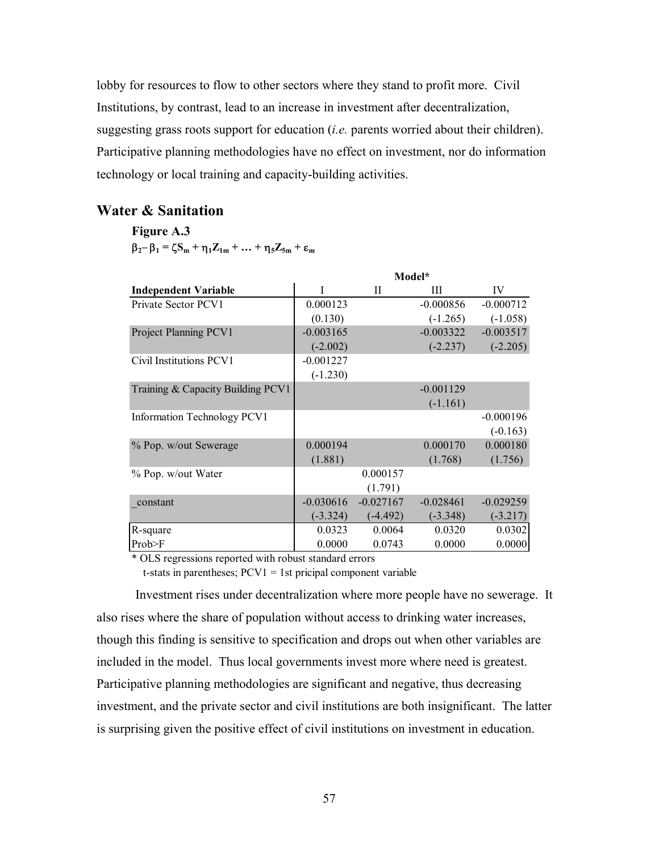lobby for resources to flow to other sectors where they stand to profit more. Civil Institutions, by contrast, lead to an increase in investment after decentralization, suggesting grass roots support for education (*i.e.* parents worried about their children). Participative planning methodologies have no effect on investment, nor do information technology or local training and capacity-building activities.

## **Water & Sanitation**

**Figure A.3** β**2–** β**1 =** ζ**Sm +** η**1Z1m + … +** η**5Z5m +** ε**<sup>m</sup>**

|                                   | Model*      |             |             |             |
|-----------------------------------|-------------|-------------|-------------|-------------|
| <b>Independent Variable</b>       | I           | П           | Ш           | IV          |
| Private Sector PCV1               | 0.000123    |             | $-0.000856$ | $-0.000712$ |
|                                   | (0.130)     |             | $(-1.265)$  | $(-1.058)$  |
| Project Planning PCV1             | $-0.003165$ |             | $-0.003322$ | $-0.003517$ |
|                                   | $(-2.002)$  |             | $(-2.237)$  | $(-2.205)$  |
| Civil Institutions PCV1           | $-0.001227$ |             |             |             |
|                                   | $(-1.230)$  |             |             |             |
| Training & Capacity Building PCV1 |             |             | $-0.001129$ |             |
|                                   |             |             | $(-1.161)$  |             |
| Information Technology PCV1       |             |             |             | $-0.000196$ |
|                                   |             |             |             | $(-0.163)$  |
| % Pop. w/out Sewerage             | 0.000194    |             | 0.000170    | 0.000180    |
|                                   | (1.881)     |             | (1.768)     | (1.756)     |
| % Pop. w/out Water                |             | 0.000157    |             |             |
|                                   |             | (1.791)     |             |             |
| constant                          | $-0.030616$ | $-0.027167$ | $-0.028461$ | $-0.029259$ |
|                                   | $(-3.324)$  | $(-4.492)$  | $(-3.348)$  | $(-3.217)$  |
| R-square                          | 0.0323      | 0.0064      | 0.0320      | 0.0302      |
| Prob>F                            | 0.0000      | 0.0743      | 0.0000      | 0.0000      |

\* OLS regressions reported with robust standard errors

t-stats in parentheses;  $PCV1 = 1$ st pricipal component variable

Investment rises under decentralization where more people have no sewerage. It also rises where the share of population without access to drinking water increases, though this finding is sensitive to specification and drops out when other variables are included in the model. Thus local governments invest more where need is greatest. Participative planning methodologies are significant and negative, thus decreasing investment, and the private sector and civil institutions are both insignificant. The latter is surprising given the positive effect of civil institutions on investment in education.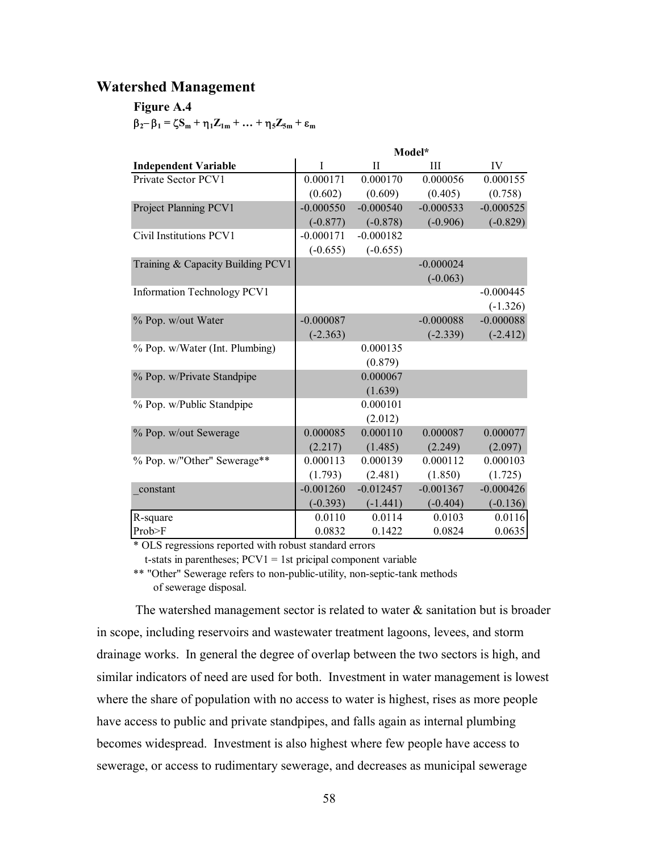## **Watershed Management**

**Figure A.4** β**2–** β**1 =** ζ**Sm +** η**1Z1m + … +** η**5Z5m +** ε**<sup>m</sup>**

|                                   | Model*      |              |             |             |
|-----------------------------------|-------------|--------------|-------------|-------------|
| <b>Independent Variable</b>       | T           | $\mathbf{I}$ | Ш           | IV          |
| Private Sector PCV1               | 0.000171    | 0.000170     | 0.000056    | 0.000155    |
|                                   | (0.602)     | (0.609)      | (0.405)     | (0.758)     |
| Project Planning PCV1             | $-0.000550$ | $-0.000540$  | $-0.000533$ | $-0.000525$ |
|                                   | $(-0.877)$  | $(-0.878)$   | $(-0.906)$  | $(-0.829)$  |
| Civil Institutions PCV1           | $-0.000171$ | $-0.000182$  |             |             |
|                                   | $(-0.655)$  | $(-0.655)$   |             |             |
| Training & Capacity Building PCV1 |             |              | $-0.000024$ |             |
|                                   |             |              | $(-0.063)$  |             |
| Information Technology PCV1       |             |              |             | $-0.000445$ |
|                                   |             |              |             | $(-1.326)$  |
| % Pop. w/out Water                | $-0.000087$ |              | $-0.000088$ | $-0.000088$ |
|                                   | $(-2.363)$  |              | $(-2.339)$  | $(-2.412)$  |
| % Pop. w/Water (Int. Plumbing)    |             | 0.000135     |             |             |
|                                   |             | (0.879)      |             |             |
| % Pop. w/Private Standpipe        |             | 0.000067     |             |             |
|                                   |             | (1.639)      |             |             |
| % Pop. w/Public Standpipe         |             | 0.000101     |             |             |
|                                   |             | (2.012)      |             |             |
| % Pop. w/out Sewerage             | 0.000085    | 0.000110     | 0.000087    | 0.000077    |
|                                   | (2.217)     | (1.485)      | (2.249)     | (2.097)     |
| % Pop. w/"Other" Sewerage**       | 0.000113    | 0.000139     | 0.000112    | 0.000103    |
|                                   | (1.793)     | (2.481)      | (1.850)     | (1.725)     |
| constant                          | $-0.001260$ | $-0.012457$  | $-0.001367$ | $-0.000426$ |
|                                   | $(-0.393)$  | $(-1.441)$   | $(-0.404)$  | $(-0.136)$  |
| R-square                          | 0.0110      | 0.0114       | 0.0103      | 0.0116      |
| Prob>F                            | 0.0832      | 0.1422       | 0.0824      | 0.0635      |

\* OLS regressions reported with robust standard errors

t-stats in parentheses;  $PCV1 = 1$  st pricipal component variable

\*\* "Other" Sewerage refers to non-public-utility, non-septic-tank methods of sewerage disposal.

The watershed management sector is related to water  $\&$  sanitation but is broader in scope, including reservoirs and wastewater treatment lagoons, levees, and storm drainage works. In general the degree of overlap between the two sectors is high, and similar indicators of need are used for both. Investment in water management is lowest where the share of population with no access to water is highest, rises as more people have access to public and private standpipes, and falls again as internal plumbing becomes widespread. Investment is also highest where few people have access to sewerage, or access to rudimentary sewerage, and decreases as municipal sewerage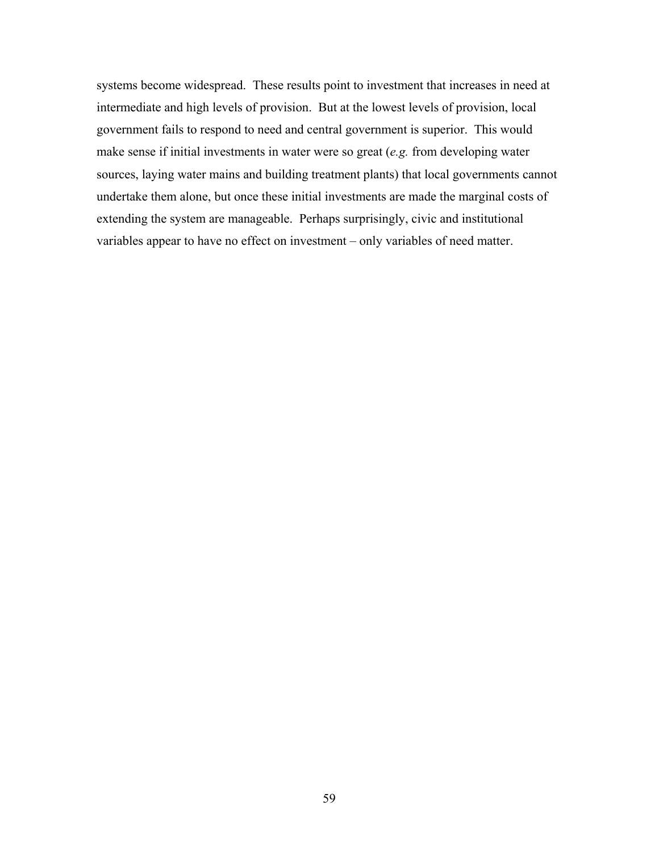systems become widespread. These results point to investment that increases in need at intermediate and high levels of provision. But at the lowest levels of provision, local government fails to respond to need and central government is superior. This would make sense if initial investments in water were so great (*e.g.* from developing water sources, laying water mains and building treatment plants) that local governments cannot undertake them alone, but once these initial investments are made the marginal costs of extending the system are manageable. Perhaps surprisingly, civic and institutional variables appear to have no effect on investment – only variables of need matter.